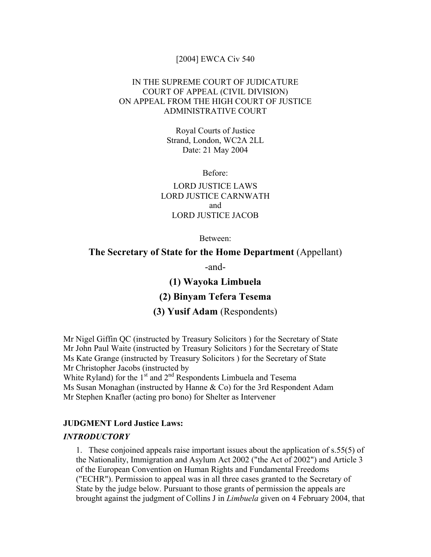## [2004] EWCA Civ 540

# IN THE SUPREME COURT OF JUDICATURE COURT OF APPEAL (CIVIL DIVISION) ON APPEAL FROM THE HIGH COURT OF JUSTICE ADMINISTRATIVE COURT

Royal Courts of Justice Strand, London, WC2A 2LL Date: 21 May 2004

Before:

LORD JUSTICE LAWS LORD JUSTICE CARNWATH and LORD JUSTICE JACOB

Between:

## **The Secretary of State for the Home Department** (Appellant)

-and-

**(1) Wayoka Limbuela**

# **(2) Binyam Tefera Tesema**

## **(3) Yusif Adam** (Respondents)

Mr Nigel Giffin QC (instructed by Treasury Solicitors ) for the Secretary of State Mr John Paul Waite (instructed by Treasury Solicitors ) for the Secretary of State Ms Kate Grange (instructed by Treasury Solicitors ) for the Secretary of State Mr Christopher Jacobs (instructed by

White Ryland) for the  $1<sup>st</sup>$  and  $2<sup>nd</sup>$  Respondents Limbuela and Tesema Ms Susan Monaghan (instructed by Hanne & Co) for the 3rd Respondent Adam Mr Stephen Knafler (acting pro bono) for Shelter as Intervener

#### **JUDGMENT Lord Justice Laws:**

#### *INTRODUCTORY*

1. These conjoined appeals raise important issues about the application of s.55(5) of the Nationality, Immigration and Asylum Act 2002 ("the Act of 2002") and Article 3 of the European Convention on Human Rights and Fundamental Freedoms ("ECHR"). Permission to appeal was in all three cases granted to the Secretary of State by the judge below. Pursuant to those grants of permission the appeals are brought against the judgment of Collins J in *Limbuela* given on 4 February 2004, that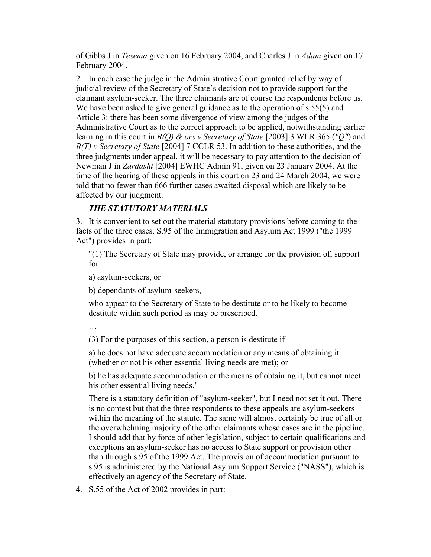of Gibbs J in *Tesema* given on 16 February 2004, and Charles J in *Adam* given on 17 February 2004.

2. In each case the judge in the Administrative Court granted relief by way of judicial review of the Secretary of State's decision not to provide support for the claimant asylum-seeker. The three claimants are of course the respondents before us. We have been asked to give general guidance as to the operation of s.55(5) and Article 3: there has been some divergence of view among the judges of the Administrative Court as to the correct approach to be applied, notwithstanding earlier learning in this court in *R(Q) & ors v Secretary of State* [2003] 3 WLR 365 (*"Q"*) and *R(T) v Secretary of State* [2004] 7 CCLR 53. In addition to these authorities, and the three judgments under appeal, it will be necessary to pay attention to the decision of Newman J in *Zardasht* [2004] EWHC Admin 91, given on 23 January 2004. At the time of the hearing of these appeals in this court on 23 and 24 March 2004, we were told that no fewer than 666 further cases awaited disposal which are likely to be affected by our judgment.

# *THE STATUTORY MATERIALS*

3. It is convenient to set out the material statutory provisions before coming to the facts of the three cases. S.95 of the Immigration and Asylum Act 1999 ("the 1999 Act") provides in part:

"(1) The Secretary of State may provide, or arrange for the provision of, support  $for -$ 

a) asylum-seekers, or

b) dependants of asylum-seekers,

who appear to the Secretary of State to be destitute or to be likely to become destitute within such period as may be prescribed.

(3) For the purposes of this section, a person is destitute if –

a) he does not have adequate accommodation or any means of obtaining it (whether or not his other essential living needs are met); or

b) he has adequate accommodation or the means of obtaining it, but cannot meet his other essential living needs."

There is a statutory definition of "asylum-seeker", but I need not set it out. There is no contest but that the three respondents to these appeals are asylum-seekers within the meaning of the statute. The same will almost certainly be true of all or the overwhelming majority of the other claimants whose cases are in the pipeline. I should add that by force of other legislation, subject to certain qualifications and exceptions an asylum-seeker has no access to State support or provision other than through s.95 of the 1999 Act. The provision of accommodation pursuant to s.95 is administered by the National Asylum Support Service ("NASS"), which is effectively an agency of the Secretary of State.

4. S.55 of the Act of 2002 provides in part: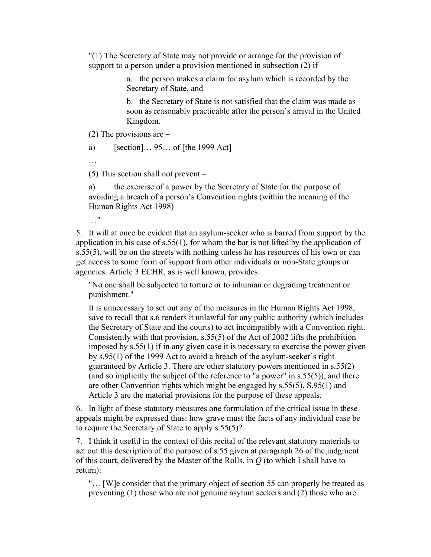"(1) The Secretary of State may not provide or arrange for the provision of support to a person under a provision mentioned in subsection  $(2)$  if –

> a. the person makes a claim for asylum which is recorded by the Secretary of State, and

b. the Secretary of State is not satisfied that the claim was made as soon as reasonably practicable after the person's arrival in the United Kingdom.

(2) The provisions are –

a) [section]… 95… of [the 1999 Act]

…

(5) This section shall not prevent –

a) the exercise of a power by the Secretary of State for the purpose of avoiding a breach of a person's Convention rights (within the meaning of the Human Rights Act 1998)

…"

5. It will at once be evident that an asylum-seeker who is barred from support by the application in his case of s.55(1), for whom the bar is not lifted by the application of s.55(5), will be on the streets with nothing unless he has resources of his own or can get access to some form of support from other individuals or non-State groups or agencies. Article 3 ECHR, as is well known, provides:

"No one shall be subjected to torture or to inhuman or degrading treatment or punishment."

It is unnecessary to set out any of the measures in the Human Rights Act 1998, save to recall that s.6 renders it unlawful for any public authority (which includes the Secretary of State and the courts) to act incompatibly with a Convention right. Consistently with that provision, s.55(5) of the Act of 2002 lifts the prohibition imposed by s.55(1) if in any given case it is necessary to exercise the power given by s.95(1) of the 1999 Act to avoid a breach of the asylum-seeker's right guaranteed by Article 3. There are other statutory powers mentioned in s.55(2) (and so implicitly the subject of the reference to "a power" in  $s.55(5)$ ), and there are other Convention rights which might be engaged by s.55(5). S.95(1) and Article 3 are the material provisions for the purpose of these appeals.

6. In light of these statutory measures one formulation of the critical issue in these appeals might be expressed thus: how grave must the facts of any individual case be to require the Secretary of State to apply s.55(5)?

7. I think it useful in the context of this recital of the relevant statutory materials to set out this description of the purpose of s.55 given at paragraph 26 of the judgment of this court, delivered by the Master of the Rolls, in *Q* (to which I shall have to return):

"… [W]e consider that the primary object of section 55 can properly be treated as preventing (1) those who are not genuine asylum seekers and (2) those who are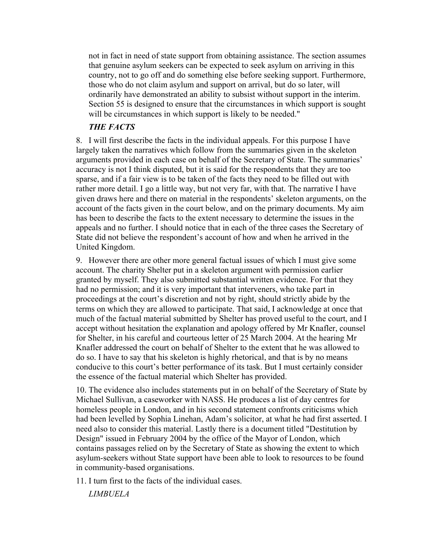not in fact in need of state support from obtaining assistance. The section assumes that genuine asylum seekers can be expected to seek asylum on arriving in this country, not to go off and do something else before seeking support. Furthermore, those who do not claim asylum and support on arrival, but do so later, will ordinarily have demonstrated an ability to subsist without support in the interim. Section 55 is designed to ensure that the circumstances in which support is sought will be circumstances in which support is likely to be needed."

## *THE FACTS*

8. I will first describe the facts in the individual appeals. For this purpose I have largely taken the narratives which follow from the summaries given in the skeleton arguments provided in each case on behalf of the Secretary of State. The summaries' accuracy is not I think disputed, but it is said for the respondents that they are too sparse, and if a fair view is to be taken of the facts they need to be filled out with rather more detail. I go a little way, but not very far, with that. The narrative I have given draws here and there on material in the respondents' skeleton arguments, on the account of the facts given in the court below, and on the primary documents. My aim has been to describe the facts to the extent necessary to determine the issues in the appeals and no further. I should notice that in each of the three cases the Secretary of State did not believe the respondent's account of how and when he arrived in the United Kingdom.

9. However there are other more general factual issues of which I must give some account. The charity Shelter put in a skeleton argument with permission earlier granted by myself. They also submitted substantial written evidence. For that they had no permission; and it is very important that interveners, who take part in proceedings at the court's discretion and not by right, should strictly abide by the terms on which they are allowed to participate. That said, I acknowledge at once that much of the factual material submitted by Shelter has proved useful to the court, and I accept without hesitation the explanation and apology offered by Mr Knafler, counsel for Shelter, in his careful and courteous letter of 25 March 2004. At the hearing Mr Knafler addressed the court on behalf of Shelter to the extent that he was allowed to do so. I have to say that his skeleton is highly rhetorical, and that is by no means conducive to this court's better performance of its task. But I must certainly consider the essence of the factual material which Shelter has provided.

10. The evidence also includes statements put in on behalf of the Secretary of State by Michael Sullivan, a caseworker with NASS. He produces a list of day centres for homeless people in London, and in his second statement confronts criticisms which had been levelled by Sophia Linehan, Adam's solicitor, at what he had first asserted. I need also to consider this material. Lastly there is a document titled "Destitution by Design" issued in February 2004 by the office of the Mayor of London, which contains passages relied on by the Secretary of State as showing the extent to which asylum-seekers without State support have been able to look to resources to be found in community-based organisations.

11. I turn first to the facts of the individual cases.

*LIMBUELA*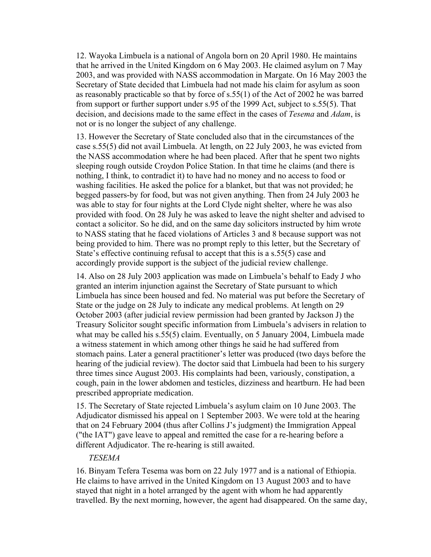12. Wayoka Limbuela is a national of Angola born on 20 April 1980. He maintains that he arrived in the United Kingdom on 6 May 2003. He claimed asylum on 7 May 2003, and was provided with NASS accommodation in Margate. On 16 May 2003 the Secretary of State decided that Limbuela had not made his claim for asylum as soon as reasonably practicable so that by force of s.55(1) of the Act of 2002 he was barred from support or further support under s.95 of the 1999 Act, subject to s.55(5). That decision, and decisions made to the same effect in the cases of *Tesema* and *Adam*, is not or is no longer the subject of any challenge.

13. However the Secretary of State concluded also that in the circumstances of the case s.55(5) did not avail Limbuela. At length, on 22 July 2003, he was evicted from the NASS accommodation where he had been placed. After that he spent two nights sleeping rough outside Croydon Police Station. In that time he claims (and there is nothing, I think, to contradict it) to have had no money and no access to food or washing facilities. He asked the police for a blanket, but that was not provided; he begged passers-by for food, but was not given anything. Then from 24 July 2003 he was able to stay for four nights at the Lord Clyde night shelter, where he was also provided with food. On 28 July he was asked to leave the night shelter and advised to contact a solicitor. So he did, and on the same day solicitors instructed by him wrote to NASS stating that he faced violations of Articles 3 and 8 because support was not being provided to him. There was no prompt reply to this letter, but the Secretary of State's effective continuing refusal to accept that this is a s.55(5) case and accordingly provide support is the subject of the judicial review challenge.

14. Also on 28 July 2003 application was made on Limbuela's behalf to Eady J who granted an interim injunction against the Secretary of State pursuant to which Limbuela has since been housed and fed. No material was put before the Secretary of State or the judge on 28 July to indicate any medical problems. At length on 29 October 2003 (after judicial review permission had been granted by Jackson J) the Treasury Solicitor sought specific information from Limbuela's advisers in relation to what may be called his s.55(5) claim. Eventually, on 5 January 2004, Limbuela made a witness statement in which among other things he said he had suffered from stomach pains. Later a general practitioner's letter was produced (two days before the hearing of the judicial review). The doctor said that Limbuela had been to his surgery three times since August 2003. His complaints had been, variously, constipation, a cough, pain in the lower abdomen and testicles, dizziness and heartburn. He had been prescribed appropriate medication.

15. The Secretary of State rejected Limbuela's asylum claim on 10 June 2003. The Adjudicator dismissed his appeal on 1 September 2003. We were told at the hearing that on 24 February 2004 (thus after Collins J's judgment) the Immigration Appeal ("the IAT") gave leave to appeal and remitted the case for a re-hearing before a different Adjudicator. The re-hearing is still awaited.

## *TESEMA*

16. Binyam Tefera Tesema was born on 22 July 1977 and is a national of Ethiopia. He claims to have arrived in the United Kingdom on 13 August 2003 and to have stayed that night in a hotel arranged by the agent with whom he had apparently travelled. By the next morning, however, the agent had disappeared. On the same day,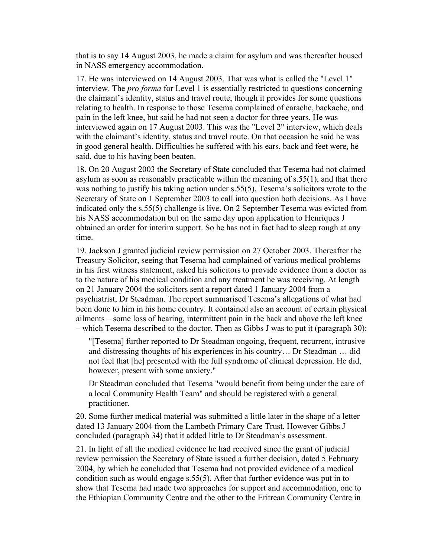that is to say 14 August 2003, he made a claim for asylum and was thereafter housed in NASS emergency accommodation.

17. He was interviewed on 14 August 2003. That was what is called the "Level 1" interview. The *pro forma* for Level 1 is essentially restricted to questions concerning the claimant's identity, status and travel route, though it provides for some questions relating to health. In response to those Tesema complained of earache, backache, and pain in the left knee, but said he had not seen a doctor for three years. He was interviewed again on 17 August 2003. This was the "Level 2" interview, which deals with the claimant's identity, status and travel route. On that occasion he said he was in good general health. Difficulties he suffered with his ears, back and feet were, he said, due to his having been beaten.

18. On 20 August 2003 the Secretary of State concluded that Tesema had not claimed asylum as soon as reasonably practicable within the meaning of s.55(1), and that there was nothing to justify his taking action under s.55(5). Tesema's solicitors wrote to the Secretary of State on 1 September 2003 to call into question both decisions. As I have indicated only the s.55(5) challenge is live. On 2 September Tesema was evicted from his NASS accommodation but on the same day upon application to Henriques J obtained an order for interim support. So he has not in fact had to sleep rough at any time.

19. Jackson J granted judicial review permission on 27 October 2003. Thereafter the Treasury Solicitor, seeing that Tesema had complained of various medical problems in his first witness statement, asked his solicitors to provide evidence from a doctor as to the nature of his medical condition and any treatment he was receiving. At length on 21 January 2004 the solicitors sent a report dated 1 January 2004 from a psychiatrist, Dr Steadman. The report summarised Tesema's allegations of what had been done to him in his home country. It contained also an account of certain physical ailments – some loss of hearing, intermittent pain in the back and above the left knee – which Tesema described to the doctor. Then as Gibbs J was to put it (paragraph 30):

"[Tesema] further reported to Dr Steadman ongoing, frequent, recurrent, intrusive and distressing thoughts of his experiences in his country… Dr Steadman … did not feel that [he] presented with the full syndrome of clinical depression. He did, however, present with some anxiety."

Dr Steadman concluded that Tesema "would benefit from being under the care of a local Community Health Team" and should be registered with a general practitioner.

20. Some further medical material was submitted a little later in the shape of a letter dated 13 January 2004 from the Lambeth Primary Care Trust. However Gibbs J concluded (paragraph 34) that it added little to Dr Steadman's assessment.

21. In light of all the medical evidence he had received since the grant of judicial review permission the Secretary of State issued a further decision, dated 5 February 2004, by which he concluded that Tesema had not provided evidence of a medical condition such as would engage s.55(5). After that further evidence was put in to show that Tesema had made two approaches for support and accommodation, one to the Ethiopian Community Centre and the other to the Eritrean Community Centre in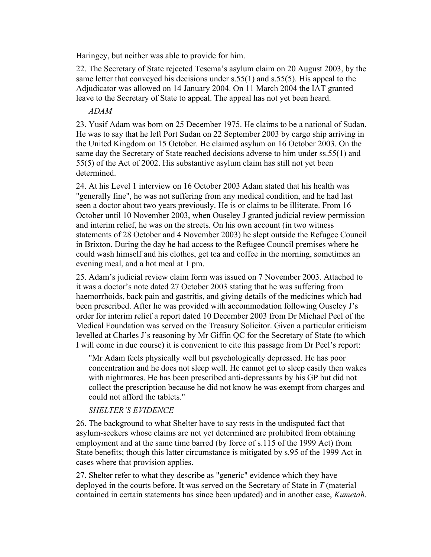Haringey, but neither was able to provide for him.

22. The Secretary of State rejected Tesema's asylum claim on 20 August 2003, by the same letter that conveyed his decisions under s.55(1) and s.55(5). His appeal to the Adjudicator was allowed on 14 January 2004. On 11 March 2004 the IAT granted leave to the Secretary of State to appeal. The appeal has not yet been heard.

## *ADAM*

23. Yusif Adam was born on 25 December 1975. He claims to be a national of Sudan. He was to say that he left Port Sudan on 22 September 2003 by cargo ship arriving in the United Kingdom on 15 October. He claimed asylum on 16 October 2003. On the same day the Secretary of State reached decisions adverse to him under ss.55(1) and 55(5) of the Act of 2002. His substantive asylum claim has still not yet been determined.

24. At his Level 1 interview on 16 October 2003 Adam stated that his health was "generally fine", he was not suffering from any medical condition, and he had last seen a doctor about two years previously. He is or claims to be illiterate. From 16 October until 10 November 2003, when Ouseley J granted judicial review permission and interim relief, he was on the streets. On his own account (in two witness statements of 28 October and 4 November 2003) he slept outside the Refugee Council in Brixton. During the day he had access to the Refugee Council premises where he could wash himself and his clothes, get tea and coffee in the morning, sometimes an evening meal, and a hot meal at 1 pm.

25. Adam's judicial review claim form was issued on 7 November 2003. Attached to it was a doctor's note dated 27 October 2003 stating that he was suffering from haemorrhoids, back pain and gastritis, and giving details of the medicines which had been prescribed. After he was provided with accommodation following Ouseley J's order for interim relief a report dated 10 December 2003 from Dr Michael Peel of the Medical Foundation was served on the Treasury Solicitor. Given a particular criticism levelled at Charles J's reasoning by Mr Giffin QC for the Secretary of State (to which I will come in due course) it is convenient to cite this passage from Dr Peel's report:

"Mr Adam feels physically well but psychologically depressed. He has poor concentration and he does not sleep well. He cannot get to sleep easily then wakes with nightmares. He has been prescribed anti-depressants by his GP but did not collect the prescription because he did not know he was exempt from charges and could not afford the tablets."

# *SHELTER'S EVIDENCE*

26. The background to what Shelter have to say rests in the undisputed fact that asylum-seekers whose claims are not yet determined are prohibited from obtaining employment and at the same time barred (by force of s.115 of the 1999 Act) from State benefits; though this latter circumstance is mitigated by s.95 of the 1999 Act in cases where that provision applies.

27. Shelter refer to what they describe as "generic" evidence which they have deployed in the courts before. It was served on the Secretary of State in *T* (material contained in certain statements has since been updated) and in another case, *Kumetah*.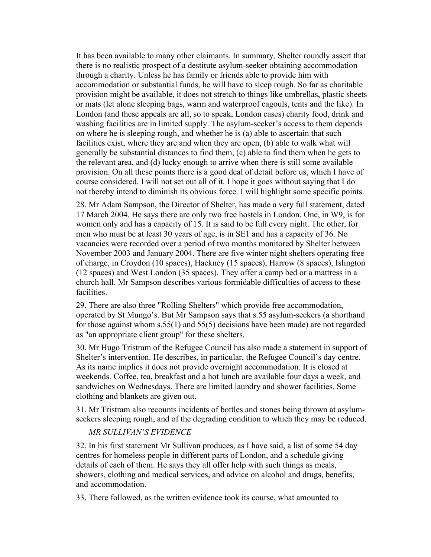It has been available to many other claimants. In summary, Shelter roundly assert that there is no realistic prospect of a destitute asylum-seeker obtaining accommodation through a charity. Unless he has family or friends able to provide him with accommodation or substantial funds, he will have to sleep rough. So far as charitable provision might be available, it does not stretch to things like umbrellas, plastic sheets or mats (let alone sleeping bags, warm and waterproof cagouls, tents and the like). In London (and these appeals are all, so to speak, London cases) charity food, drink and washing facilities are in limited supply. The asylum-seeker's access to them depends on where he is sleeping rough, and whether he is (a) able to ascertain that such facilities exist, where they are and when they are open, (b) able to walk what will generally be substantial distances to find them, (c) able to find them when he gets to the relevant area, and (d) lucky enough to arrive when there is still some available provision. On all these points there is a good deal of detail before us, which I have of course considered. I will not set out all of it. I hope it goes without saying that I do not thereby intend to diminish its obvious force. I will highlight some specific points.

28. Mr Adam Sampson, the Director of Shelter, has made a very full statement, dated 17 March 2004. He says there are only two free hostels in London. One, in W9, is for women only and has a capacity of 15. It is said to be full every night. The other, for men who must be at least 30 years of age, is in SE1 and has a capacity of 36. No vacancies were recorded over a period of two months monitored by Shelter between November 2003 and January 2004. There are five winter night shelters operating free of charge, in Croydon (10 spaces), Hackney (15 spaces), Harrow (8 spaces), Islington (12 spaces) and West London (35 spaces). They offer a camp bed or a mattress in a church hall. Mr Sampson describes various formidable difficulties of access to these facilities.

29. There are also three "Rolling Shelters" which provide free accommodation, operated by St Mungo's. But Mr Sampson says that s.55 asylum-seekers (a shorthand for those against whom s.55(1) and 55(5) decisions have been made) are not regarded as "an appropriate client group" for these shelters.

30. Mr Hugo Tristram of the Refugee Council has also made a statement in support of Shelter's intervention. He describes, in particular, the Refugee Council's day centre. As its name implies it does not provide overnight accommodation. It is closed at weekends. Coffee, tea, breakfast and a hot lunch are available four days a week, and sandwiches on Wednesdays. There are limited laundry and shower facilities. Some clothing and blankets are given out.

31. Mr Tristram also recounts incidents of bottles and stones being thrown at asylumseekers sleeping rough, and of the degrading condition to which they may be reduced.

## *MR SULLIVAN'S EVIDENCE*

32. In his first statement Mr Sullivan produces, as I have said, a list of some 54 day centres for homeless people in different parts of London, and a schedule giving details of each of them. He says they all offer help with such things as meals, showers, clothing and medical services, and advice on alcohol and drugs, benefits, and accommodation.

33. There followed, as the written evidence took its course, what amounted to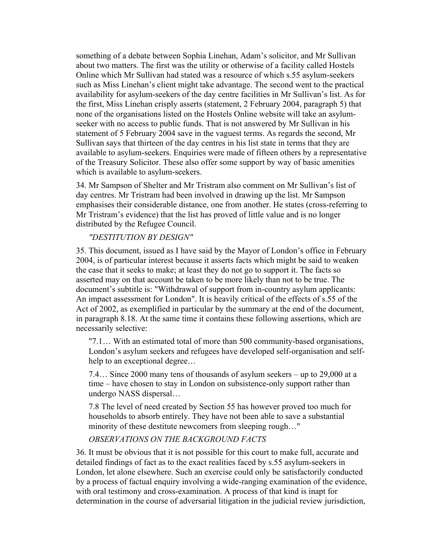something of a debate between Sophia Linehan, Adam's solicitor, and Mr Sullivan about two matters. The first was the utility or otherwise of a facility called Hostels Online which Mr Sullivan had stated was a resource of which s.55 asylum-seekers such as Miss Linehan's client might take advantage. The second went to the practical availability for asylum-seekers of the day centre facilities in Mr Sullivan's list. As for the first, Miss Linehan crisply asserts (statement, 2 February 2004, paragraph 5) that none of the organisations listed on the Hostels Online website will take an asylumseeker with no access to public funds. That is not answered by Mr Sullivan in his statement of 5 February 2004 save in the vaguest terms. As regards the second, Mr Sullivan says that thirteen of the day centres in his list state in terms that they are available to asylum-seekers. Enquiries were made of fifteen others by a representative of the Treasury Solicitor. These also offer some support by way of basic amenities which is available to asylum-seekers.

34. Mr Sampson of Shelter and Mr Tristram also comment on Mr Sullivan's list of day centres. Mr Tristram had been involved in drawing up the list. Mr Sampson emphasises their considerable distance, one from another. He states (cross-referring to Mr Tristram's evidence) that the list has proved of little value and is no longer distributed by the Refugee Council.

## *"DESTITUTION BY DESIGN"*

35. This document, issued as I have said by the Mayor of London's office in February 2004, is of particular interest because it asserts facts which might be said to weaken the case that it seeks to make; at least they do not go to support it. The facts so asserted may on that account be taken to be more likely than not to be true. The document's subtitle is: "Withdrawal of support from in-country asylum applicants: An impact assessment for London". It is heavily critical of the effects of s.55 of the Act of 2002, as exemplified in particular by the summary at the end of the document, in paragraph 8.18. At the same time it contains these following assertions, which are necessarily selective:

"7.1… With an estimated total of more than 500 community-based organisations, London's asylum seekers and refugees have developed self-organisation and selfhelp to an exceptional degree...

7.4… Since 2000 many tens of thousands of asylum seekers – up to 29,000 at a time – have chosen to stay in London on subsistence-only support rather than undergo NASS dispersal…

7.8 The level of need created by Section 55 has however proved too much for households to absorb entirely. They have not been able to save a substantial minority of these destitute newcomers from sleeping rough…"

## *OBSERVATIONS ON THE BACKGROUND FACTS*

36. It must be obvious that it is not possible for this court to make full, accurate and detailed findings of fact as to the exact realities faced by s.55 asylum-seekers in London, let alone elsewhere. Such an exercise could only be satisfactorily conducted by a process of factual enquiry involving a wide-ranging examination of the evidence, with oral testimony and cross-examination. A process of that kind is inapt for determination in the course of adversarial litigation in the judicial review jurisdiction,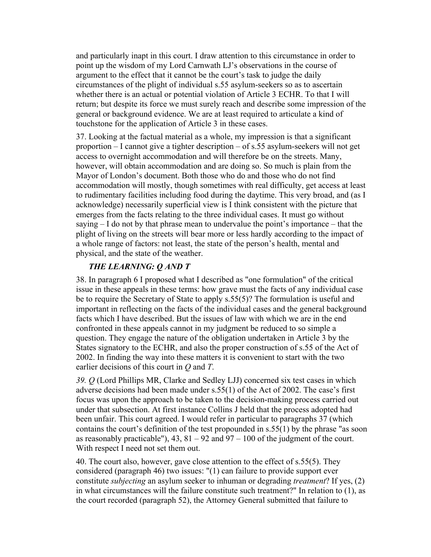and particularly inapt in this court. I draw attention to this circumstance in order to point up the wisdom of my Lord Carnwath LJ's observations in the course of argument to the effect that it cannot be the court's task to judge the daily circumstances of the plight of individual s.55 asylum-seekers so as to ascertain whether there is an actual or potential violation of Article 3 ECHR. To that I will return; but despite its force we must surely reach and describe some impression of the general or background evidence. We are at least required to articulate a kind of touchstone for the application of Article 3 in these cases.

37. Looking at the factual material as a whole, my impression is that a significant proportion – I cannot give a tighter description – of s.55 asylum-seekers will not get access to overnight accommodation and will therefore be on the streets. Many, however, will obtain accommodation and are doing so. So much is plain from the Mayor of London's document. Both those who do and those who do not find accommodation will mostly, though sometimes with real difficulty, get access at least to rudimentary facilities including food during the daytime. This very broad, and (as I acknowledge) necessarily superficial view is I think consistent with the picture that emerges from the facts relating to the three individual cases. It must go without saying – I do not by that phrase mean to undervalue the point's importance – that the plight of living on the streets will bear more or less hardly according to the impact of a whole range of factors: not least, the state of the person's health, mental and physical, and the state of the weather.

# *THE LEARNING: Q AND T*

38. In paragraph 6 I proposed what I described as "one formulation" of the critical issue in these appeals in these terms: how grave must the facts of any individual case be to require the Secretary of State to apply s.55(5)? The formulation is useful and important in reflecting on the facts of the individual cases and the general background facts which I have described. But the issues of law with which we are in the end confronted in these appeals cannot in my judgment be reduced to so simple a question. They engage the nature of the obligation undertaken in Article 3 by the States signatory to the ECHR, and also the proper construction of s.55 of the Act of 2002. In finding the way into these matters it is convenient to start with the two earlier decisions of this court in *Q* and *T*.

*39. Q* (Lord Phillips MR, Clarke and Sedley LJJ) concerned six test cases in which adverse decisions had been made under s.55(1) of the Act of 2002. The case's first focus was upon the approach to be taken to the decision-making process carried out under that subsection. At first instance Collins J held that the process adopted had been unfair. This court agreed. I would refer in particular to paragraphs 37 (which contains the court's definition of the test propounded in s.55(1) by the phrase "as soon as reasonably practicable"),  $43$ ,  $81 - 92$  and  $97 - 100$  of the judgment of the court. With respect I need not set them out.

40. The court also, however, gave close attention to the effect of s.55(5). They considered (paragraph 46) two issues: "(1) can failure to provide support ever constitute *subjecting* an asylum seeker to inhuman or degrading *treatment*? If yes, (2) in what circumstances will the failure constitute such treatment?" In relation to (1), as the court recorded (paragraph 52), the Attorney General submitted that failure to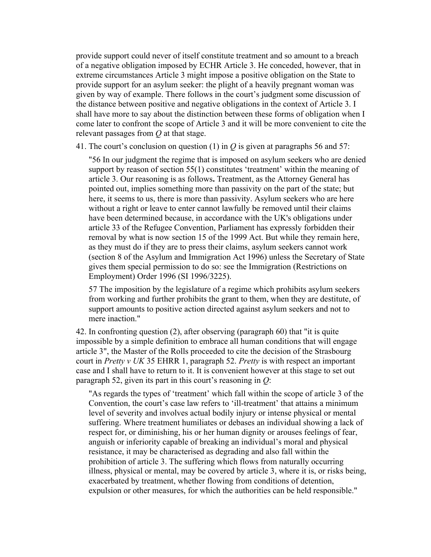provide support could never of itself constitute treatment and so amount to a breach of a negative obligation imposed by ECHR Article 3. He conceded, however, that in extreme circumstances Article 3 might impose a positive obligation on the State to provide support for an asylum seeker: the plight of a heavily pregnant woman was given by way of example. There follows in the court's judgment some discussion of the distance between positive and negative obligations in the context of Article 3. I shall have more to say about the distinction between these forms of obligation when I come later to confront the scope of Article 3 and it will be more convenient to cite the relevant passages from *Q* at that stage.

41. The court's conclusion on question (1) in *Q* is given at paragraphs 56 and 57:

"56 In our judgment the regime that is imposed on asylum seekers who are denied support by reason of section 55(1) constitutes 'treatment' within the meaning of article 3. Our reasoning is as follows**.** Treatment, as the Attorney General has pointed out, implies something more than passivity on the part of the state; but here, it seems to us, there is more than passivity. Asylum seekers who are here without a right or leave to enter cannot lawfully be removed until their claims have been determined because, in accordance with the UK's obligations under article 33 of the Refugee Convention, Parliament has expressly forbidden their removal by what is now section 15 of the 1999 Act. But while they remain here, as they must do if they are to press their claims, asylum seekers cannot work (section 8 of the Asylum and Immigration Act 1996) unless the Secretary of State gives them special permission to do so: see the Immigration (Restrictions on Employment) Order 1996 (SI 1996/3225).

57 The imposition by the legislature of a regime which prohibits asylum seekers from working and further prohibits the grant to them, when they are destitute, of support amounts to positive action directed against asylum seekers and not to mere inaction."

42. In confronting question (2), after observing (paragraph 60) that "it is quite impossible by a simple definition to embrace all human conditions that will engage article 3", the Master of the Rolls proceeded to cite the decision of the Strasbourg court in *Pretty v UK* 35 EHRR 1, paragraph 52. *Pretty* is with respect an important case and I shall have to return to it. It is convenient however at this stage to set out paragraph 52, given its part in this court's reasoning in *Q*:

"As regards the types of 'treatment' which fall within the scope of article 3 of the Convention, the court's case law refers to 'ill-treatment' that attains a minimum level of severity and involves actual bodily injury or intense physical or mental suffering. Where treatment humiliates or debases an individual showing a lack of respect for, or diminishing, his or her human dignity or arouses feelings of fear, anguish or inferiority capable of breaking an individual's moral and physical resistance, it may be characterised as degrading and also fall within the prohibition of article 3. The suffering which flows from naturally occurring illness, physical or mental, may be covered by article 3, where it is, or risks being, exacerbated by treatment, whether flowing from conditions of detention, expulsion or other measures, for which the authorities can be held responsible."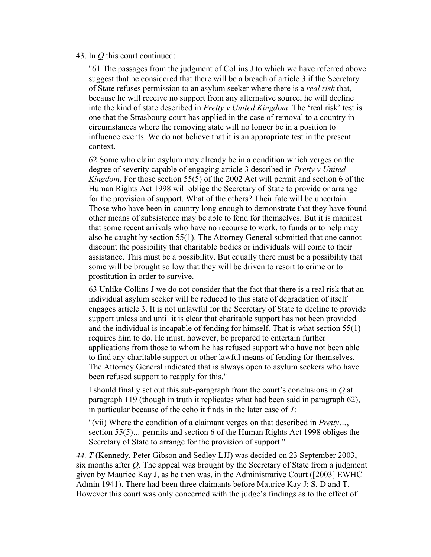#### 43. In *Q* this court continued:

"61 The passages from the judgment of Collins J to which we have referred above suggest that he considered that there will be a breach of article 3 if the Secretary of State refuses permission to an asylum seeker where there is a *real risk* that, because he will receive no support from any alternative source, he will decline into the kind of state described in *Pretty v United Kingdom*. The 'real risk' test is one that the Strasbourg court has applied in the case of removal to a country in circumstances where the removing state will no longer be in a position to influence events. We do not believe that it is an appropriate test in the present context.

62 Some who claim asylum may already be in a condition which verges on the degree of severity capable of engaging article 3 described in *Pretty v United Kingdom*. For those section 55(5) of the 2002 Act will permit and section 6 of the Human Rights Act 1998 will oblige the Secretary of State to provide or arrange for the provision of support. What of the others? Their fate will be uncertain. Those who have been in-country long enough to demonstrate that they have found other means of subsistence may be able to fend for themselves. But it is manifest that some recent arrivals who have no recourse to work, to funds or to help may also be caught by section 55(1). The Attorney General submitted that one cannot discount the possibility that charitable bodies or individuals will come to their assistance. This must be a possibility. But equally there must be a possibility that some will be brought so low that they will be driven to resort to crime or to prostitution in order to survive.

63 Unlike Collins J we do not consider that the fact that there is a real risk that an individual asylum seeker will be reduced to this state of degradation of itself engages article 3. It is not unlawful for the Secretary of State to decline to provide support unless and until it is clear that charitable support has not been provided and the individual is incapable of fending for himself. That is what section 55(1) requires him to do. He must, however, be prepared to entertain further applications from those to whom he has refused support who have not been able to find any charitable support or other lawful means of fending for themselves. The Attorney General indicated that is always open to asylum seekers who have been refused support to reapply for this."

I should finally set out this sub-paragraph from the court's conclusions in *Q* at paragraph 119 (though in truth it replicates what had been said in paragraph 62), in particular because of the echo it finds in the later case of *T*:

"(vii) Where the condition of a claimant verges on that described in *Pretty…*, section 55(5)*…* permits and section 6 of the Human Rights Act 1998 obliges the Secretary of State to arrange for the provision of support."

*44. T* (Kennedy, Peter Gibson and Sedley LJJ) was decided on 23 September 2003, six months after *Q*. The appeal was brought by the Secretary of State from a judgment given by Maurice Kay J, as he then was, in the Administrative Court ([2003] EWHC Admin 1941). There had been three claimants before Maurice Kay J: S, D and T. However this court was only concerned with the judge's findings as to the effect of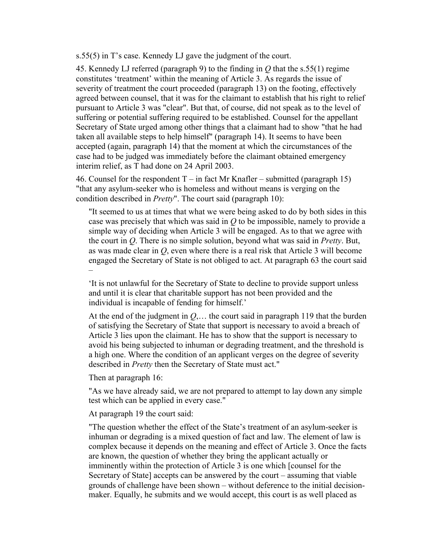s.55(5) in T's case. Kennedy LJ gave the judgment of the court.

45. Kennedy LJ referred (paragraph 9) to the finding in *Q* that the s.55(1) regime constitutes 'treatment' within the meaning of Article 3. As regards the issue of severity of treatment the court proceeded (paragraph 13) on the footing, effectively agreed between counsel, that it was for the claimant to establish that his right to relief pursuant to Article 3 was "clear". But that, of course, did not speak as to the level of suffering or potential suffering required to be established. Counsel for the appellant Secretary of State urged among other things that a claimant had to show "that he had taken all available steps to help himself" (paragraph 14). It seems to have been accepted (again, paragraph 14) that the moment at which the circumstances of the case had to be judged was immediately before the claimant obtained emergency interim relief, as T had done on 24 April 2003.

46. Counsel for the respondent  $T - in$  fact Mr Knafler – submitted (paragraph 15) "that any asylum-seeker who is homeless and without means is verging on the condition described in *Pretty*". The court said (paragraph 10):

"It seemed to us at times that what we were being asked to do by both sides in this case was precisely that which was said in *Q* to be impossible, namely to provide a simple way of deciding when Article 3 will be engaged. As to that we agree with the court in *Q*. There is no simple solution, beyond what was said in *Pretty*. But, as was made clear in *Q*, even where there is a real risk that Article 3 will become engaged the Secretary of State is not obliged to act. At paragraph 63 the court said –

'It is not unlawful for the Secretary of State to decline to provide support unless and until it is clear that charitable support has not been provided and the individual is incapable of fending for himself.'

At the end of the judgment in *Q*,… the court said in paragraph 119 that the burden of satisfying the Secretary of State that support is necessary to avoid a breach of Article 3 lies upon the claimant. He has to show that the support is necessary to avoid his being subjected to inhuman or degrading treatment, and the threshold is a high one. Where the condition of an applicant verges on the degree of severity described in *Pretty* then the Secretary of State must act."

Then at paragraph 16:

"As we have already said, we are not prepared to attempt to lay down any simple test which can be applied in every case."

At paragraph 19 the court said:

"The question whether the effect of the State's treatment of an asylum-seeker is inhuman or degrading is a mixed question of fact and law. The element of law is complex because it depends on the meaning and effect of Article 3. Once the facts are known, the question of whether they bring the applicant actually or imminently within the protection of Article 3 is one which [counsel for the Secretary of State] accepts can be answered by the court – assuming that viable grounds of challenge have been shown – without deference to the initial decisionmaker. Equally, he submits and we would accept, this court is as well placed as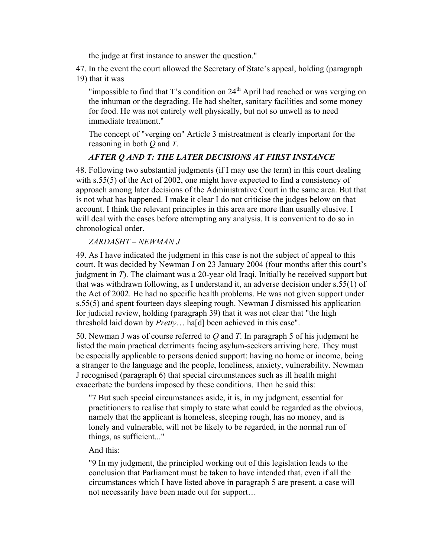the judge at first instance to answer the question."

47. In the event the court allowed the Secretary of State's appeal, holding (paragraph 19) that it was

"impossible to find that T's condition on  $24<sup>th</sup>$  April had reached or was verging on the inhuman or the degrading. He had shelter, sanitary facilities and some money for food. He was not entirely well physically, but not so unwell as to need immediate treatment."

The concept of "verging on" Article 3 mistreatment is clearly important for the reasoning in both *Q* and *T*.

# *AFTER Q AND T: THE LATER DECISIONS AT FIRST INSTANCE*

48. Following two substantial judgments (if I may use the term) in this court dealing with s.55(5) of the Act of 2002, one might have expected to find a consistency of approach among later decisions of the Administrative Court in the same area. But that is not what has happened. I make it clear I do not criticise the judges below on that account. I think the relevant principles in this area are more than usually elusive. I will deal with the cases before attempting any analysis. It is convenient to do so in chronological order.

# *ZARDASHT – NEWMAN J*

49. As I have indicated the judgment in this case is not the subject of appeal to this court. It was decided by Newman J on 23 January 2004 (four months after this court's judgment in *T*). The claimant was a 20-year old Iraqi. Initially he received support but that was withdrawn following, as I understand it, an adverse decision under s.55(1) of the Act of 2002. He had no specific health problems. He was not given support under s.55(5) and spent fourteen days sleeping rough. Newman J dismissed his application for judicial review, holding (paragraph 39) that it was not clear that "the high threshold laid down by *Pretty*… ha[d] been achieved in this case".

50. Newman J was of course referred to *Q* and *T*. In paragraph 5 of his judgment he listed the main practical detriments facing asylum-seekers arriving here. They must be especially applicable to persons denied support: having no home or income, being a stranger to the language and the people, loneliness, anxiety, vulnerability. Newman J recognised (paragraph 6) that special circumstances such as ill health might exacerbate the burdens imposed by these conditions. Then he said this:

"7 But such special circumstances aside, it is, in my judgment, essential for practitioners to realise that simply to state what could be regarded as the obvious, namely that the applicant is homeless, sleeping rough, has no money, and is lonely and vulnerable, will not be likely to be regarded, in the normal run of things, as sufficient..."

And this:

"9 In my judgment, the principled working out of this legislation leads to the conclusion that Parliament must be taken to have intended that, even if all the circumstances which I have listed above in paragraph 5 are present, a case will not necessarily have been made out for support…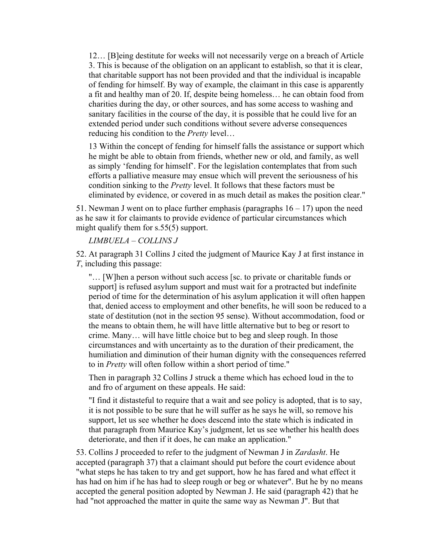12… [B]eing destitute for weeks will not necessarily verge on a breach of Article 3. This is because of the obligation on an applicant to establish, so that it is clear, that charitable support has not been provided and that the individual is incapable of fending for himself. By way of example, the claimant in this case is apparently a fit and healthy man of 20. If, despite being homeless… he can obtain food from charities during the day, or other sources, and has some access to washing and sanitary facilities in the course of the day, it is possible that he could live for an extended period under such conditions without severe adverse consequences reducing his condition to the *Pretty* level…

13 Within the concept of fending for himself falls the assistance or support which he might be able to obtain from friends, whether new or old, and family, as well as simply 'fending for himself'. For the legislation contemplates that from such efforts a palliative measure may ensue which will prevent the seriousness of his condition sinking to the *Pretty* level. It follows that these factors must be eliminated by evidence, or covered in as much detail as makes the position clear."

51. Newman J went on to place further emphasis (paragraphs  $16 - 17$ ) upon the need as he saw it for claimants to provide evidence of particular circumstances which might qualify them for s.55(5) support.

#### *LIMBUELA – COLLINS J*

52. At paragraph 31 Collins J cited the judgment of Maurice Kay J at first instance in *T*, including this passage:

"… [W]hen a person without such access [sc. to private or charitable funds or support] is refused asylum support and must wait for a protracted but indefinite period of time for the determination of his asylum application it will often happen that, denied access to employment and other benefits, he will soon be reduced to a state of destitution (not in the section 95 sense). Without accommodation, food or the means to obtain them, he will have little alternative but to beg or resort to crime. Many… will have little choice but to beg and sleep rough. In those circumstances and with uncertainty as to the duration of their predicament, the humiliation and diminution of their human dignity with the consequences referred to in *Pretty* will often follow within a short period of time."

Then in paragraph 32 Collins J struck a theme which has echoed loud in the to and fro of argument on these appeals. He said:

"I find it distasteful to require that a wait and see policy is adopted, that is to say, it is not possible to be sure that he will suffer as he says he will, so remove his support, let us see whether he does descend into the state which is indicated in that paragraph from Maurice Kay's judgment, let us see whether his health does deteriorate, and then if it does, he can make an application."

53. Collins J proceeded to refer to the judgment of Newman J in *Zardasht*. He accepted (paragraph 37) that a claimant should put before the court evidence about "what steps he has taken to try and get support, how he has fared and what effect it has had on him if he has had to sleep rough or beg or whatever". But he by no means accepted the general position adopted by Newman J. He said (paragraph 42) that he had "not approached the matter in quite the same way as Newman J". But that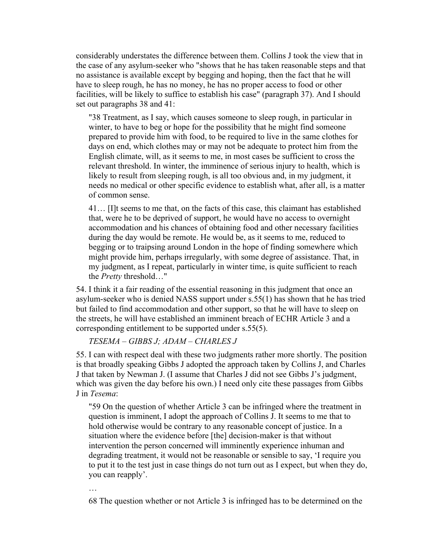considerably understates the difference between them. Collins J took the view that in the case of any asylum-seeker who "shows that he has taken reasonable steps and that no assistance is available except by begging and hoping, then the fact that he will have to sleep rough, he has no money, he has no proper access to food or other facilities, will be likely to suffice to establish his case" (paragraph 37). And I should set out paragraphs 38 and 41:

"38 Treatment, as I say, which causes someone to sleep rough, in particular in winter, to have to beg or hope for the possibility that he might find someone prepared to provide him with food, to be required to live in the same clothes for days on end, which clothes may or may not be adequate to protect him from the English climate, will, as it seems to me, in most cases be sufficient to cross the relevant threshold. In winter, the imminence of serious injury to health, which is likely to result from sleeping rough, is all too obvious and, in my judgment, it needs no medical or other specific evidence to establish what, after all, is a matter of common sense.

41… [I]t seems to me that, on the facts of this case, this claimant has established that, were he to be deprived of support, he would have no access to overnight accommodation and his chances of obtaining food and other necessary facilities during the day would be remote. He would be, as it seems to me, reduced to begging or to traipsing around London in the hope of finding somewhere which might provide him, perhaps irregularly, with some degree of assistance. That, in my judgment, as I repeat, particularly in winter time, is quite sufficient to reach the *Pretty* threshold…"

54. I think it a fair reading of the essential reasoning in this judgment that once an asylum-seeker who is denied NASS support under s.55(1) has shown that he has tried but failed to find accommodation and other support, so that he will have to sleep on the streets, he will have established an imminent breach of ECHR Article 3 and a corresponding entitlement to be supported under s.55(5).

### *TESEMA – GIBBS J; ADAM – CHARLES J*

55. I can with respect deal with these two judgments rather more shortly. The position is that broadly speaking Gibbs J adopted the approach taken by Collins J, and Charles J that taken by Newman J. (I assume that Charles J did not see Gibbs J's judgment, which was given the day before his own.) I need only cite these passages from Gibbs J in *Tesema*:

"59 On the question of whether Article 3 can be infringed where the treatment in question is imminent, I adopt the approach of Collins J. It seems to me that to hold otherwise would be contrary to any reasonable concept of justice. In a situation where the evidence before [the] decision-maker is that without intervention the person concerned will imminently experience inhuman and degrading treatment, it would not be reasonable or sensible to say, 'I require you to put it to the test just in case things do not turn out as I expect, but when they do, you can reapply'.

…

68 The question whether or not Article 3 is infringed has to be determined on the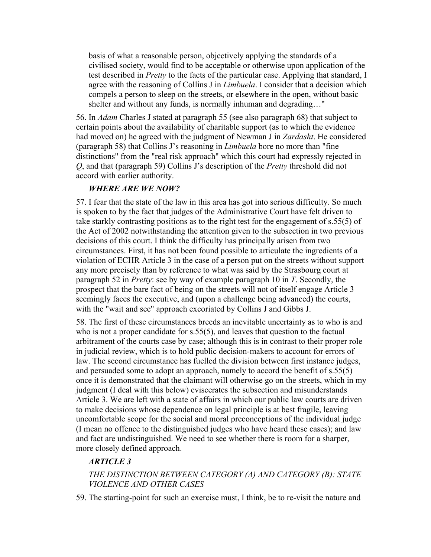basis of what a reasonable person, objectively applying the standards of a civilised society, would find to be acceptable or otherwise upon application of the test described in *Pretty* to the facts of the particular case. Applying that standard, I agree with the reasoning of Collins J in *Limbuela*. I consider that a decision which compels a person to sleep on the streets, or elsewhere in the open, without basic shelter and without any funds, is normally inhuman and degrading…"

56. In *Adam* Charles J stated at paragraph 55 (see also paragraph 68) that subject to certain points about the availability of charitable support (as to which the evidence had moved on) he agreed with the judgment of Newman J in *Zardasht*. He considered (paragraph 58) that Collins J's reasoning in *Limbuela* bore no more than "fine distinctions" from the "real risk approach" which this court had expressly rejected in *Q*, and that (paragraph 59) Collins J's description of the *Pretty* threshold did not accord with earlier authority.

## *WHERE ARE WE NOW?*

57. I fear that the state of the law in this area has got into serious difficulty. So much is spoken to by the fact that judges of the Administrative Court have felt driven to take starkly contrasting positions as to the right test for the engagement of s.55(5) of the Act of 2002 notwithstanding the attention given to the subsection in two previous decisions of this court. I think the difficulty has principally arisen from two circumstances. First, it has not been found possible to articulate the ingredients of a violation of ECHR Article 3 in the case of a person put on the streets without support any more precisely than by reference to what was said by the Strasbourg court at paragraph 52 in *Pretty*: see by way of example paragraph 10 in *T*. Secondly, the prospect that the bare fact of being on the streets will not of itself engage Article 3 seemingly faces the executive, and (upon a challenge being advanced) the courts, with the "wait and see" approach excoriated by Collins J and Gibbs J.

58. The first of these circumstances breeds an inevitable uncertainty as to who is and who is not a proper candidate for s.55(5), and leaves that question to the factual arbitrament of the courts case by case; although this is in contrast to their proper role in judicial review, which is to hold public decision-makers to account for errors of law. The second circumstance has fuelled the division between first instance judges, and persuaded some to adopt an approach, namely to accord the benefit of s.55(5) once it is demonstrated that the claimant will otherwise go on the streets, which in my judgment (I deal with this below) eviscerates the subsection and misunderstands Article 3. We are left with a state of affairs in which our public law courts are driven to make decisions whose dependence on legal principle is at best fragile, leaving uncomfortable scope for the social and moral preconceptions of the individual judge (I mean no offence to the distinguished judges who have heard these cases); and law and fact are undistinguished. We need to see whether there is room for a sharper, more closely defined approach.

# *ARTICLE 3*

# *THE DISTINCTION BETWEEN CATEGORY (A) AND CATEGORY (B): STATE VIOLENCE AND OTHER CASES*

59. The starting-point for such an exercise must, I think, be to re-visit the nature and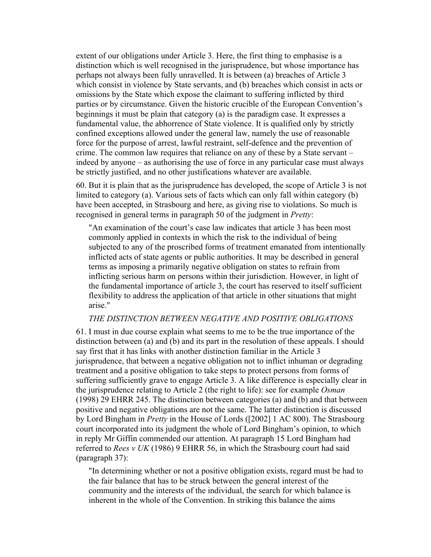extent of our obligations under Article 3. Here, the first thing to emphasise is a distinction which is well recognised in the jurisprudence, but whose importance has perhaps not always been fully unravelled. It is between (a) breaches of Article 3 which consist in violence by State servants, and (b) breaches which consist in acts or omissions by the State which expose the claimant to suffering inflicted by third parties or by circumstance. Given the historic crucible of the European Convention's beginnings it must be plain that category (a) is the paradigm case. It expresses a fundamental value, the abhorrence of State violence. It is qualified only by strictly confined exceptions allowed under the general law, namely the use of reasonable force for the purpose of arrest, lawful restraint, self-defence and the prevention of crime. The common law requires that reliance on any of these by a State servant – indeed by anyone – as authorising the use of force in any particular case must always be strictly justified, and no other justifications whatever are available.

60. But it is plain that as the jurisprudence has developed, the scope of Article 3 is not limited to category (a). Various sets of facts which can only fall within category (b) have been accepted, in Strasbourg and here, as giving rise to violations. So much is recognised in general terms in paragraph 50 of the judgment in *Pretty*:

"An examination of the court's case law indicates that article 3 has been most commonly applied in contexts in which the risk to the individual of being subjected to any of the proscribed forms of treatment emanated from intentionally inflicted acts of state agents or public authorities. It may be described in general terms as imposing a primarily negative obligation on states to refrain from inflicting serious harm on persons within their jurisdiction. However, in light of the fundamental importance of article 3, the court has reserved to itself sufficient flexibility to address the application of that article in other situations that might arise."

#### *THE DISTINCTION BETWEEN NEGATIVE AND POSITIVE OBLIGATIONS*

61. I must in due course explain what seems to me to be the true importance of the distinction between (a) and (b) and its part in the resolution of these appeals. I should say first that it has links with another distinction familiar in the Article 3 jurisprudence, that between a negative obligation not to inflict inhuman or degrading treatment and a positive obligation to take steps to protect persons from forms of suffering sufficiently grave to engage Article 3. A like difference is especially clear in the jurisprudence relating to Article 2 (the right to life): see for example *Osman*  (1998) 29 EHRR 245. The distinction between categories (a) and (b) and that between positive and negative obligations are not the same. The latter distinction is discussed by Lord Bingham in *Pretty* in the House of Lords ([2002] 1 AC 800). The Strasbourg court incorporated into its judgment the whole of Lord Bingham's opinion, to which in reply Mr Giffin commended our attention. At paragraph 15 Lord Bingham had referred to *Rees v UK* (1986) 9 EHRR 56, in which the Strasbourg court had said (paragraph 37):

"In determining whether or not a positive obligation exists, regard must be had to the fair balance that has to be struck between the general interest of the community and the interests of the individual, the search for which balance is inherent in the whole of the Convention. In striking this balance the aims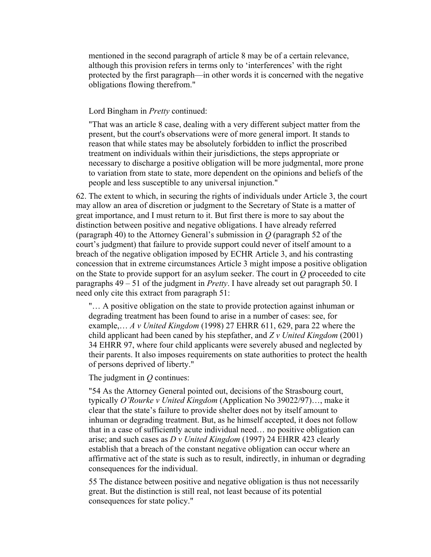mentioned in the second paragraph of article 8 may be of a certain relevance, although this provision refers in terms only to 'interferences' with the right protected by the first paragraph—in other words it is concerned with the negative obligations flowing therefrom."

#### Lord Bingham in *Pretty* continued:

"That was an article 8 case, dealing with a very different subject matter from the present, but the court's observations were of more general import. It stands to reason that while states may be absolutely forbidden to inflict the proscribed treatment on individuals within their jurisdictions, the steps appropriate or necessary to discharge a positive obligation will be more judgmental, more prone to variation from state to state, more dependent on the opinions and beliefs of the people and less susceptible to any universal injunction."

62. The extent to which, in securing the rights of individuals under Article 3, the court may allow an area of discretion or judgment to the Secretary of State is a matter of great importance, and I must return to it. But first there is more to say about the distinction between positive and negative obligations. I have already referred (paragraph 40) to the Attorney General's submission in *Q* (paragraph 52 of the court's judgment) that failure to provide support could never of itself amount to a breach of the negative obligation imposed by ECHR Article 3, and his contrasting concession that in extreme circumstances Article 3 might impose a positive obligation on the State to provide support for an asylum seeker. The court in *Q* proceeded to cite paragraphs 49 – 51 of the judgment in *Pretty*. I have already set out paragraph 50. I need only cite this extract from paragraph 51:

"… A positive obligation on the state to provide protection against inhuman or degrading treatment has been found to arise in a number of cases: see, for example,… *A v United Kingdom* (1998) 27 EHRR 611, 629, para 22 where the child applicant had been caned by his stepfather, and *Z v United Kingdom* (2001) 34 EHRR 97, where four child applicants were severely abused and neglected by their parents. It also imposes requirements on state authorities to protect the health of persons deprived of liberty."

The judgment in *Q* continues:

"54 As the Attorney General pointed out, decisions of the Strasbourg court, typically *O'Rourke v United Kingdom* (Application No 39022/97)…, make it clear that the state's failure to provide shelter does not by itself amount to inhuman or degrading treatment. But, as he himself accepted, it does not follow that in a case of sufficiently acute individual need… no positive obligation can arise; and such cases as *D v United Kingdom* (1997) 24 EHRR 423 clearly establish that a breach of the constant negative obligation can occur where an affirmative act of the state is such as to result, indirectly, in inhuman or degrading consequences for the individual.

55 The distance between positive and negative obligation is thus not necessarily great. But the distinction is still real, not least because of its potential consequences for state policy."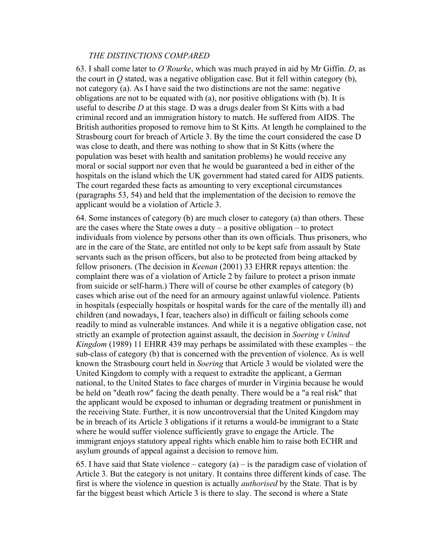#### *THE DISTINCTIONS COMPARED*

63. I shall come later to *O'Rourke*, which was much prayed in aid by Mr Giffin. *D*, as the court in  $\hat{O}$  stated, was a negative obligation case. But it fell within category (b), not category (a). As I have said the two distinctions are not the same: negative obligations are not to be equated with (a), nor positive obligations with (b). It is useful to describe *D* at this stage. D was a drugs dealer from St Kitts with a bad criminal record and an immigration history to match. He suffered from AIDS. The British authorities proposed to remove him to St Kitts. At length he complained to the Strasbourg court for breach of Article 3. By the time the court considered the case D was close to death, and there was nothing to show that in St Kitts (where the population was beset with health and sanitation problems) he would receive any moral or social support nor even that he would be guaranteed a bed in either of the hospitals on the island which the UK government had stated cared for AIDS patients. The court regarded these facts as amounting to very exceptional circumstances (paragraphs 53, 54) and held that the implementation of the decision to remove the applicant would be a violation of Article 3.

64. Some instances of category (b) are much closer to category (a) than others. These are the cases where the State owes a duty – a positive obligation – to protect individuals from violence by persons other than its own officials. Thus prisoners, who are in the care of the State, are entitled not only to be kept safe from assault by State servants such as the prison officers, but also to be protected from being attacked by fellow prisoners. (The decision in *Keenan* (2001) 33 EHRR repays attention: the complaint there was of a violation of Article 2 by failure to protect a prison inmate from suicide or self-harm.) There will of course be other examples of category (b) cases which arise out of the need for an armoury against unlawful violence. Patients in hospitals (especially hospitals or hospital wards for the care of the mentally ill) and children (and nowadays, I fear, teachers also) in difficult or failing schools come readily to mind as vulnerable instances. And while it is a negative obligation case, not strictly an example of protection against assault, the decision in *Soering v United Kingdom* (1989) 11 EHRR 439 may perhaps be assimilated with these examples – the sub-class of category (b) that is concerned with the prevention of violence. As is well known the Strasbourg court held in *Soering* that Article 3 would be violated were the United Kingdom to comply with a request to extradite the applicant, a German national, to the United States to face charges of murder in Virginia because he would be held on "death row" facing the death penalty. There would be a "a real risk" that the applicant would be exposed to inhuman or degrading treatment or punishment in the receiving State. Further, it is now uncontroversial that the United Kingdom may be in breach of its Article 3 obligations if it returns a would-be immigrant to a State where he would suffer violence sufficiently grave to engage the Article. The immigrant enjoys statutory appeal rights which enable him to raise both ECHR and asylum grounds of appeal against a decision to remove him.

65. I have said that State violence – category  $(a)$  – is the paradigm case of violation of Article 3. But the category is not unitary. It contains three different kinds of case. The first is where the violence in question is actually *authorised* by the State. That is by far the biggest beast which Article 3 is there to slay. The second is where a State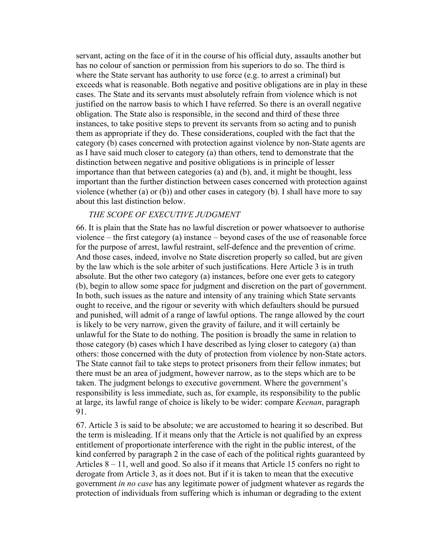servant, acting on the face of it in the course of his official duty, assaults another but has no colour of sanction or permission from his superiors to do so. The third is where the State servant has authority to use force (e.g. to arrest a criminal) but exceeds what is reasonable. Both negative and positive obligations are in play in these cases. The State and its servants must absolutely refrain from violence which is not justified on the narrow basis to which I have referred. So there is an overall negative obligation. The State also is responsible, in the second and third of these three instances, to take positive steps to prevent its servants from so acting and to punish them as appropriate if they do. These considerations, coupled with the fact that the category (b) cases concerned with protection against violence by non-State agents are as I have said much closer to category (a) than others, tend to demonstrate that the distinction between negative and positive obligations is in principle of lesser importance than that between categories (a) and (b), and, it might be thought, less important than the further distinction between cases concerned with protection against violence (whether (a) or (b)) and other cases in category (b). I shall have more to say about this last distinction below.

#### *THE SCOPE OF EXECUTIVE JUDGMENT*

66. It is plain that the State has no lawful discretion or power whatsoever to authorise violence – the first category (a) instance – beyond cases of the use of reasonable force for the purpose of arrest, lawful restraint, self-defence and the prevention of crime. And those cases, indeed, involve no State discretion properly so called, but are given by the law which is the sole arbiter of such justifications. Here Article 3 is in truth absolute. But the other two category (a) instances, before one ever gets to category (b), begin to allow some space for judgment and discretion on the part of government. In both, such issues as the nature and intensity of any training which State servants ought to receive, and the rigour or severity with which defaulters should be pursued and punished, will admit of a range of lawful options. The range allowed by the court is likely to be very narrow, given the gravity of failure, and it will certainly be unlawful for the State to do nothing. The position is broadly the same in relation to those category (b) cases which I have described as lying closer to category (a) than others: those concerned with the duty of protection from violence by non-State actors. The State cannot fail to take steps to protect prisoners from their fellow inmates; but there must be an area of judgment, however narrow, as to the steps which are to be taken. The judgment belongs to executive government. Where the government's responsibility is less immediate, such as, for example, its responsibility to the public at large, its lawful range of choice is likely to be wider: compare *Keenan*, paragraph 91.

67. Article 3 is said to be absolute; we are accustomed to hearing it so described. But the term is misleading. If it means only that the Article is not qualified by an express entitlement of proportionate interference with the right in the public interest, of the kind conferred by paragraph 2 in the case of each of the political rights guaranteed by Articles 8 – 11, well and good. So also if it means that Article 15 confers no right to derogate from Article 3, as it does not. But if it is taken to mean that the executive government *in no case* has any legitimate power of judgment whatever as regards the protection of individuals from suffering which is inhuman or degrading to the extent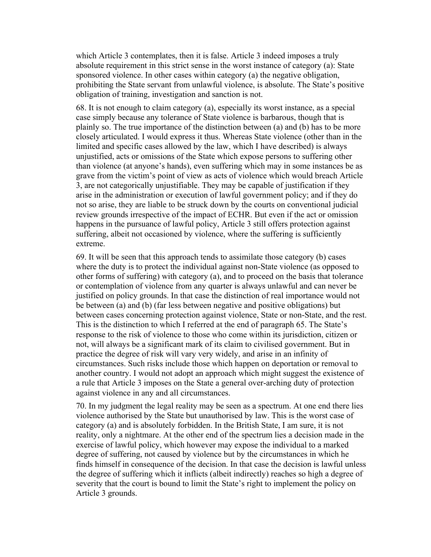which Article 3 contemplates, then it is false. Article 3 indeed imposes a truly absolute requirement in this strict sense in the worst instance of category (a): State sponsored violence. In other cases within category (a) the negative obligation, prohibiting the State servant from unlawful violence, is absolute. The State's positive obligation of training, investigation and sanction is not.

68. It is not enough to claim category (a), especially its worst instance, as a special case simply because any tolerance of State violence is barbarous, though that is plainly so. The true importance of the distinction between (a) and (b) has to be more closely articulated. I would express it thus. Whereas State violence (other than in the limited and specific cases allowed by the law, which I have described) is always unjustified, acts or omissions of the State which expose persons to suffering other than violence (at anyone's hands), even suffering which may in some instances be as grave from the victim's point of view as acts of violence which would breach Article 3, are not categorically unjustifiable. They may be capable of justification if they arise in the administration or execution of lawful government policy; and if they do not so arise, they are liable to be struck down by the courts on conventional judicial review grounds irrespective of the impact of ECHR. But even if the act or omission happens in the pursuance of lawful policy, Article 3 still offers protection against suffering, albeit not occasioned by violence, where the suffering is sufficiently extreme.

69. It will be seen that this approach tends to assimilate those category (b) cases where the duty is to protect the individual against non-State violence (as opposed to other forms of suffering) with category (a), and to proceed on the basis that tolerance or contemplation of violence from any quarter is always unlawful and can never be justified on policy grounds. In that case the distinction of real importance would not be between (a) and (b) (far less between negative and positive obligations) but between cases concerning protection against violence, State or non-State, and the rest. This is the distinction to which I referred at the end of paragraph 65. The State's response to the risk of violence to those who come within its jurisdiction, citizen or not, will always be a significant mark of its claim to civilised government. But in practice the degree of risk will vary very widely, and arise in an infinity of circumstances. Such risks include those which happen on deportation or removal to another country. I would not adopt an approach which might suggest the existence of a rule that Article 3 imposes on the State a general over-arching duty of protection against violence in any and all circumstances.

70. In my judgment the legal reality may be seen as a spectrum. At one end there lies violence authorised by the State but unauthorised by law. This is the worst case of category (a) and is absolutely forbidden. In the British State, I am sure, it is not reality, only a nightmare. At the other end of the spectrum lies a decision made in the exercise of lawful policy, which however may expose the individual to a marked degree of suffering, not caused by violence but by the circumstances in which he finds himself in consequence of the decision. In that case the decision is lawful unless the degree of suffering which it inflicts (albeit indirectly) reaches so high a degree of severity that the court is bound to limit the State's right to implement the policy on Article 3 grounds.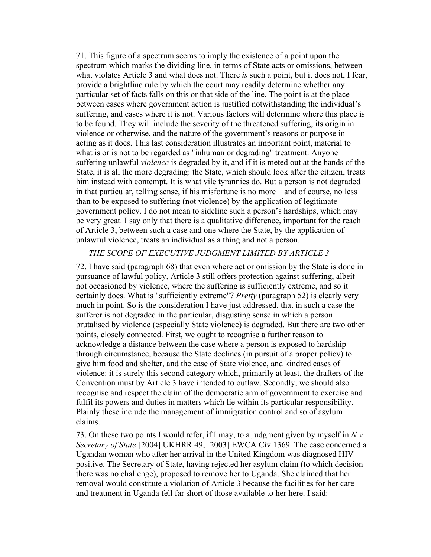71. This figure of a spectrum seems to imply the existence of a point upon the spectrum which marks the dividing line, in terms of State acts or omissions, between what violates Article 3 and what does not. There *is* such a point, but it does not, I fear, provide a brightline rule by which the court may readily determine whether any particular set of facts falls on this or that side of the line. The point is at the place between cases where government action is justified notwithstanding the individual's suffering, and cases where it is not. Various factors will determine where this place is to be found. They will include the severity of the threatened suffering, its origin in violence or otherwise, and the nature of the government's reasons or purpose in acting as it does. This last consideration illustrates an important point, material to what is or is not to be regarded as "inhuman or degrading" treatment. Anyone suffering unlawful *violence* is degraded by it, and if it is meted out at the hands of the State, it is all the more degrading: the State, which should look after the citizen, treats him instead with contempt. It is what vile tyrannies do. But a person is not degraded in that particular, telling sense, if his misfortune is no more – and of course, no less – than to be exposed to suffering (not violence) by the application of legitimate government policy. I do not mean to sideline such a person's hardships, which may be very great. I say only that there is a qualitative difference, important for the reach of Article 3, between such a case and one where the State, by the application of unlawful violence, treats an individual as a thing and not a person.

## *THE SCOPE OF EXECUTIVE JUDGMENT LIMITED BY ARTICLE 3*

72. I have said (paragraph 68) that even where act or omission by the State is done in pursuance of lawful policy, Article 3 still offers protection against suffering, albeit not occasioned by violence, where the suffering is sufficiently extreme, and so it certainly does. What is "sufficiently extreme"? *Pretty* (paragraph 52) is clearly very much in point. So is the consideration I have just addressed, that in such a case the sufferer is not degraded in the particular, disgusting sense in which a person brutalised by violence (especially State violence) is degraded. But there are two other points, closely connected. First, we ought to recognise a further reason to acknowledge a distance between the case where a person is exposed to hardship through circumstance, because the State declines (in pursuit of a proper policy) to give him food and shelter, and the case of State violence, and kindred cases of violence: it is surely this second category which, primarily at least, the drafters of the Convention must by Article 3 have intended to outlaw. Secondly, we should also recognise and respect the claim of the democratic arm of government to exercise and fulfil its powers and duties in matters which lie within its particular responsibility. Plainly these include the management of immigration control and so of asylum claims.

73. On these two points I would refer, if I may, to a judgment given by myself in *N v Secretary of State* [2004] UKHRR 49, [2003] EWCA Civ 1369. The case concerned a Ugandan woman who after her arrival in the United Kingdom was diagnosed HIVpositive. The Secretary of State, having rejected her asylum claim (to which decision there was no challenge), proposed to remove her to Uganda. She claimed that her removal would constitute a violation of Article 3 because the facilities for her care and treatment in Uganda fell far short of those available to her here. I said: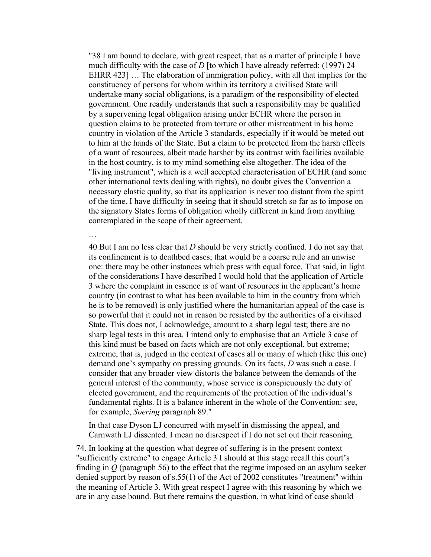"38 I am bound to declare, with great respect, that as a matter of principle I have much difficulty with the case of  $D$  [to which I have already referred: (1997) 24 EHRR 423] … The elaboration of immigration policy, with all that implies for the constituency of persons for whom within its territory a civilised State will undertake many social obligations, is a paradigm of the responsibility of elected government. One readily understands that such a responsibility may be qualified by a supervening legal obligation arising under ECHR where the person in question claims to be protected from torture or other mistreatment in his home country in violation of the Article 3 standards, especially if it would be meted out to him at the hands of the State. But a claim to be protected from the harsh effects of a want of resources, albeit made harsher by its contrast with facilities available in the host country, is to my mind something else altogether. The idea of the "living instrument", which is a well accepted characterisation of ECHR (and some other international texts dealing with rights), no doubt gives the Convention a necessary elastic quality, so that its application is never too distant from the spirit of the time. I have difficulty in seeing that it should stretch so far as to impose on the signatory States forms of obligation wholly different in kind from anything contemplated in the scope of their agreement.

# …

40 But I am no less clear that *D* should be very strictly confined. I do not say that its confinement is to deathbed cases; that would be a coarse rule and an unwise one: there may be other instances which press with equal force. That said, in light of the considerations I have described I would hold that the application of Article 3 where the complaint in essence is of want of resources in the applicant's home country (in contrast to what has been available to him in the country from which he is to be removed) is only justified where the humanitarian appeal of the case is so powerful that it could not in reason be resisted by the authorities of a civilised State. This does not, I acknowledge, amount to a sharp legal test; there are no sharp legal tests in this area. I intend only to emphasise that an Article 3 case of this kind must be based on facts which are not only exceptional, but extreme; extreme, that is, judged in the context of cases all or many of which (like this one) demand one's sympathy on pressing grounds. On its facts, *D* was such a case. I consider that any broader view distorts the balance between the demands of the general interest of the community, whose service is conspicuously the duty of elected government, and the requirements of the protection of the individual's fundamental rights. It is a balance inherent in the whole of the Convention: see, for example, *Soering* paragraph 89."

In that case Dyson LJ concurred with myself in dismissing the appeal, and Carnwath LJ dissented. I mean no disrespect if I do not set out their reasoning.

74. In looking at the question what degree of suffering is in the present context "sufficiently extreme" to engage Article 3 I should at this stage recall this court's finding in *Q* (paragraph 56) to the effect that the regime imposed on an asylum seeker denied support by reason of s.55(1) of the Act of 2002 constitutes "treatment" within the meaning of Article 3. With great respect I agree with this reasoning by which we are in any case bound. But there remains the question, in what kind of case should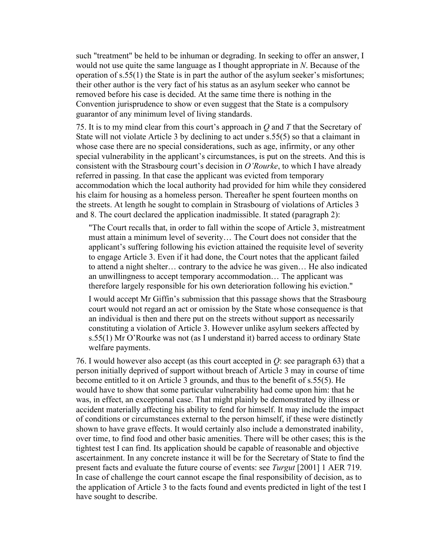such "treatment" be held to be inhuman or degrading. In seeking to offer an answer, I would not use quite the same language as I thought appropriate in *N*. Because of the operation of s.55(1) the State is in part the author of the asylum seeker's misfortunes; their other author is the very fact of his status as an asylum seeker who cannot be removed before his case is decided. At the same time there is nothing in the Convention jurisprudence to show or even suggest that the State is a compulsory guarantor of any minimum level of living standards.

75. It is to my mind clear from this court's approach in *Q* and *T* that the Secretary of State will not violate Article 3 by declining to act under s.55(5) so that a claimant in whose case there are no special considerations, such as age, infirmity, or any other special vulnerability in the applicant's circumstances, is put on the streets. And this is consistent with the Strasbourg court's decision in *O'Rourke*, to which I have already referred in passing. In that case the applicant was evicted from temporary accommodation which the local authority had provided for him while they considered his claim for housing as a homeless person. Thereafter he spent fourteen months on the streets. At length he sought to complain in Strasbourg of violations of Articles 3 and 8. The court declared the application inadmissible. It stated (paragraph 2):

"The Court recalls that, in order to fall within the scope of Article 3, mistreatment must attain a minimum level of severity… The Court does not consider that the applicant's suffering following his eviction attained the requisite level of severity to engage Article 3. Even if it had done, the Court notes that the applicant failed to attend a night shelter… contrary to the advice he was given… He also indicated an unwillingness to accept temporary accommodation… The applicant was therefore largely responsible for his own deterioration following his eviction."

I would accept Mr Giffin's submission that this passage shows that the Strasbourg court would not regard an act or omission by the State whose consequence is that an individual is then and there put on the streets without support as necessarily constituting a violation of Article 3. However unlike asylum seekers affected by s.55(1) Mr O'Rourke was not (as I understand it) barred access to ordinary State welfare payments.

76. I would however also accept (as this court accepted in *Q*: see paragraph 63) that a person initially deprived of support without breach of Article 3 may in course of time become entitled to it on Article 3 grounds, and thus to the benefit of s.55(5). He would have to show that some particular vulnerability had come upon him: that he was, in effect, an exceptional case. That might plainly be demonstrated by illness or accident materially affecting his ability to fend for himself. It may include the impact of conditions or circumstances external to the person himself, if these were distinctly shown to have grave effects. It would certainly also include a demonstrated inability, over time, to find food and other basic amenities. There will be other cases; this is the tightest test I can find. Its application should be capable of reasonable and objective ascertainment. In any concrete instance it will be for the Secretary of State to find the present facts and evaluate the future course of events: see *Turgut* [2001] 1 AER 719. In case of challenge the court cannot escape the final responsibility of decision, as to the application of Article 3 to the facts found and events predicted in light of the test I have sought to describe.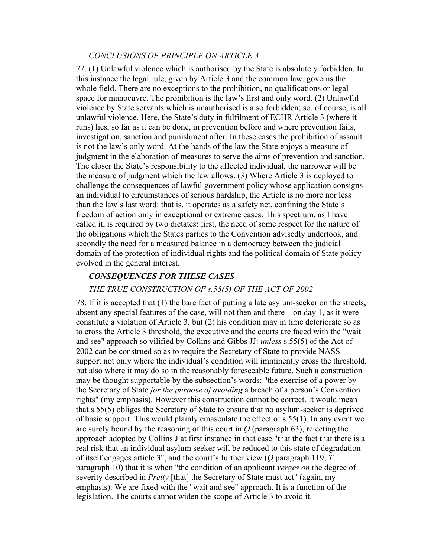#### *CONCLUSIONS OF PRINCIPLE ON ARTICLE 3*

77. (1) Unlawful violence which is authorised by the State is absolutely forbidden. In this instance the legal rule, given by Article 3 and the common law, governs the whole field. There are no exceptions to the prohibition, no qualifications or legal space for manoeuvre. The prohibition is the law's first and only word. (2) Unlawful violence by State servants which is unauthorised is also forbidden; so, of course, is all unlawful violence. Here, the State's duty in fulfilment of ECHR Article 3 (where it runs) lies, so far as it can be done, in prevention before and where prevention fails, investigation, sanction and punishment after. In these cases the prohibition of assault is not the law's only word. At the hands of the law the State enjoys a measure of judgment in the elaboration of measures to serve the aims of prevention and sanction. The closer the State's responsibility to the affected individual, the narrower will be the measure of judgment which the law allows. (3) Where Article 3 is deployed to challenge the consequences of lawful government policy whose application consigns an individual to circumstances of serious hardship, the Article is no more nor less than the law's last word: that is, it operates as a safety net, confining the State's freedom of action only in exceptional or extreme cases. This spectrum, as I have called it, is required by two dictates: first, the need of some respect for the nature of the obligations which the States parties to the Convention advisedly undertook, and secondly the need for a measured balance in a democracy between the judicial domain of the protection of individual rights and the political domain of State policy evolved in the general interest.

# *CONSEQUENCES FOR THESE CASES*

# *THE TRUE CONSTRUCTION OF s.55(5) OF THE ACT OF 2002*

78. If it is accepted that (1) the bare fact of putting a late asylum-seeker on the streets, absent any special features of the case, will not then and there – on day 1, as it were – constitute a violation of Article 3, but (2) his condition may in time deteriorate so as to cross the Article 3 threshold, the executive and the courts are faced with the "wait and see" approach so vilified by Collins and Gibbs JJ: *unless* s.55(5) of the Act of 2002 can be construed so as to require the Secretary of State to provide NASS support not only where the individual's condition will imminently cross the threshold, but also where it may do so in the reasonably foreseeable future. Such a construction may be thought supportable by the subsection's words: "the exercise of a power by the Secretary of State *for the purpose of avoiding* a breach of a person's Convention rights" (my emphasis). However this construction cannot be correct. It would mean that s.55(5) obliges the Secretary of State to ensure that no asylum-seeker is deprived of basic support. This would plainly emasculate the effect of s.55(1). In any event we are surely bound by the reasoning of this court in *Q* (paragraph 63), rejecting the approach adopted by Collins J at first instance in that case "that the fact that there is a real risk that an individual asylum seeker will be reduced to this state of degradation of itself engages article 3", and the court's further view (*Q* paragraph 119, *T*  paragraph 10) that it is when "the condition of an applicant *verges on* the degree of severity described in *Pretty* [that] the Secretary of State must act" (again, my emphasis). We are fixed with the "wait and see" approach. It is a function of the legislation. The courts cannot widen the scope of Article 3 to avoid it.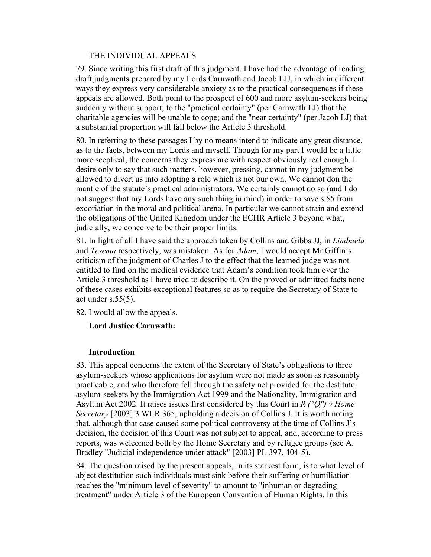#### THE INDIVIDUAL APPEALS

79. Since writing this first draft of this judgment, I have had the advantage of reading draft judgments prepared by my Lords Carnwath and Jacob LJJ, in which in different ways they express very considerable anxiety as to the practical consequences if these appeals are allowed. Both point to the prospect of 600 and more asylum-seekers being suddenly without support; to the "practical certainty" (per Carnwath LJ) that the charitable agencies will be unable to cope; and the "near certainty" (per Jacob LJ) that a substantial proportion will fall below the Article 3 threshold.

80. In referring to these passages I by no means intend to indicate any great distance, as to the facts, between my Lords and myself. Though for my part I would be a little more sceptical, the concerns they express are with respect obviously real enough. I desire only to say that such matters, however, pressing, cannot in my judgment be allowed to divert us into adopting a role which is not our own. We cannot don the mantle of the statute's practical administrators. We certainly cannot do so (and I do not suggest that my Lords have any such thing in mind) in order to save s.55 from excoriation in the moral and political arena. In particular we cannot strain and extend the obligations of the United Kingdom under the ECHR Article 3 beyond what, judicially, we conceive to be their proper limits.

81. In light of all I have said the approach taken by Collins and Gibbs JJ, in *Limbuela*  and *Tesema* respectively, was mistaken. As for *Adam*, I would accept Mr Giffin's criticism of the judgment of Charles J to the effect that the learned judge was not entitled to find on the medical evidence that Adam's condition took him over the Article 3 threshold as I have tried to describe it. On the proved or admitted facts none of these cases exhibits exceptional features so as to require the Secretary of State to act under  $s.55(5)$ .

82. I would allow the appeals.

## **Lord Justice Carnwath:**

## **Introduction**

83. This appeal concerns the extent of the Secretary of State's obligations to three asylum-seekers whose applications for asylum were not made as soon as reasonably practicable, and who therefore fell through the safety net provided for the destitute asylum-seekers by the Immigration Act 1999 and the Nationality, Immigration and Asylum Act 2002. It raises issues first considered by this Court in *R ("Q") v Home Secretary* [2003] 3 WLR 365, upholding a decision of Collins J. It is worth noting that, although that case caused some political controversy at the time of Collins J's decision, the decision of this Court was not subject to appeal, and, according to press reports, was welcomed both by the Home Secretary and by refugee groups (see A. Bradley "Judicial independence under attack" [2003] PL 397, 404-5).

84. The question raised by the present appeals, in its starkest form, is to what level of abject destitution such individuals must sink before their suffering or humiliation reaches the "minimum level of severity" to amount to "inhuman or degrading treatment" under Article 3 of the European Convention of Human Rights. In this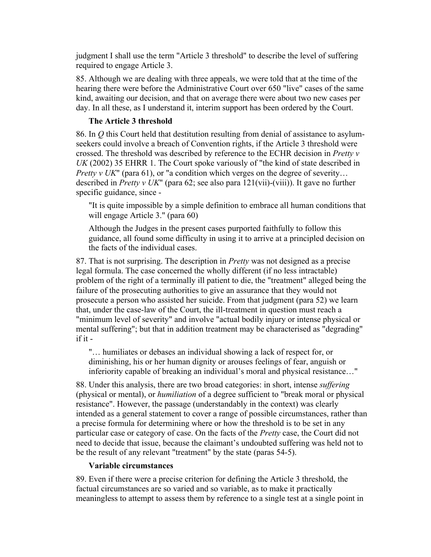judgment I shall use the term "Article 3 threshold" to describe the level of suffering required to engage Article 3.

85. Although we are dealing with three appeals, we were told that at the time of the hearing there were before the Administrative Court over 650 "live" cases of the same kind, awaiting our decision, and that on average there were about two new cases per day. In all these, as I understand it, interim support has been ordered by the Court.

## **The Article 3 threshold**

86. In *Q* this Court held that destitution resulting from denial of assistance to asylumseekers could involve a breach of Convention rights, if the Article 3 threshold were crossed. The threshold was described by reference to the ECHR decision in *Pretty v UK* (2002) 35 EHRR 1. The Court spoke variously of "the kind of state described in *Pretty v UK*" (para 61), or "a condition which verges on the degree of severity... described in *Pretty v UK*" (para 62; see also para 121(vii)-(viii)). It gave no further specific guidance, since -

"It is quite impossible by a simple definition to embrace all human conditions that will engage Article 3." (para 60)

Although the Judges in the present cases purported faithfully to follow this guidance, all found some difficulty in using it to arrive at a principled decision on the facts of the individual cases.

87. That is not surprising. The description in *Pretty* was not designed as a precise legal formula. The case concerned the wholly different (if no less intractable) problem of the right of a terminally ill patient to die, the "treatment" alleged being the failure of the prosecuting authorities to give an assurance that they would not prosecute a person who assisted her suicide. From that judgment (para 52) we learn that, under the case-law of the Court, the ill-treatment in question must reach a "minimum level of severity" and involve "actual bodily injury or intense physical or mental suffering"; but that in addition treatment may be characterised as "degrading" if it -

"… humiliates or debases an individual showing a lack of respect for, or diminishing, his or her human dignity or arouses feelings of fear, anguish or inferiority capable of breaking an individual's moral and physical resistance…"

88. Under this analysis, there are two broad categories: in short, intense *suffering* (physical or mental), or *humiliation* of a degree sufficient to "break moral or physical resistance". However, the passage (understandably in the context) was clearly intended as a general statement to cover a range of possible circumstances, rather than a precise formula for determining where or how the threshold is to be set in any particular case or category of case. On the facts of the *Pretty* case, the Court did not need to decide that issue, because the claimant's undoubted suffering was held not to be the result of any relevant "treatment" by the state (paras 54-5).

## **Variable circumstances**

89. Even if there were a precise criterion for defining the Article 3 threshold, the factual circumstances are so varied and so variable, as to make it practically meaningless to attempt to assess them by reference to a single test at a single point in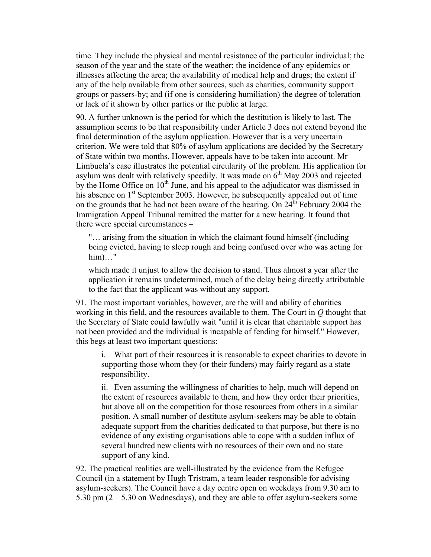time. They include the physical and mental resistance of the particular individual; the season of the year and the state of the weather; the incidence of any epidemics or illnesses affecting the area; the availability of medical help and drugs; the extent if any of the help available from other sources, such as charities, community support groups or passers-by; and (if one is considering humiliation) the degree of toleration or lack of it shown by other parties or the public at large.

90. A further unknown is the period for which the destitution is likely to last. The assumption seems to be that responsibility under Article 3 does not extend beyond the final determination of the asylum application. However that is a very uncertain criterion. We were told that 80% of asylum applications are decided by the Secretary of State within two months. However, appeals have to be taken into account. Mr Limbuela's case illustrates the potential circularity of the problem. His application for asylum was dealt with relatively speedily. It was made on  $6<sup>th</sup>$  May 2003 and rejected by the Home Office on  $10<sup>th</sup>$  June, and his appeal to the adjudicator was dismissed in his absence on  $1<sup>st</sup>$  September 2003. However, he subsequently appealed out of time on the grounds that he had not been aware of the hearing. On  $24<sup>th</sup>$  February 2004 the Immigration Appeal Tribunal remitted the matter for a new hearing. It found that there were special circumstances –

"… arising from the situation in which the claimant found himself (including being evicted, having to sleep rough and being confused over who was acting for him)…"

which made it unjust to allow the decision to stand. Thus almost a year after the application it remains undetermined, much of the delay being directly attributable to the fact that the applicant was without any support.

91. The most important variables, however, are the will and ability of charities working in this field, and the resources available to them. The Court in *Q* thought that the Secretary of State could lawfully wait "until it is clear that charitable support has not been provided and the individual is incapable of fending for himself." However, this begs at least two important questions:

i. What part of their resources it is reasonable to expect charities to devote in supporting those whom they (or their funders) may fairly regard as a state responsibility.

ii. Even assuming the willingness of charities to help, much will depend on the extent of resources available to them, and how they order their priorities, but above all on the competition for those resources from others in a similar position. A small number of destitute asylum-seekers may be able to obtain adequate support from the charities dedicated to that purpose, but there is no evidence of any existing organisations able to cope with a sudden influx of several hundred new clients with no resources of their own and no state support of any kind.

92. The practical realities are well-illustrated by the evidence from the Refugee Council (in a statement by Hugh Tristram, a team leader responsible for advising asylum-seekers). The Council have a day centre open on weekdays from 9.30 am to 5.30 pm (2 – 5.30 on Wednesdays), and they are able to offer asylum-seekers some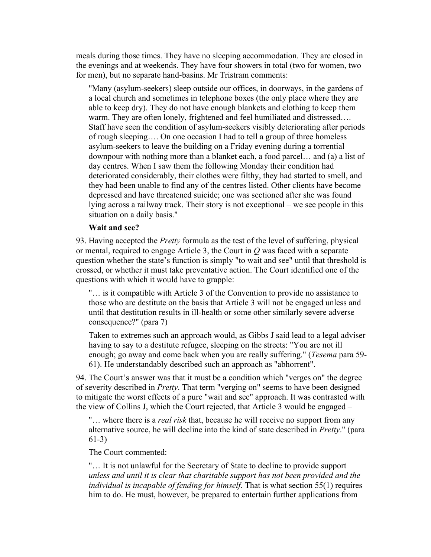meals during those times. They have no sleeping accommodation. They are closed in the evenings and at weekends. They have four showers in total (two for women, two for men), but no separate hand-basins. Mr Tristram comments:

"Many (asylum-seekers) sleep outside our offices, in doorways, in the gardens of a local church and sometimes in telephone boxes (the only place where they are able to keep dry). They do not have enough blankets and clothing to keep them warm. They are often lonely, frightened and feel humiliated and distressed.... Staff have seen the condition of asylum-seekers visibly deteriorating after periods of rough sleeping…. On one occasion I had to tell a group of three homeless asylum-seekers to leave the building on a Friday evening during a torrential downpour with nothing more than a blanket each, a food parcel… and (a) a list of day centres. When I saw them the following Monday their condition had deteriorated considerably, their clothes were filthy, they had started to smell, and they had been unable to find any of the centres listed. Other clients have become depressed and have threatened suicide; one was sectioned after she was found lying across a railway track. Their story is not exceptional – we see people in this situation on a daily basis."

#### **Wait and see?**

93. Having accepted the *Pretty* formula as the test of the level of suffering, physical or mental, required to engage Article 3, the Court in *Q* was faced with a separate question whether the state's function is simply "to wait and see" until that threshold is crossed, or whether it must take preventative action. The Court identified one of the questions with which it would have to grapple:

"… is it compatible with Article 3 of the Convention to provide no assistance to those who are destitute on the basis that Article 3 will not be engaged unless and until that destitution results in ill-health or some other similarly severe adverse consequence?" (para 7)

Taken to extremes such an approach would, as Gibbs J said lead to a legal adviser having to say to a destitute refugee, sleeping on the streets: "You are not ill enough; go away and come back when you are really suffering." (*Tesema* para 59- 61). He understandably described such an approach as "abhorrent".

94. The Court's answer was that it must be a condition which "verges on" the degree of severity described in *Pretty*. That term "verging on" seems to have been designed to mitigate the worst effects of a pure "wait and see" approach. It was contrasted with the view of Collins J, which the Court rejected, that Article 3 would be engaged –

"… where there is a *real risk* that, because he will receive no support from any alternative source, he will decline into the kind of state described in *Pretty*." (para 61-3)

The Court commented:

"… It is not unlawful for the Secretary of State to decline to provide support *unless and until it is clear that charitable support has not been provided and the individual is incapable of fending for himself*. That is what section 55(1) requires him to do. He must, however, be prepared to entertain further applications from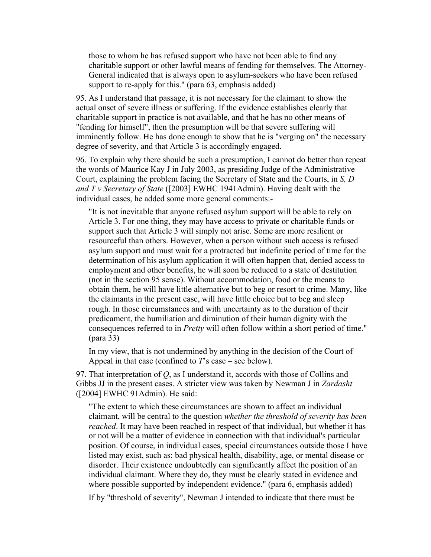those to whom he has refused support who have not been able to find any charitable support or other lawful means of fending for themselves. The Attorney-General indicated that is always open to asylum-seekers who have been refused support to re-apply for this." (para 63, emphasis added)

95. As I understand that passage, it is not necessary for the claimant to show the actual onset of severe illness or suffering. If the evidence establishes clearly that charitable support in practice is not available, and that he has no other means of "fending for himself", then the presumption will be that severe suffering will imminently follow. He has done enough to show that he is "verging on" the necessary degree of severity, and that Article 3 is accordingly engaged.

96. To explain why there should be such a presumption, I cannot do better than repeat the words of Maurice Kay J in July 2003, as presiding Judge of the Administrative Court, explaining the problem facing the Secretary of State and the Courts, in *S, D and T v Secretary of State* ([2003] EWHC 1941Admin). Having dealt with the individual cases, he added some more general comments:-

"It is not inevitable that anyone refused asylum support will be able to rely on Article 3. For one thing, they may have access to private or charitable funds or support such that Article 3 will simply not arise. Some are more resilient or resourceful than others. However, when a person without such access is refused asylum support and must wait for a protracted but indefinite period of time for the determination of his asylum application it will often happen that, denied access to employment and other benefits, he will soon be reduced to a state of destitution (not in the section 95 sense). Without accommodation, food or the means to obtain them, he will have little alternative but to beg or resort to crime. Many, like the claimants in the present case, will have little choice but to beg and sleep rough. In those circumstances and with uncertainty as to the duration of their predicament, the humiliation and diminution of their human dignity with the consequences referred to in *Pretty* will often follow within a short period of time." (para 33)

In my view, that is not undermined by anything in the decision of the Court of Appeal in that case (confined to *T*'s case – see below).

97. That interpretation of *Q*, as I understand it, accords with those of Collins and Gibbs JJ in the present cases. A stricter view was taken by Newman J in *Zardasht* ([2004] EWHC 91Admin). He said:

"The extent to which these circumstances are shown to affect an individual claimant, will be central to the question *whether the threshold of severity has been reached*. It may have been reached in respect of that individual, but whether it has or not will be a matter of evidence in connection with that individual's particular position. Of course, in individual cases, special circumstances outside those I have listed may exist, such as: bad physical health, disability, age, or mental disease or disorder. Their existence undoubtedly can significantly affect the position of an individual claimant. Where they do, they must be clearly stated in evidence and where possible supported by independent evidence." (para 6, emphasis added) If by "threshold of severity", Newman J intended to indicate that there must be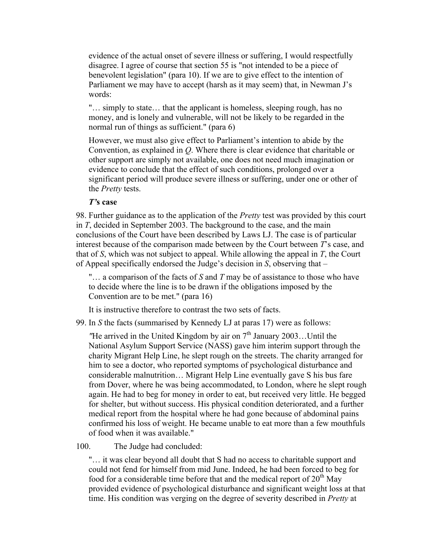evidence of the actual onset of severe illness or suffering, I would respectfully disagree. I agree of course that section 55 is "not intended to be a piece of benevolent legislation" (para 10). If we are to give effect to the intention of Parliament we may have to accept (harsh as it may seem) that, in Newman J's words:

"… simply to state… that the applicant is homeless, sleeping rough, has no money, and is lonely and vulnerable, will not be likely to be regarded in the normal run of things as sufficient." (para 6)

However, we must also give effect to Parliament's intention to abide by the Convention, as explained in *Q*. Where there is clear evidence that charitable or other support are simply not available, one does not need much imagination or evidence to conclude that the effect of such conditions, prolonged over a significant period will produce severe illness or suffering, under one or other of the *Pretty* tests.

## *T'***s case**

98. Further guidance as to the application of the *Pretty* test was provided by this court in *T*, decided in September 2003. The background to the case, and the main conclusions of the Court have been described by Laws LJ. The case is of particular interest because of the comparison made between by the Court between *T*'s case, and that of *S*, which was not subject to appeal. While allowing the appeal in *T*, the Court of Appeal specifically endorsed the Judge's decision in *S*, observing that –

"… a comparison of the facts of *S* and *T* may be of assistance to those who have to decide where the line is to be drawn if the obligations imposed by the Convention are to be met." (para 16)

It is instructive therefore to contrast the two sets of facts.

99. In *S* the facts (summarised by Kennedy LJ at paras 17) were as follows:

"He arrived in the United Kingdom by air on  $7<sup>th</sup>$  January 2003...Until the National Asylum Support Service (NASS) gave him interim support through the charity Migrant Help Line, he slept rough on the streets. The charity arranged for him to see a doctor, who reported symptoms of psychological disturbance and considerable malnutrition… Migrant Help Line eventually gave S his bus fare from Dover, where he was being accommodated, to London, where he slept rough again. He had to beg for money in order to eat, but received very little. He begged for shelter, but without success. His physical condition deteriorated, and a further medical report from the hospital where he had gone because of abdominal pains confirmed his loss of weight. He became unable to eat more than a few mouthfuls of food when it was available."

100. The Judge had concluded:

"… it was clear beyond all doubt that S had no access to charitable support and could not fend for himself from mid June. Indeed, he had been forced to beg for food for a considerable time before that and the medical report of  $20<sup>th</sup>$  May provided evidence of psychological disturbance and significant weight loss at that time. His condition was verging on the degree of severity described in *Pretty* at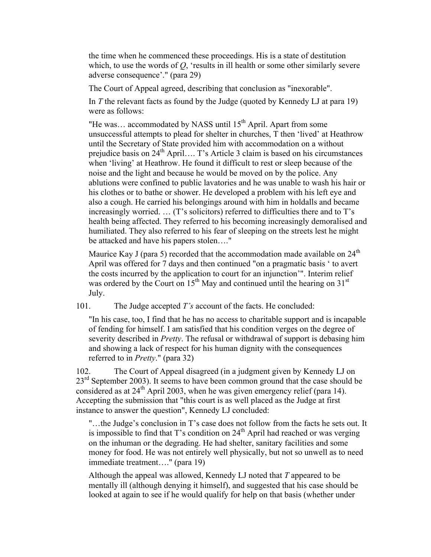the time when he commenced these proceedings. His is a state of destitution which, to use the words of *Q*, 'results in ill health or some other similarly severe adverse consequence'." (para 29)

The Court of Appeal agreed, describing that conclusion as "inexorable".

In *T* the relevant facts as found by the Judge (quoted by Kennedy LJ at para 19) were as follows:

"He was... accommodated by NASS until  $15<sup>th</sup>$  April. Apart from some unsuccessful attempts to plead for shelter in churches, T then 'lived' at Heathrow until the Secretary of State provided him with accommodation on a without prejudice basis on 24<sup>th</sup> April…. T's Article 3 claim is based on his circumstances when 'living' at Heathrow. He found it difficult to rest or sleep because of the noise and the light and because he would be moved on by the police. Any ablutions were confined to public lavatories and he was unable to wash his hair or his clothes or to bathe or shower. He developed a problem with his left eye and also a cough. He carried his belongings around with him in holdalls and became increasingly worried. … (T's solicitors) referred to difficulties there and to T's health being affected. They referred to his becoming increasingly demoralised and humiliated. They also referred to his fear of sleeping on the streets lest he might be attacked and have his papers stolen…."

Maurice Kay J (para 5) recorded that the accommodation made available on  $24<sup>th</sup>$ April was offered for 7 days and then continued "on a pragmatic basis ' to avert the costs incurred by the application to court for an injunction'". Interim relief was ordered by the Court on  $15<sup>th</sup>$  May and continued until the hearing on  $31<sup>st</sup>$ July.

101. The Judge accepted *T's* account of the facts. He concluded:

"In his case, too, I find that he has no access to charitable support and is incapable of fending for himself. I am satisfied that his condition verges on the degree of severity described in *Pretty*. The refusal or withdrawal of support is debasing him and showing a lack of respect for his human dignity with the consequences referred to in *Pretty*." (para 32)

102. The Court of Appeal disagreed (in a judgment given by Kennedy LJ on 23<sup>rd</sup> September 2003). It seems to have been common ground that the case should be considered as at 24<sup>th</sup> April 2003, when he was given emergency relief (para 14). Accepting the submission that "this court is as well placed as the Judge at first instance to answer the question", Kennedy LJ concluded:

"…the Judge's conclusion in T's case does not follow from the facts he sets out. It is impossible to find that T's condition on  $24<sup>th</sup>$  April had reached or was verging on the inhuman or the degrading. He had shelter, sanitary facilities and some money for food. He was not entirely well physically, but not so unwell as to need immediate treatment…." (para 19)

Although the appeal was allowed, Kennedy LJ noted that *T* appeared to be mentally ill (although denying it himself), and suggested that his case should be looked at again to see if he would qualify for help on that basis (whether under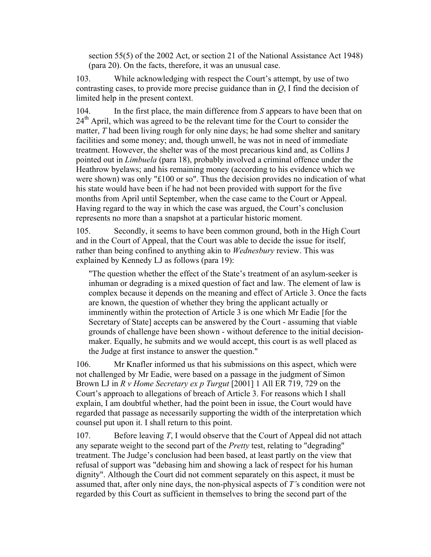section 55(5) of the 2002 Act, or section 21 of the National Assistance Act 1948) (para 20). On the facts, therefore, it was an unusual case.

103. While acknowledging with respect the Court's attempt, by use of two contrasting cases, to provide more precise guidance than in *Q*, I find the decision of limited help in the present context.

104. In the first place, the main difference from *S* appears to have been that on 24<sup>th</sup> April, which was agreed to be the relevant time for the Court to consider the matter, *T* had been living rough for only nine days; he had some shelter and sanitary facilities and some money; and, though unwell, he was not in need of immediate treatment. However, the shelter was of the most precarious kind and, as Collins J pointed out in *Limbuela* (para 18), probably involved a criminal offence under the Heathrow byelaws; and his remaining money (according to his evidence which we were shown) was only "£100 or so". Thus the decision provides no indication of what his state would have been if he had not been provided with support for the five months from April until September, when the case came to the Court or Appeal. Having regard to the way in which the case was argued, the Court's conclusion represents no more than a snapshot at a particular historic moment.

105. Secondly, it seems to have been common ground, both in the High Court and in the Court of Appeal, that the Court was able to decide the issue for itself, rather than being confined to anything akin to *Wednesbury* review. This was explained by Kennedy LJ as follows (para 19):

"The question whether the effect of the State's treatment of an asylum-seeker is inhuman or degrading is a mixed question of fact and law. The element of law is complex because it depends on the meaning and effect of Article 3. Once the facts are known, the question of whether they bring the applicant actually or imminently within the protection of Article 3 is one which Mr Eadie [for the Secretary of State] accepts can be answered by the Court - assuming that viable grounds of challenge have been shown - without deference to the initial decisionmaker. Equally, he submits and we would accept, this court is as well placed as the Judge at first instance to answer the question."

106. Mr Knafler informed us that his submissions on this aspect, which were not challenged by Mr Eadie, were based on a passage in the judgment of Simon Brown LJ in *R v Home Secretary ex p Turgut* [2001] 1 All ER 719, 729 on the Court's approach to allegations of breach of Article 3. For reasons which I shall explain, I am doubtful whether, had the point been in issue, the Court would have regarded that passage as necessarily supporting the width of the interpretation which counsel put upon it. I shall return to this point.

107. Before leaving *T*, I would observe that the Court of Appeal did not attach any separate weight to the second part of the *Pretty* test, relating to "degrading" treatment. The Judge's conclusion had been based, at least partly on the view that refusal of support was "debasing him and showing a lack of respect for his human dignity". Although the Court did not comment separately on this aspect, it must be assumed that, after only nine days, the non-physical aspects of *T'*s condition were not regarded by this Court as sufficient in themselves to bring the second part of the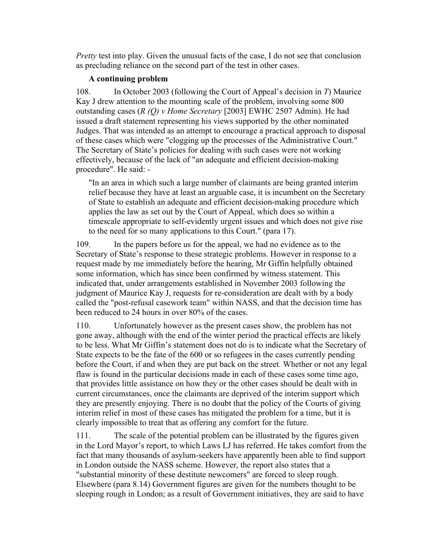*Pretty* test into play. Given the unusual facts of the case, I do not see that conclusion as precluding reliance on the second part of the test in other cases.

## **A continuing problem**

108. In October 2003 (following the Court of Appeal's decision in *T*) Maurice Kay J drew attention to the mounting scale of the problem, involving some 800 outstanding cases (*R (Q) v Home Secretary* [2003] EWHC 2507 Admin). He had issued a draft statement representing his views supported by the other nominated Judges. That was intended as an attempt to encourage a practical approach to disposal of these cases which were "clogging up the processes of the Administrative Court." The Secretary of State's policies for dealing with such cases were not working effectively, because of the lack of "an adequate and efficient decision-making procedure". He said: -

"In an area in which such a large number of claimants are being granted interim relief because they have at least an arguable case, it is incumbent on the Secretary of State to establish an adequate and efficient decision-making procedure which applies the law as set out by the Court of Appeal, which does so within a timescale appropriate to self-evidently urgent issues and which does not give rise to the need for so many applications to this Court." (para 17).

109. In the papers before us for the appeal, we had no evidence as to the Secretary of State's response to these strategic problems. However in response to a request made by me immediately before the hearing, Mr Giffin helpfully obtained some information, which has since been confirmed by witness statement. This indicated that, under arrangements established in November 2003 following the judgment of Maurice Kay J, requests for re-consideration are dealt with by a body called the "post-refusal casework team" within NASS, and that the decision time has been reduced to 24 hours in over 80% of the cases.

110. Unfortunately however as the present cases show, the problem has not gone away, although with the end of the winter period the practical effects are likely to be less. What Mr Giffin's statement does not do is to indicate what the Secretary of State expects to be the fate of the 600 or so refugees in the cases currently pending before the Court, if and when they are put back on the street. Whether or not any legal flaw is found in the particular decisions made in each of these cases some time ago, that provides little assistance on how they or the other cases should be dealt with in current circumstances, once the claimants are deprived of the interim support which they are presently enjoying. There is no doubt that the policy of the Courts of giving interim relief in most of these cases has mitigated the problem for a time, but it is clearly impossible to treat that as offering any comfort for the future.

111. The scale of the potential problem can be illustrated by the figures given in the Lord Mayor's report, to which Laws LJ has referred. He takes comfort from the fact that many thousands of asylum-seekers have apparently been able to find support in London outside the NASS scheme. However, the report also states that a "substantial minority of these destitute newcomers" are forced to sleep rough. Elsewhere (para 8.14) Government figures are given for the numbers thought to be sleeping rough in London; as a result of Government initiatives, they are said to have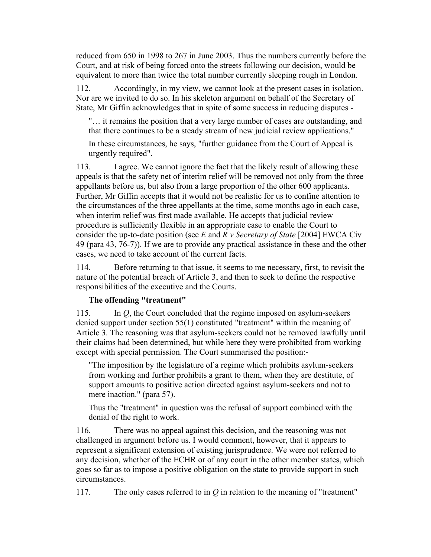reduced from 650 in 1998 to 267 in June 2003. Thus the numbers currently before the Court, and at risk of being forced onto the streets following our decision, would be equivalent to more than twice the total number currently sleeping rough in London.

112. Accordingly, in my view, we cannot look at the present cases in isolation. Nor are we invited to do so. In his skeleton argument on behalf of the Secretary of State, Mr Giffin acknowledges that in spite of some success in reducing disputes -

"… it remains the position that a very large number of cases are outstanding, and that there continues to be a steady stream of new judicial review applications."

In these circumstances, he says, "further guidance from the Court of Appeal is urgently required".

113. I agree. We cannot ignore the fact that the likely result of allowing these appeals is that the safety net of interim relief will be removed not only from the three appellants before us, but also from a large proportion of the other 600 applicants. Further, Mr Giffin accepts that it would not be realistic for us to confine attention to the circumstances of the three appellants at the time, some months ago in each case, when interim relief was first made available. He accepts that judicial review procedure is sufficiently flexible in an appropriate case to enable the Court to consider the up-to-date position (see *E* and *R v Secretary of State* [2004] EWCA Civ 49 (para 43, 76-7)). If we are to provide any practical assistance in these and the other cases, we need to take account of the current facts.

114. Before returning to that issue, it seems to me necessary, first, to revisit the nature of the potential breach of Article 3, and then to seek to define the respective responsibilities of the executive and the Courts.

# **The offending "treatment"**

115. In *Q*, the Court concluded that the regime imposed on asylum-seekers denied support under section 55(1) constituted "treatment" within the meaning of Article 3. The reasoning was that asylum-seekers could not be removed lawfully until their claims had been determined, but while here they were prohibited from working except with special permission. The Court summarised the position:-

"The imposition by the legislature of a regime which prohibits asylum-seekers from working and further prohibits a grant to them, when they are destitute, of support amounts to positive action directed against asylum-seekers and not to mere inaction." (para 57).

Thus the "treatment" in question was the refusal of support combined with the denial of the right to work.

116. There was no appeal against this decision, and the reasoning was not challenged in argument before us. I would comment, however, that it appears to represent a significant extension of existing jurisprudence. We were not referred to any decision, whether of the ECHR or of any court in the other member states, which goes so far as to impose a positive obligation on the state to provide support in such circumstances.

117. The only cases referred to in *Q* in relation to the meaning of "treatment"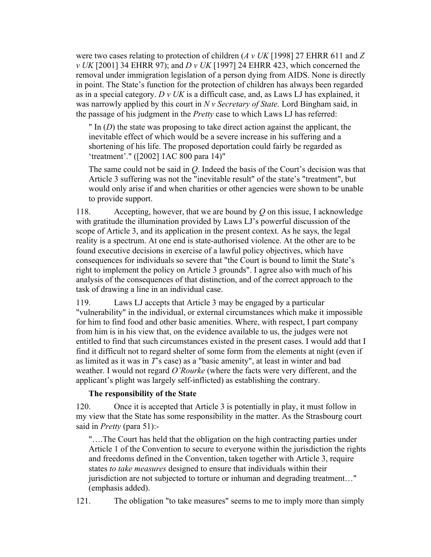were two cases relating to protection of children (*A v UK* [1998] 27 EHRR 611 and *Z v UK* [2001] 34 EHRR 97); and *D v UK* [1997] 24 EHRR 423, which concerned the removal under immigration legislation of a person dying from AIDS. None is directly in point. The State's function for the protection of children has always been regarded as in a special category. *D v UK* is a difficult case, and, as Laws LJ has explained, it was narrowly applied by this court in *N v Secretary of State.* Lord Bingham said, in the passage of his judgment in the *Pretty* case to which Laws LJ has referred:

" In (*D*) the state was proposing to take direct action against the applicant, the inevitable effect of which would be a severe increase in his suffering and a shortening of his life. The proposed deportation could fairly be regarded as 'treatment'." ([2002] 1AC 800 para 14)"

The same could not be said in *Q*. Indeed the basis of the Court's decision was that Article 3 suffering was not the "inevitable result" of the state's "treatment", but would only arise if and when charities or other agencies were shown to be unable to provide support.

118. Accepting, however, that we are bound by *Q* on this issue, I acknowledge with gratitude the illumination provided by Laws LJ's powerful discussion of the scope of Article 3, and its application in the present context. As he says, the legal reality is a spectrum. At one end is state-authorised violence. At the other are to be found executive decisions in exercise of a lawful policy objectives, which have consequences for individuals so severe that "the Court is bound to limit the State's right to implement the policy on Article 3 grounds". I agree also with much of his analysis of the consequences of that distinction, and of the correct approach to the task of drawing a line in an individual case.

119. Laws LJ accepts that Article 3 may be engaged by a particular "vulnerability" in the individual, or external circumstances which make it impossible for him to find food and other basic amenities. Where, with respect, I part company from him is in his view that, on the evidence available to us, the judges were not entitled to find that such circumstances existed in the present cases. I would add that I find it difficult not to regard shelter of some form from the elements at night (even if as limited as it was in *T*'s case) as a "basic amenity", at least in winter and bad weather. I would not regard *O'Rourke* (where the facts were very different, and the applicant's plight was largely self-inflicted) as establishing the contrary.

## **The responsibility of the State**

120. Once it is accepted that Article 3 is potentially in play, it must follow in my view that the State has some responsibility in the matter. As the Strasbourg court said in *Pretty* (para 51):-

"….The Court has held that the obligation on the high contracting parties under Article 1 of the Convention to secure to everyone within the jurisdiction the rights and freedoms defined in the Convention, taken together with Article 3, require states *to take measures* designed to ensure that individuals within their jurisdiction are not subjected to torture or inhuman and degrading treatment…" (emphasis added).

121. The obligation "to take measures" seems to me to imply more than simply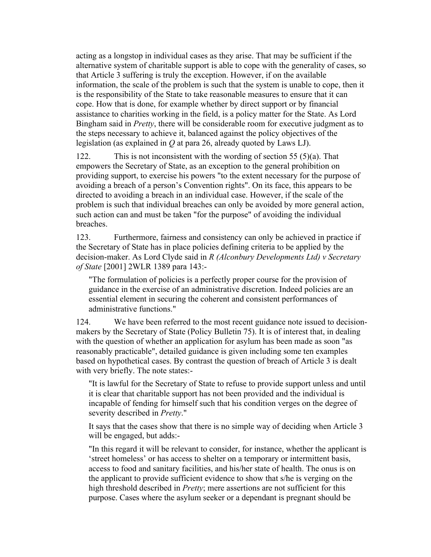acting as a longstop in individual cases as they arise. That may be sufficient if the alternative system of charitable support is able to cope with the generality of cases, so that Article 3 suffering is truly the exception. However, if on the available information, the scale of the problem is such that the system is unable to cope, then it is the responsibility of the State to take reasonable measures to ensure that it can cope. How that is done, for example whether by direct support or by financial assistance to charities working in the field, is a policy matter for the State. As Lord Bingham said in *Pretty*, there will be considerable room for executive judgment as to the steps necessary to achieve it, balanced against the policy objectives of the legislation (as explained in *Q* at para 26, already quoted by Laws LJ).

122. This is not inconsistent with the wording of section 55  $(5)(a)$ . That empowers the Secretary of State, as an exception to the general prohibition on providing support, to exercise his powers "to the extent necessary for the purpose of avoiding a breach of a person's Convention rights". On its face, this appears to be directed to avoiding a breach in an individual case. However, if the scale of the problem is such that individual breaches can only be avoided by more general action, such action can and must be taken "for the purpose" of avoiding the individual breaches.

123. Furthermore, fairness and consistency can only be achieved in practice if the Secretary of State has in place policies defining criteria to be applied by the decision-maker. As Lord Clyde said in *R (Alconbury Developments Ltd) v Secretary of State* [2001] 2WLR 1389 para 143:-

"The formulation of policies is a perfectly proper course for the provision of guidance in the exercise of an administrative discretion. Indeed policies are an essential element in securing the coherent and consistent performances of administrative functions."

124. We have been referred to the most recent guidance note issued to decisionmakers by the Secretary of State (Policy Bulletin 75). It is of interest that, in dealing with the question of whether an application for asylum has been made as soon "as reasonably practicable", detailed guidance is given including some ten examples based on hypothetical cases. By contrast the question of breach of Article 3 is dealt with very briefly. The note states:-

"It is lawful for the Secretary of State to refuse to provide support unless and until it is clear that charitable support has not been provided and the individual is incapable of fending for himself such that his condition verges on the degree of severity described in *Pretty*."

It says that the cases show that there is no simple way of deciding when Article 3 will be engaged, but adds:-

"In this regard it will be relevant to consider, for instance, whether the applicant is 'street homeless' or has access to shelter on a temporary or intermittent basis, access to food and sanitary facilities, and his/her state of health. The onus is on the applicant to provide sufficient evidence to show that s/he is verging on the high threshold described in *Pretty*; mere assertions are not sufficient for this purpose. Cases where the asylum seeker or a dependant is pregnant should be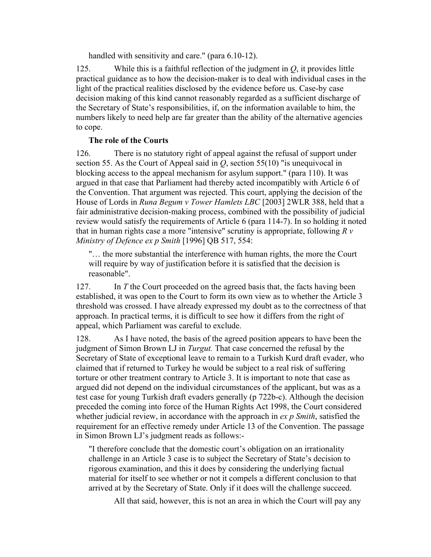handled with sensitivity and care." (para 6.10-12).

125. While this is a faithful reflection of the judgment in *Q*, it provides little practical guidance as to how the decision-maker is to deal with individual cases in the light of the practical realities disclosed by the evidence before us. Case-by case decision making of this kind cannot reasonably regarded as a sufficient discharge of the Secretary of State's responsibilities, if, on the information available to him, the numbers likely to need help are far greater than the ability of the alternative agencies to cope.

## **The role of the Courts**

126. There is no statutory right of appeal against the refusal of support under section 55. As the Court of Appeal said in *Q*, section 55(10) "is unequivocal in blocking access to the appeal mechanism for asylum support." (para 110). It was argued in that case that Parliament had thereby acted incompatibly with Article 6 of the Convention. That argument was rejected. This court, applying the decision of the House of Lords in *Runa Begum v Tower Hamlets LBC* [2003] 2WLR 388, held that a fair administrative decision-making process, combined with the possibility of judicial review would satisfy the requirements of Article 6 (para 114-7). In so holding it noted that in human rights case a more "intensive" scrutiny is appropriate, following *R v Ministry of Defence ex p Smith* [1996] QB 517, 554:

"… the more substantial the interference with human rights, the more the Court will require by way of justification before it is satisfied that the decision is reasonable".

127. In *T* the Court proceeded on the agreed basis that, the facts having been established, it was open to the Court to form its own view as to whether the Article 3 threshold was crossed. I have already expressed my doubt as to the correctness of that approach. In practical terms, it is difficult to see how it differs from the right of appeal, which Parliament was careful to exclude.

128. As I have noted, the basis of the agreed position appears to have been the judgment of Simon Brown LJ in *Turgut.* That case concerned the refusal by the Secretary of State of exceptional leave to remain to a Turkish Kurd draft evader, who claimed that if returned to Turkey he would be subject to a real risk of suffering torture or other treatment contrary to Article 3. It is important to note that case as argued did not depend on the individual circumstances of the applicant, but was as a test case for young Turkish draft evaders generally (p 722b-c). Although the decision preceded the coming into force of the Human Rights Act 1998, the Court considered whether judicial review, in accordance with the approach in *ex p Smith*, satisfied the requirement for an effective remedy under Article 13 of the Convention. The passage in Simon Brown LJ's judgment reads as follows:-

"I therefore conclude that the domestic court's obligation on an irrationality challenge in an Article 3 case is to subject the Secretary of State's decision to rigorous examination, and this it does by considering the underlying factual material for itself to see whether or not it compels a different conclusion to that arrived at by the Secretary of State. Only if it does will the challenge succeed.

All that said, however, this is not an area in which the Court will pay any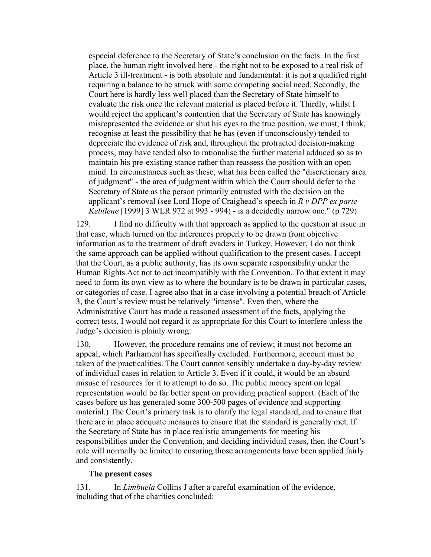especial deference to the Secretary of State's conclusion on the facts. In the first place, the human right involved here - the right not to be exposed to a real risk of Article 3 ill-treatment - is both absolute and fundamental: it is not a qualified right requiring a balance to be struck with some competing social need. Secondly, the Court here is hardly less well placed than the Secretary of State himself to evaluate the risk once the relevant material is placed before it. Thirdly, whilst I would reject the applicant's contention that the Secretary of State has knowingly misrepresented the evidence or shut his eyes to the true position, we must, I think, recognise at least the possibility that he has (even if unconsciously) tended to depreciate the evidence of risk and, throughout the protracted decision-making process, may have tended also to rationalise the further material adduced so as to maintain his pre-existing stance rather than reassess the position with an open mind. In circumstances such as these, what has been called the "discretionary area of judgment" - the area of judgment within which the Court should defer to the Secretary of State as the person primarily entrusted with the decision on the applicant's removal (see Lord Hope of Craighead's speech in *R v DPP ex parte Kebilene* [1999] 3 WLR 972 at 993 - 994) - is a decidedly narrow one." (p 729)

129. I find no difficulty with that approach as applied to the question at issue in that case, which turned on the inferences properly to be drawn from objective information as to the treatment of draft evaders in Turkey. However, I do not think the same approach can be applied without qualification to the present cases. I accept that the Court, as a public authority, has its own separate responsibility under the Human Rights Act not to act incompatibly with the Convention. To that extent it may need to form its own view as to where the boundary is to be drawn in particular cases, or categories of case. I agree also that in a case involving a potential breach of Article 3, the Court's review must be relatively "intense". Even then, where the Administrative Court has made a reasoned assessment of the facts, applying the correct tests, I would not regard it as appropriate for this Court to interfere unless the Judge's decision is plainly wrong.

130. However, the procedure remains one of review; it must not become an appeal, which Parliament has specifically excluded. Furthermore, account must be taken of the practicalities. The Court cannot sensibly undertake a day-by-day review of individual cases in relation to Article 3. Even if it could, it would be an absurd misuse of resources for it to attempt to do so. The public money spent on legal representation would be far better spent on providing practical support. (Each of the cases before us has generated some 300-500 pages of evidence and supporting material.) The Court's primary task is to clarify the legal standard, and to ensure that there are in place adequate measures to ensure that the standard is generally met. If the Secretary of State has in place realistic arrangements for meeting his responsibilities under the Convention, and deciding individual cases, then the Court's role will normally be limited to ensuring those arrangements have been applied fairly and consistently.

#### **The present cases**

131. In *Limbuela* Collins J after a careful examination of the evidence, including that of the charities concluded: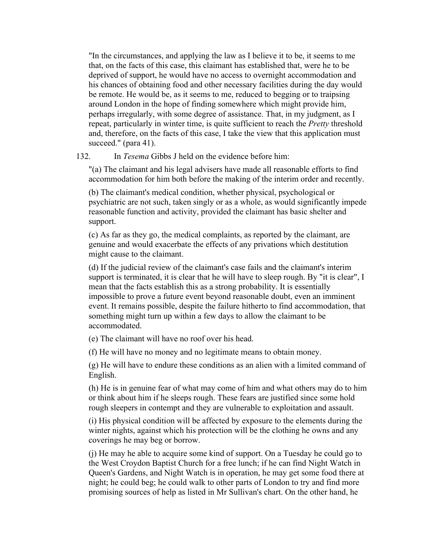"In the circumstances, and applying the law as I believe it to be, it seems to me that, on the facts of this case, this claimant has established that, were he to be deprived of support, he would have no access to overnight accommodation and his chances of obtaining food and other necessary facilities during the day would be remote. He would be, as it seems to me, reduced to begging or to traipsing around London in the hope of finding somewhere which might provide him, perhaps irregularly, with some degree of assistance. That, in my judgment, as I repeat, particularly in winter time, is quite sufficient to reach the *Pretty* threshold and, therefore, on the facts of this case, I take the view that this application must succeed." (para 41).

132. In *Tesema* Gibbs J held on the evidence before him:

"(a) The claimant and his legal advisers have made all reasonable efforts to find accommodation for him both before the making of the interim order and recently.

(b) The claimant's medical condition, whether physical, psychological or psychiatric are not such, taken singly or as a whole, as would significantly impede reasonable function and activity, provided the claimant has basic shelter and support.

(c) As far as they go, the medical complaints, as reported by the claimant, are genuine and would exacerbate the effects of any privations which destitution might cause to the claimant.

(d) If the judicial review of the claimant's case fails and the claimant's interim support is terminated, it is clear that he will have to sleep rough. By "it is clear", I mean that the facts establish this as a strong probability. It is essentially impossible to prove a future event beyond reasonable doubt, even an imminent event. It remains possible, despite the failure hitherto to find accommodation, that something might turn up within a few days to allow the claimant to be accommodated.

(e) The claimant will have no roof over his head.

(f) He will have no money and no legitimate means to obtain money.

(g) He will have to endure these conditions as an alien with a limited command of English.

(h) He is in genuine fear of what may come of him and what others may do to him or think about him if he sleeps rough. These fears are justified since some hold rough sleepers in contempt and they are vulnerable to exploitation and assault.

(i) His physical condition will be affected by exposure to the elements during the winter nights, against which his protection will be the clothing he owns and any coverings he may beg or borrow.

(j) He may he able to acquire some kind of support. On a Tuesday he could go to the West Croydon Baptist Church for a free lunch; if he can find Night Watch in Queen's Gardens, and Night Watch is in operation, he may get some food there at night; he could beg; he could walk to other parts of London to try and find more promising sources of help as listed in Mr Sullivan's chart. On the other hand, he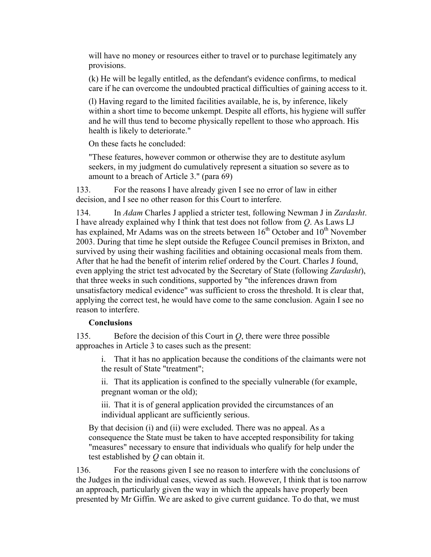will have no money or resources either to travel or to purchase legitimately any provisions.

(k) He will be legally entitled, as the defendant's evidence confirms, to medical care if he can overcome the undoubted practical difficulties of gaining access to it.

(l) Having regard to the limited facilities available, he is, by inference, likely within a short time to become unkempt. Despite all efforts, his hygiene will suffer and he will thus tend to become physically repellent to those who approach. His health is likely to deteriorate."

On these facts he concluded:

"These features, however common or otherwise they are to destitute asylum seekers, in my judgment do cumulatively represent a situation so severe as to amount to a breach of Article 3." (para 69)

133. For the reasons I have already given I see no error of law in either decision, and I see no other reason for this Court to interfere.

134. In *Adam* Charles J applied a stricter test, following Newman J in *Zardasht*. I have already explained why I think that test does not follow from *Q*. As Laws LJ has explained, Mr Adams was on the streets between  $16<sup>th</sup>$  October and  $10<sup>th</sup>$  November 2003. During that time he slept outside the Refugee Council premises in Brixton, and survived by using their washing facilities and obtaining occasional meals from them. After that he had the benefit of interim relief ordered by the Court. Charles J found, even applying the strict test advocated by the Secretary of State (following *Zardasht*), that three weeks in such conditions, supported by "the inferences drawn from unsatisfactory medical evidence" was sufficient to cross the threshold. It is clear that, applying the correct test, he would have come to the same conclusion. Again I see no reason to interfere.

## **Conclusions**

135. Before the decision of this Court in *Q*, there were three possible approaches in Article 3 to cases such as the present:

i. That it has no application because the conditions of the claimants were not the result of State "treatment";

ii. That its application is confined to the specially vulnerable (for example, pregnant woman or the old);

iii. That it is of general application provided the circumstances of an individual applicant are sufficiently serious.

By that decision (i) and (ii) were excluded. There was no appeal. As a consequence the State must be taken to have accepted responsibility for taking "measures" necessary to ensure that individuals who qualify for help under the test established by *Q* can obtain it.

136. For the reasons given I see no reason to interfere with the conclusions of the Judges in the individual cases, viewed as such. However, I think that is too narrow an approach, particularly given the way in which the appeals have properly been presented by Mr Giffin. We are asked to give current guidance. To do that, we must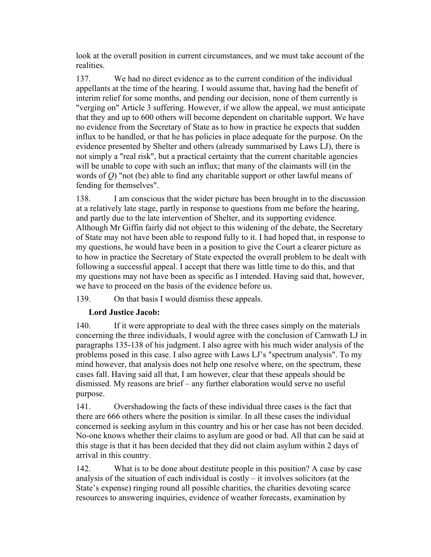look at the overall position in current circumstances, and we must take account of the realities.

137. We had no direct evidence as to the current condition of the individual appellants at the time of the hearing. I would assume that, having had the benefit of interim relief for some months, and pending our decision, none of them currently is "verging on" Article 3 suffering. However, if we allow the appeal, we must anticipate that they and up to 600 others will become dependent on charitable support. We have no evidence from the Secretary of State as to how in practice he expects that sudden influx to be handled, or that he has policies in place adequate for the purpose. On the evidence presented by Shelter and others (already summarised by Laws LJ), there is not simply a "real risk", but a practical certainty that the current charitable agencies will be unable to cope with such an influx; that many of the claimants will (in the words of *Q*) "not (be) able to find any charitable support or other lawful means of fending for themselves".

138. I am conscious that the wider picture has been brought in to the discussion at a relatively late stage, partly in response to questions from me before the hearing, and partly due to the late intervention of Shelter, and its supporting evidence. Although Mr Giffin fairly did not object to this widening of the debate, the Secretary of State may not have been able to respond fully to it. I had hoped that, in response to my questions, he would have been in a position to give the Court a clearer picture as to how in practice the Secretary of State expected the overall problem to be dealt with following a successful appeal. I accept that there was little time to do this, and that my questions may not have been as specific as I intended. Having said that, however, we have to proceed on the basis of the evidence before us.

139. On that basis I would dismiss these appeals.

## **Lord Justice Jacob:**

140. If it were appropriate to deal with the three cases simply on the materials concerning the three individuals, I would agree with the conclusion of Carnwath LJ in paragraphs 135-138 of his judgment. I also agree with his much wider analysis of the problems posed in this case. I also agree with Laws LJ's "spectrum analysis". To my mind however, that analysis does not help one resolve where, on the spectrum, these cases fall. Having said all that, I am however, clear that these appeals should be dismissed. My reasons are brief – any further elaboration would serve no useful purpose.

141. Overshadowing the facts of these individual three cases is the fact that there are 666 others where the position is similar. In all these cases the individual concerned is seeking asylum in this country and his or her case has not been decided. No-one knows whether their claims to asylum are good or bad. All that can be said at this stage is that it has been decided that they did not claim asylum within 2 days of arrival in this country.

142. What is to be done about destitute people in this position? A case by case analysis of the situation of each individual is costly – it involves solicitors (at the State's expense) ringing round all possible charities, the charities devoting scarce resources to answering inquiries, evidence of weather forecasts, examination by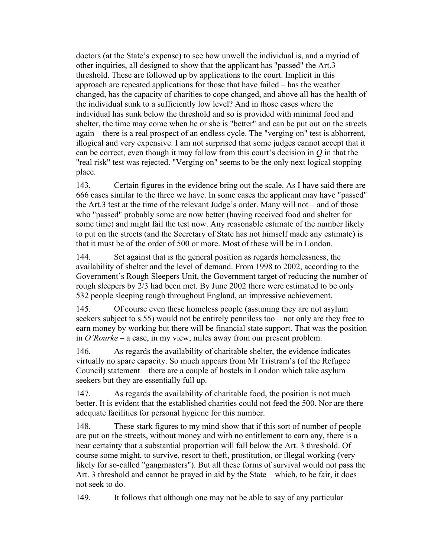doctors (at the State's expense) to see how unwell the individual is, and a myriad of other inquiries, all designed to show that the applicant has "passed" the Art.3 threshold. These are followed up by applications to the court. Implicit in this approach are repeated applications for those that have failed – has the weather changed, has the capacity of charities to cope changed, and above all has the health of the individual sunk to a sufficiently low level? And in those cases where the individual has sunk below the threshold and so is provided with minimal food and shelter, the time may come when he or she is "better" and can be put out on the streets again – there is a real prospect of an endless cycle. The "verging on" test is abhorrent, illogical and very expensive. I am not surprised that some judges cannot accept that it can be correct, even though it may follow from this court's decision in *Q* in that the "real risk" test was rejected. "Verging on" seems to be the only next logical stopping place.

143. Certain figures in the evidence bring out the scale. As I have said there are 666 cases similar to the three we have. In some cases the applicant may have "passed" the Art.3 test at the time of the relevant Judge's order. Many will not – and of those who "passed" probably some are now better (having received food and shelter for some time) and might fail the test now. Any reasonable estimate of the number likely to put on the streets (and the Secretary of State has not himself made any estimate) is that it must be of the order of 500 or more. Most of these will be in London.

144. Set against that is the general position as regards homelessness, the availability of shelter and the level of demand. From 1998 to 2002, according to the Government's Rough Sleepers Unit, the Government target of reducing the number of rough sleepers by 2/3 had been met. By June 2002 there were estimated to be only 532 people sleeping rough throughout England, an impressive achievement.

145. Of course even these homeless people (assuming they are not asylum seekers subject to s.55) would not be entirely penniless too – not only are they free to earn money by working but there will be financial state support. That was the position in *O'Rourke* – a case, in my view, miles away from our present problem.

146. As regards the availability of charitable shelter, the evidence indicates virtually no spare capacity. So much appears from Mr Tristram's (of the Refugee Council) statement – there are a couple of hostels in London which take asylum seekers but they are essentially full up.

147. As regards the availability of charitable food, the position is not much better. It is evident that the established charities could not feed the 500. Nor are there adequate facilities for personal hygiene for this number.

148. These stark figures to my mind show that if this sort of number of people are put on the streets, without money and with no entitlement to earn any, there is a near certainty that a substantial proportion will fall below the Art. 3 threshold. Of course some might, to survive, resort to theft, prostitution, or illegal working (very likely for so-called "gangmasters"). But all these forms of survival would not pass the Art. 3 threshold and cannot be prayed in aid by the State – which, to be fair, it does not seek to do.

149. It follows that although one may not be able to say of any particular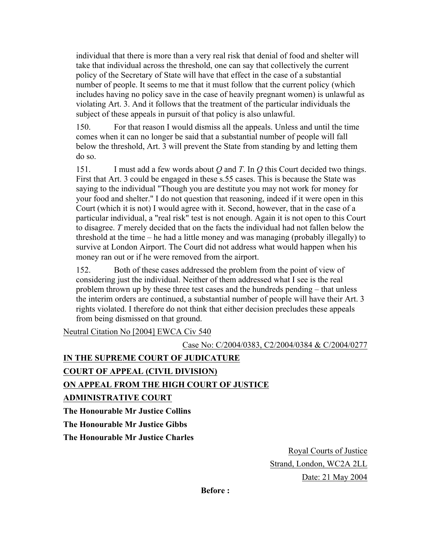individual that there is more than a very real risk that denial of food and shelter will take that individual across the threshold, one can say that collectively the current policy of the Secretary of State will have that effect in the case of a substantial number of people. It seems to me that it must follow that the current policy (which includes having no policy save in the case of heavily pregnant women) is unlawful as violating Art. 3. And it follows that the treatment of the particular individuals the subject of these appeals in pursuit of that policy is also unlawful.

150. For that reason I would dismiss all the appeals. Unless and until the time comes when it can no longer be said that a substantial number of people will fall below the threshold, Art. 3 will prevent the State from standing by and letting them do so.

151. I must add a few words about *Q* and *T*. In *Q* this Court decided two things. First that Art. 3 could be engaged in these s.55 cases. This is because the State was saying to the individual "Though you are destitute you may not work for money for your food and shelter." I do not question that reasoning, indeed if it were open in this Court (which it is not) I would agree with it. Second, however, that in the case of a particular individual, a "real risk" test is not enough. Again it is not open to this Court to disagree. *T* merely decided that on the facts the individual had not fallen below the threshold at the time – he had a little money and was managing (probably illegally) to survive at London Airport. The Court did not address what would happen when his money ran out or if he were removed from the airport.

152. Both of these cases addressed the problem from the point of view of considering just the individual. Neither of them addressed what I see is the real problem thrown up by these three test cases and the hundreds pending – that unless the interim orders are continued, a substantial number of people will have their Art. 3 rights violated. I therefore do not think that either decision precludes these appeals from being dismissed on that ground.

Neutral Citation No [2004] EWCA Civ 540

Case No: C/2004/0383, C2/2004/0384 & C/2004/0277

## **IN THE SUPREME COURT OF JUDICATURE COURT OF APPEAL (CIVIL DIVISION) ON APPEAL FROM THE HIGH COURT OF JUSTICE ADMINISTRATIVE COURT**

**The Honourable Mr Justice Collins**

**The Honourable Mr Justice Gibbs**

**The Honourable Mr Justice Charles**

Royal Courts of Justice Strand, London, WC2A 2LL Date: 21 May 2004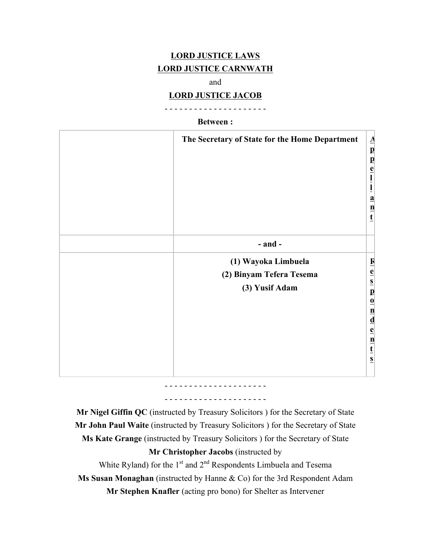## **LORD JUSTICE LAWS LORD JUSTICE CARNWATH**

#### and

#### **LORD JUSTICE JACOB**

# **Between :**

- - - - - - - - - - - - - - - - - - - - -

## The Secretary of State for the Home Department  $\mathbf{A}$ **p p e l l a n t - and - (1) Wayoka Limbuela (2) Binyam Tefera Tesema (3) Yusif Adam R e s p o n d e n t s**



**Mr Nigel Giffin QC** (instructed by Treasury Solicitors ) for the Secretary of State **Mr John Paul Waite** (instructed by Treasury Solicitors ) for the Secretary of State **Ms Kate Grange** (instructed by Treasury Solicitors ) for the Secretary of State

## **Mr Christopher Jacobs** (instructed by

White Ryland) for the  $1<sup>st</sup>$  and  $2<sup>nd</sup>$  Respondents Limbuela and Tesema **Ms Susan Monaghan** (instructed by Hanne & Co) for the 3rd Respondent Adam **Mr Stephen Knafler** (acting pro bono) for Shelter as Intervener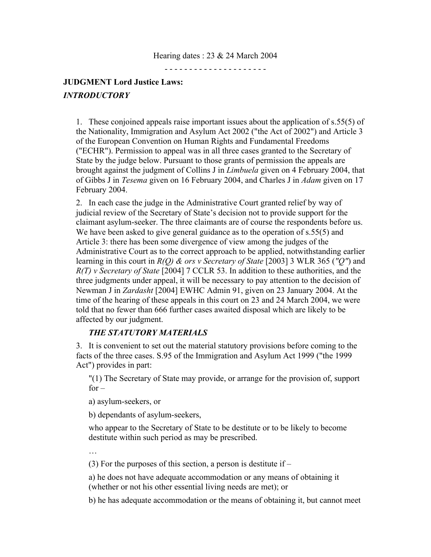- - - - - - - - - - - - - - - - - - - - -

## **JUDGMENT Lord Justice Laws:** *INTRODUCTORY*

1. These conjoined appeals raise important issues about the application of s.55(5) of the Nationality, Immigration and Asylum Act 2002 ("the Act of 2002") and Article 3 of the European Convention on Human Rights and Fundamental Freedoms ("ECHR"). Permission to appeal was in all three cases granted to the Secretary of State by the judge below. Pursuant to those grants of permission the appeals are brought against the judgment of Collins J in *Limbuela* given on 4 February 2004, that of Gibbs J in *Tesema* given on 16 February 2004, and Charles J in *Adam* given on 17 February 2004.

2. In each case the judge in the Administrative Court granted relief by way of judicial review of the Secretary of State's decision not to provide support for the claimant asylum-seeker. The three claimants are of course the respondents before us. We have been asked to give general guidance as to the operation of s.55(5) and Article 3: there has been some divergence of view among the judges of the Administrative Court as to the correct approach to be applied, notwithstanding earlier learning in this court in *R(Q) & ors v Secretary of State* [2003] 3 WLR 365 (*"Q"*) and *R(T) v Secretary of State* [2004] 7 CCLR 53. In addition to these authorities, and the three judgments under appeal, it will be necessary to pay attention to the decision of Newman J in *Zardasht* [2004] EWHC Admin 91, given on 23 January 2004. At the time of the hearing of these appeals in this court on 23 and 24 March 2004, we were told that no fewer than 666 further cases awaited disposal which are likely to be affected by our judgment.

## *THE STATUTORY MATERIALS*

3. It is convenient to set out the material statutory provisions before coming to the facts of the three cases. S.95 of the Immigration and Asylum Act 1999 ("the 1999 Act") provides in part:

"(1) The Secretary of State may provide, or arrange for the provision of, support  $for -$ 

a) asylum-seekers, or

b) dependants of asylum-seekers,

who appear to the Secretary of State to be destitute or to be likely to become destitute within such period as may be prescribed.

…

(3) For the purposes of this section, a person is destitute if –

a) he does not have adequate accommodation or any means of obtaining it (whether or not his other essential living needs are met); or

b) he has adequate accommodation or the means of obtaining it, but cannot meet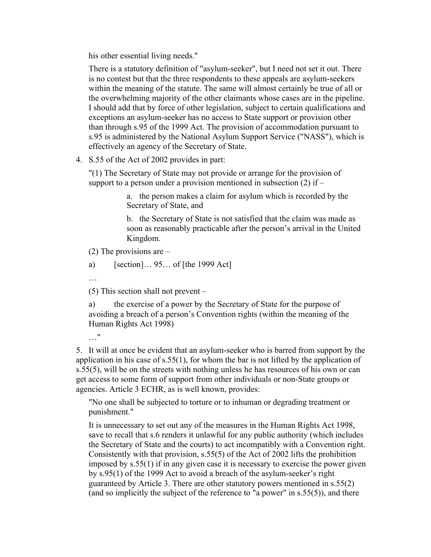his other essential living needs."

There is a statutory definition of "asylum-seeker", but I need not set it out. There is no contest but that the three respondents to these appeals are asylum-seekers within the meaning of the statute. The same will almost certainly be true of all or the overwhelming majority of the other claimants whose cases are in the pipeline. I should add that by force of other legislation, subject to certain qualifications and exceptions an asylum-seeker has no access to State support or provision other than through s.95 of the 1999 Act. The provision of accommodation pursuant to s.95 is administered by the National Asylum Support Service ("NASS"), which is effectively an agency of the Secretary of State.

## 4. S.55 of the Act of 2002 provides in part:

"(1) The Secretary of State may not provide or arrange for the provision of support to a person under a provision mentioned in subsection  $(2)$  if –

> a. the person makes a claim for asylum which is recorded by the Secretary of State, and

b. the Secretary of State is not satisfied that the claim was made as soon as reasonably practicable after the person's arrival in the United Kingdom.

(2) The provisions are  $-$ 

a) [section]… 95… of [the 1999 Act]

…

(5) This section shall not prevent –

a) the exercise of a power by the Secretary of State for the purpose of avoiding a breach of a person's Convention rights (within the meaning of the Human Rights Act 1998)

…"

5. It will at once be evident that an asylum-seeker who is barred from support by the application in his case of s.55(1), for whom the bar is not lifted by the application of s.55(5), will be on the streets with nothing unless he has resources of his own or can get access to some form of support from other individuals or non-State groups or agencies. Article 3 ECHR, as is well known, provides:

"No one shall be subjected to torture or to inhuman or degrading treatment or punishment."

It is unnecessary to set out any of the measures in the Human Rights Act 1998, save to recall that s.6 renders it unlawful for any public authority (which includes the Secretary of State and the courts) to act incompatibly with a Convention right. Consistently with that provision, s.55(5) of the Act of 2002 lifts the prohibition imposed by s.55(1) if in any given case it is necessary to exercise the power given by s.95(1) of the 1999 Act to avoid a breach of the asylum-seeker's right guaranteed by Article 3. There are other statutory powers mentioned in s.55(2) (and so implicitly the subject of the reference to "a power" in  $s.55(5)$ ), and there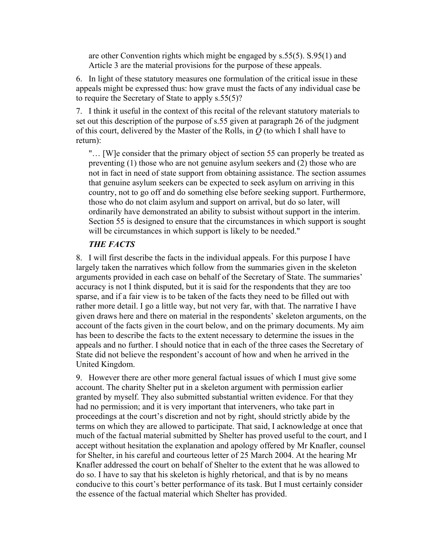are other Convention rights which might be engaged by s.55(5). S.95(1) and Article 3 are the material provisions for the purpose of these appeals.

6. In light of these statutory measures one formulation of the critical issue in these appeals might be expressed thus: how grave must the facts of any individual case be to require the Secretary of State to apply s.55(5)?

7. I think it useful in the context of this recital of the relevant statutory materials to set out this description of the purpose of s.55 given at paragraph 26 of the judgment of this court, delivered by the Master of the Rolls, in *Q* (to which I shall have to return):

"… [W]e consider that the primary object of section 55 can properly be treated as preventing (1) those who are not genuine asylum seekers and (2) those who are not in fact in need of state support from obtaining assistance. The section assumes that genuine asylum seekers can be expected to seek asylum on arriving in this country, not to go off and do something else before seeking support. Furthermore, those who do not claim asylum and support on arrival, but do so later, will ordinarily have demonstrated an ability to subsist without support in the interim. Section 55 is designed to ensure that the circumstances in which support is sought will be circumstances in which support is likely to be needed."

## *THE FACTS*

8. I will first describe the facts in the individual appeals. For this purpose I have largely taken the narratives which follow from the summaries given in the skeleton arguments provided in each case on behalf of the Secretary of State. The summaries' accuracy is not I think disputed, but it is said for the respondents that they are too sparse, and if a fair view is to be taken of the facts they need to be filled out with rather more detail. I go a little way, but not very far, with that. The narrative I have given draws here and there on material in the respondents' skeleton arguments, on the account of the facts given in the court below, and on the primary documents. My aim has been to describe the facts to the extent necessary to determine the issues in the appeals and no further. I should notice that in each of the three cases the Secretary of State did not believe the respondent's account of how and when he arrived in the United Kingdom.

9. However there are other more general factual issues of which I must give some account. The charity Shelter put in a skeleton argument with permission earlier granted by myself. They also submitted substantial written evidence. For that they had no permission; and it is very important that interveners, who take part in proceedings at the court's discretion and not by right, should strictly abide by the terms on which they are allowed to participate. That said, I acknowledge at once that much of the factual material submitted by Shelter has proved useful to the court, and I accept without hesitation the explanation and apology offered by Mr Knafler, counsel for Shelter, in his careful and courteous letter of 25 March 2004. At the hearing Mr Knafler addressed the court on behalf of Shelter to the extent that he was allowed to do so. I have to say that his skeleton is highly rhetorical, and that is by no means conducive to this court's better performance of its task. But I must certainly consider the essence of the factual material which Shelter has provided.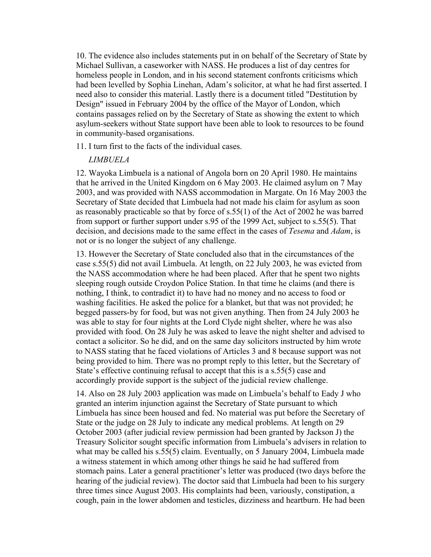10. The evidence also includes statements put in on behalf of the Secretary of State by Michael Sullivan, a caseworker with NASS. He produces a list of day centres for homeless people in London, and in his second statement confronts criticisms which had been levelled by Sophia Linehan, Adam's solicitor, at what he had first asserted. I need also to consider this material. Lastly there is a document titled "Destitution by Design" issued in February 2004 by the office of the Mayor of London, which contains passages relied on by the Secretary of State as showing the extent to which asylum-seekers without State support have been able to look to resources to be found in community-based organisations.

11. I turn first to the facts of the individual cases.

#### *LIMBUELA*

12. Wayoka Limbuela is a national of Angola born on 20 April 1980. He maintains that he arrived in the United Kingdom on 6 May 2003. He claimed asylum on 7 May 2003, and was provided with NASS accommodation in Margate. On 16 May 2003 the Secretary of State decided that Limbuela had not made his claim for asylum as soon as reasonably practicable so that by force of s.55(1) of the Act of 2002 he was barred from support or further support under s.95 of the 1999 Act, subject to s.55(5). That decision, and decisions made to the same effect in the cases of *Tesema* and *Adam*, is not or is no longer the subject of any challenge.

13. However the Secretary of State concluded also that in the circumstances of the case s.55(5) did not avail Limbuela. At length, on 22 July 2003, he was evicted from the NASS accommodation where he had been placed. After that he spent two nights sleeping rough outside Croydon Police Station. In that time he claims (and there is nothing, I think, to contradict it) to have had no money and no access to food or washing facilities. He asked the police for a blanket, but that was not provided; he begged passers-by for food, but was not given anything. Then from 24 July 2003 he was able to stay for four nights at the Lord Clyde night shelter, where he was also provided with food. On 28 July he was asked to leave the night shelter and advised to contact a solicitor. So he did, and on the same day solicitors instructed by him wrote to NASS stating that he faced violations of Articles 3 and 8 because support was not being provided to him. There was no prompt reply to this letter, but the Secretary of State's effective continuing refusal to accept that this is a s.55(5) case and accordingly provide support is the subject of the judicial review challenge.

14. Also on 28 July 2003 application was made on Limbuela's behalf to Eady J who granted an interim injunction against the Secretary of State pursuant to which Limbuela has since been housed and fed. No material was put before the Secretary of State or the judge on 28 July to indicate any medical problems. At length on 29 October 2003 (after judicial review permission had been granted by Jackson J) the Treasury Solicitor sought specific information from Limbuela's advisers in relation to what may be called his s.55(5) claim. Eventually, on 5 January 2004, Limbuela made a witness statement in which among other things he said he had suffered from stomach pains. Later a general practitioner's letter was produced (two days before the hearing of the judicial review). The doctor said that Limbuela had been to his surgery three times since August 2003. His complaints had been, variously, constipation, a cough, pain in the lower abdomen and testicles, dizziness and heartburn. He had been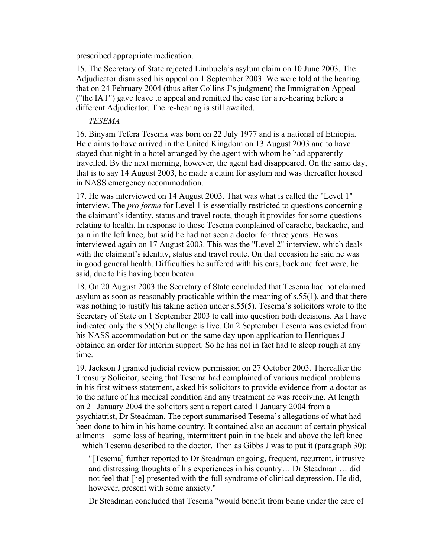prescribed appropriate medication.

15. The Secretary of State rejected Limbuela's asylum claim on 10 June 2003. The Adjudicator dismissed his appeal on 1 September 2003. We were told at the hearing that on 24 February 2004 (thus after Collins J's judgment) the Immigration Appeal ("the IAT") gave leave to appeal and remitted the case for a re-hearing before a different Adjudicator. The re-hearing is still awaited.

## *TESEMA*

16. Binyam Tefera Tesema was born on 22 July 1977 and is a national of Ethiopia. He claims to have arrived in the United Kingdom on 13 August 2003 and to have stayed that night in a hotel arranged by the agent with whom he had apparently travelled. By the next morning, however, the agent had disappeared. On the same day, that is to say 14 August 2003, he made a claim for asylum and was thereafter housed in NASS emergency accommodation.

17. He was interviewed on 14 August 2003. That was what is called the "Level 1" interview. The *pro forma* for Level 1 is essentially restricted to questions concerning the claimant's identity, status and travel route, though it provides for some questions relating to health. In response to those Tesema complained of earache, backache, and pain in the left knee, but said he had not seen a doctor for three years. He was interviewed again on 17 August 2003. This was the "Level 2" interview, which deals with the claimant's identity, status and travel route. On that occasion he said he was in good general health. Difficulties he suffered with his ears, back and feet were, he said, due to his having been beaten.

18. On 20 August 2003 the Secretary of State concluded that Tesema had not claimed asylum as soon as reasonably practicable within the meaning of s.55(1), and that there was nothing to justify his taking action under s.55(5). Tesema's solicitors wrote to the Secretary of State on 1 September 2003 to call into question both decisions. As I have indicated only the s.55(5) challenge is live. On 2 September Tesema was evicted from his NASS accommodation but on the same day upon application to Henriques J obtained an order for interim support. So he has not in fact had to sleep rough at any time.

19. Jackson J granted judicial review permission on 27 October 2003. Thereafter the Treasury Solicitor, seeing that Tesema had complained of various medical problems in his first witness statement, asked his solicitors to provide evidence from a doctor as to the nature of his medical condition and any treatment he was receiving. At length on 21 January 2004 the solicitors sent a report dated 1 January 2004 from a psychiatrist, Dr Steadman. The report summarised Tesema's allegations of what had been done to him in his home country. It contained also an account of certain physical ailments – some loss of hearing, intermittent pain in the back and above the left knee – which Tesema described to the doctor. Then as Gibbs J was to put it (paragraph 30):

"[Tesema] further reported to Dr Steadman ongoing, frequent, recurrent, intrusive and distressing thoughts of his experiences in his country… Dr Steadman … did not feel that [he] presented with the full syndrome of clinical depression. He did, however, present with some anxiety."

Dr Steadman concluded that Tesema "would benefit from being under the care of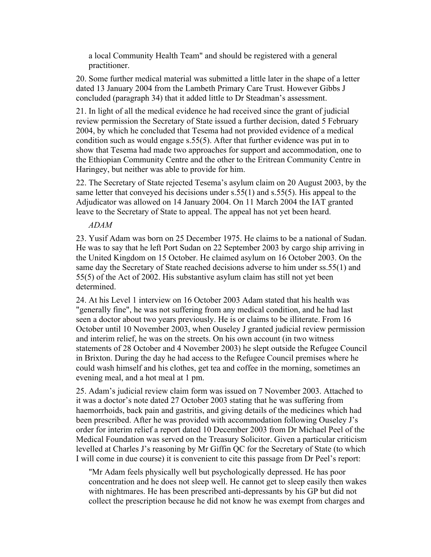a local Community Health Team" and should be registered with a general practitioner.

20. Some further medical material was submitted a little later in the shape of a letter dated 13 January 2004 from the Lambeth Primary Care Trust. However Gibbs J concluded (paragraph 34) that it added little to Dr Steadman's assessment.

21. In light of all the medical evidence he had received since the grant of judicial review permission the Secretary of State issued a further decision, dated 5 February 2004, by which he concluded that Tesema had not provided evidence of a medical condition such as would engage s.55(5). After that further evidence was put in to show that Tesema had made two approaches for support and accommodation, one to the Ethiopian Community Centre and the other to the Eritrean Community Centre in Haringey, but neither was able to provide for him.

22. The Secretary of State rejected Tesema's asylum claim on 20 August 2003, by the same letter that conveyed his decisions under s.55(1) and s.55(5). His appeal to the Adjudicator was allowed on 14 January 2004. On 11 March 2004 the IAT granted leave to the Secretary of State to appeal. The appeal has not yet been heard.

#### *ADAM*

23. Yusif Adam was born on 25 December 1975. He claims to be a national of Sudan. He was to say that he left Port Sudan on 22 September 2003 by cargo ship arriving in the United Kingdom on 15 October. He claimed asylum on 16 October 2003. On the same day the Secretary of State reached decisions adverse to him under ss.55(1) and 55(5) of the Act of 2002. His substantive asylum claim has still not yet been determined.

24. At his Level 1 interview on 16 October 2003 Adam stated that his health was "generally fine", he was not suffering from any medical condition, and he had last seen a doctor about two years previously. He is or claims to be illiterate. From 16 October until 10 November 2003, when Ouseley J granted judicial review permission and interim relief, he was on the streets. On his own account (in two witness statements of 28 October and 4 November 2003) he slept outside the Refugee Council in Brixton. During the day he had access to the Refugee Council premises where he could wash himself and his clothes, get tea and coffee in the morning, sometimes an evening meal, and a hot meal at 1 pm.

25. Adam's judicial review claim form was issued on 7 November 2003. Attached to it was a doctor's note dated 27 October 2003 stating that he was suffering from haemorrhoids, back pain and gastritis, and giving details of the medicines which had been prescribed. After he was provided with accommodation following Ouseley J's order for interim relief a report dated 10 December 2003 from Dr Michael Peel of the Medical Foundation was served on the Treasury Solicitor. Given a particular criticism levelled at Charles J's reasoning by Mr Giffin QC for the Secretary of State (to which I will come in due course) it is convenient to cite this passage from Dr Peel's report:

"Mr Adam feels physically well but psychologically depressed. He has poor concentration and he does not sleep well. He cannot get to sleep easily then wakes with nightmares. He has been prescribed anti-depressants by his GP but did not collect the prescription because he did not know he was exempt from charges and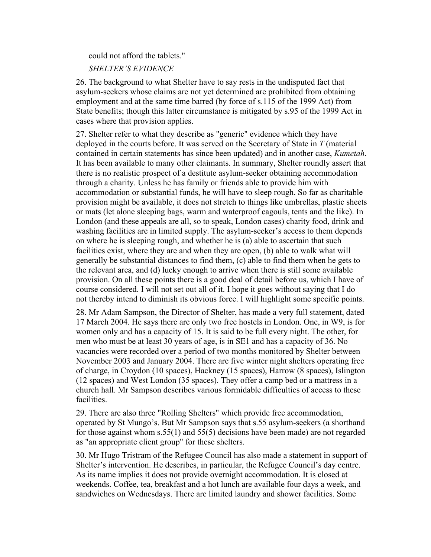could not afford the tablets."

*SHELTER'S EVIDENCE*

26. The background to what Shelter have to say rests in the undisputed fact that asylum-seekers whose claims are not yet determined are prohibited from obtaining employment and at the same time barred (by force of s.115 of the 1999 Act) from State benefits; though this latter circumstance is mitigated by s.95 of the 1999 Act in cases where that provision applies.

27. Shelter refer to what they describe as "generic" evidence which they have deployed in the courts before. It was served on the Secretary of State in *T* (material contained in certain statements has since been updated) and in another case, *Kumetah*. It has been available to many other claimants. In summary, Shelter roundly assert that there is no realistic prospect of a destitute asylum-seeker obtaining accommodation through a charity. Unless he has family or friends able to provide him with accommodation or substantial funds, he will have to sleep rough. So far as charitable provision might be available, it does not stretch to things like umbrellas, plastic sheets or mats (let alone sleeping bags, warm and waterproof cagouls, tents and the like). In London (and these appeals are all, so to speak, London cases) charity food, drink and washing facilities are in limited supply. The asylum-seeker's access to them depends on where he is sleeping rough, and whether he is (a) able to ascertain that such facilities exist, where they are and when they are open, (b) able to walk what will generally be substantial distances to find them, (c) able to find them when he gets to the relevant area, and (d) lucky enough to arrive when there is still some available provision. On all these points there is a good deal of detail before us, which I have of course considered. I will not set out all of it. I hope it goes without saying that I do not thereby intend to diminish its obvious force. I will highlight some specific points.

28. Mr Adam Sampson, the Director of Shelter, has made a very full statement, dated 17 March 2004. He says there are only two free hostels in London. One, in W9, is for women only and has a capacity of 15. It is said to be full every night. The other, for men who must be at least 30 years of age, is in SE1 and has a capacity of 36. No vacancies were recorded over a period of two months monitored by Shelter between November 2003 and January 2004. There are five winter night shelters operating free of charge, in Croydon (10 spaces), Hackney (15 spaces), Harrow (8 spaces), Islington (12 spaces) and West London (35 spaces). They offer a camp bed or a mattress in a church hall. Mr Sampson describes various formidable difficulties of access to these **facilities** 

29. There are also three "Rolling Shelters" which provide free accommodation, operated by St Mungo's. But Mr Sampson says that s.55 asylum-seekers (a shorthand for those against whom s.55(1) and 55(5) decisions have been made) are not regarded as "an appropriate client group" for these shelters.

30. Mr Hugo Tristram of the Refugee Council has also made a statement in support of Shelter's intervention. He describes, in particular, the Refugee Council's day centre. As its name implies it does not provide overnight accommodation. It is closed at weekends. Coffee, tea, breakfast and a hot lunch are available four days a week, and sandwiches on Wednesdays. There are limited laundry and shower facilities. Some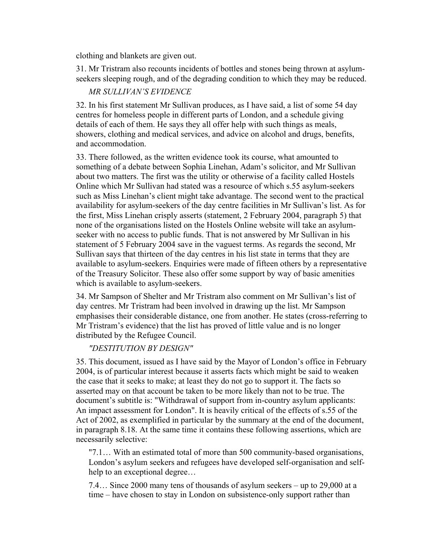clothing and blankets are given out.

31. Mr Tristram also recounts incidents of bottles and stones being thrown at asylumseekers sleeping rough, and of the degrading condition to which they may be reduced.

## *MR SULLIVAN'S EVIDENCE*

32. In his first statement Mr Sullivan produces, as I have said, a list of some 54 day centres for homeless people in different parts of London, and a schedule giving details of each of them. He says they all offer help with such things as meals, showers, clothing and medical services, and advice on alcohol and drugs, benefits, and accommodation.

33. There followed, as the written evidence took its course, what amounted to something of a debate between Sophia Linehan, Adam's solicitor, and Mr Sullivan about two matters. The first was the utility or otherwise of a facility called Hostels Online which Mr Sullivan had stated was a resource of which s.55 asylum-seekers such as Miss Linehan's client might take advantage. The second went to the practical availability for asylum-seekers of the day centre facilities in Mr Sullivan's list. As for the first, Miss Linehan crisply asserts (statement, 2 February 2004, paragraph 5) that none of the organisations listed on the Hostels Online website will take an asylumseeker with no access to public funds. That is not answered by Mr Sullivan in his statement of 5 February 2004 save in the vaguest terms. As regards the second, Mr Sullivan says that thirteen of the day centres in his list state in terms that they are available to asylum-seekers. Enquiries were made of fifteen others by a representative of the Treasury Solicitor. These also offer some support by way of basic amenities which is available to asylum-seekers.

34. Mr Sampson of Shelter and Mr Tristram also comment on Mr Sullivan's list of day centres. Mr Tristram had been involved in drawing up the list. Mr Sampson emphasises their considerable distance, one from another. He states (cross-referring to Mr Tristram's evidence) that the list has proved of little value and is no longer distributed by the Refugee Council.

## *"DESTITUTION BY DESIGN"*

35. This document, issued as I have said by the Mayor of London's office in February 2004, is of particular interest because it asserts facts which might be said to weaken the case that it seeks to make; at least they do not go to support it. The facts so asserted may on that account be taken to be more likely than not to be true. The document's subtitle is: "Withdrawal of support from in-country asylum applicants: An impact assessment for London". It is heavily critical of the effects of s.55 of the Act of 2002, as exemplified in particular by the summary at the end of the document, in paragraph 8.18. At the same time it contains these following assertions, which are necessarily selective:

"7.1… With an estimated total of more than 500 community-based organisations, London's asylum seekers and refugees have developed self-organisation and selfhelp to an exceptional degree…

7.4… Since 2000 many tens of thousands of asylum seekers – up to 29,000 at a time – have chosen to stay in London on subsistence-only support rather than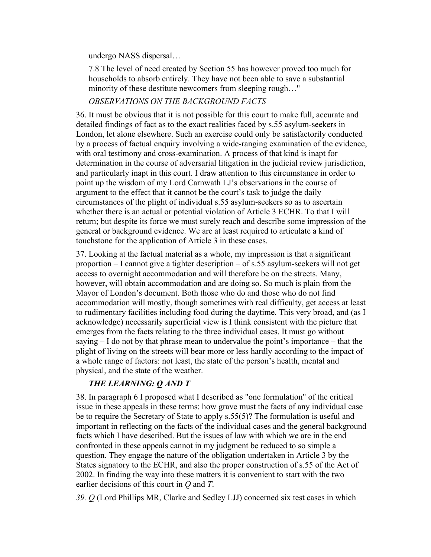undergo NASS dispersal…

7.8 The level of need created by Section 55 has however proved too much for households to absorb entirely. They have not been able to save a substantial minority of these destitute newcomers from sleeping rough…"

## *OBSERVATIONS ON THE BACKGROUND FACTS*

36. It must be obvious that it is not possible for this court to make full, accurate and detailed findings of fact as to the exact realities faced by s.55 asylum-seekers in London, let alone elsewhere. Such an exercise could only be satisfactorily conducted by a process of factual enquiry involving a wide-ranging examination of the evidence, with oral testimony and cross-examination. A process of that kind is inapt for determination in the course of adversarial litigation in the judicial review jurisdiction, and particularly inapt in this court. I draw attention to this circumstance in order to point up the wisdom of my Lord Carnwath LJ's observations in the course of argument to the effect that it cannot be the court's task to judge the daily circumstances of the plight of individual s.55 asylum-seekers so as to ascertain whether there is an actual or potential violation of Article 3 ECHR. To that I will return; but despite its force we must surely reach and describe some impression of the general or background evidence. We are at least required to articulate a kind of touchstone for the application of Article 3 in these cases.

37. Looking at the factual material as a whole, my impression is that a significant proportion – I cannot give a tighter description – of s.55 asylum-seekers will not get access to overnight accommodation and will therefore be on the streets. Many, however, will obtain accommodation and are doing so. So much is plain from the Mayor of London's document. Both those who do and those who do not find accommodation will mostly, though sometimes with real difficulty, get access at least to rudimentary facilities including food during the daytime. This very broad, and (as I acknowledge) necessarily superficial view is I think consistent with the picture that emerges from the facts relating to the three individual cases. It must go without saying – I do not by that phrase mean to undervalue the point's importance – that the plight of living on the streets will bear more or less hardly according to the impact of a whole range of factors: not least, the state of the person's health, mental and physical, and the state of the weather.

## *THE LEARNING: Q AND T*

38. In paragraph 6 I proposed what I described as "one formulation" of the critical issue in these appeals in these terms: how grave must the facts of any individual case be to require the Secretary of State to apply s.55(5)? The formulation is useful and important in reflecting on the facts of the individual cases and the general background facts which I have described. But the issues of law with which we are in the end confronted in these appeals cannot in my judgment be reduced to so simple a question. They engage the nature of the obligation undertaken in Article 3 by the States signatory to the ECHR, and also the proper construction of s.55 of the Act of 2002. In finding the way into these matters it is convenient to start with the two earlier decisions of this court in *Q* and *T*.

*39. Q* (Lord Phillips MR, Clarke and Sedley LJJ) concerned six test cases in which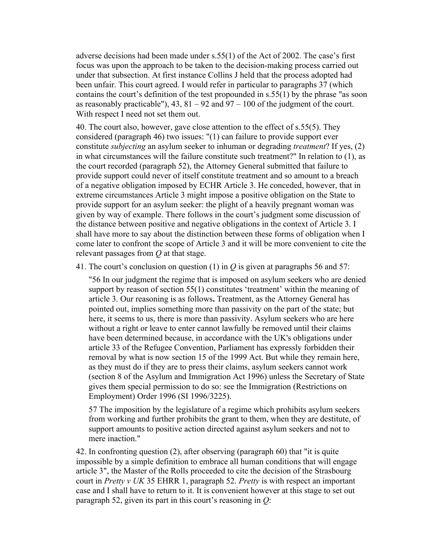adverse decisions had been made under s.55(1) of the Act of 2002. The case's first focus was upon the approach to be taken to the decision-making process carried out under that subsection. At first instance Collins J held that the process adopted had been unfair. This court agreed. I would refer in particular to paragraphs 37 (which contains the court's definition of the test propounded in s.55(1) by the phrase "as soon as reasonably practicable"),  $43$ ,  $81 - 92$  and  $97 - 100$  of the judgment of the court. With respect I need not set them out.

40. The court also, however, gave close attention to the effect of s.55(5). They considered (paragraph 46) two issues: "(1) can failure to provide support ever constitute *subjecting* an asylum seeker to inhuman or degrading *treatment*? If yes, (2) in what circumstances will the failure constitute such treatment?" In relation to (1), as the court recorded (paragraph 52), the Attorney General submitted that failure to provide support could never of itself constitute treatment and so amount to a breach of a negative obligation imposed by ECHR Article 3. He conceded, however, that in extreme circumstances Article 3 might impose a positive obligation on the State to provide support for an asylum seeker: the plight of a heavily pregnant woman was given by way of example. There follows in the court's judgment some discussion of the distance between positive and negative obligations in the context of Article 3. I shall have more to say about the distinction between these forms of obligation when I come later to confront the scope of Article 3 and it will be more convenient to cite the relevant passages from *Q* at that stage.

41. The court's conclusion on question (1) in *Q* is given at paragraphs 56 and 57:

"56 In our judgment the regime that is imposed on asylum seekers who are denied support by reason of section 55(1) constitutes 'treatment' within the meaning of article 3. Our reasoning is as follows**.** Treatment, as the Attorney General has pointed out, implies something more than passivity on the part of the state; but here, it seems to us, there is more than passivity. Asylum seekers who are here without a right or leave to enter cannot lawfully be removed until their claims have been determined because, in accordance with the UK's obligations under article 33 of the Refugee Convention, Parliament has expressly forbidden their removal by what is now section 15 of the 1999 Act. But while they remain here, as they must do if they are to press their claims, asylum seekers cannot work (section 8 of the Asylum and Immigration Act 1996) unless the Secretary of State gives them special permission to do so: see the Immigration (Restrictions on Employment) Order 1996 (SI 1996/3225).

57 The imposition by the legislature of a regime which prohibits asylum seekers from working and further prohibits the grant to them, when they are destitute, of support amounts to positive action directed against asylum seekers and not to mere inaction."

42. In confronting question (2), after observing (paragraph 60) that "it is quite impossible by a simple definition to embrace all human conditions that will engage article 3", the Master of the Rolls proceeded to cite the decision of the Strasbourg court in *Pretty v UK* 35 EHRR 1, paragraph 52. *Pretty* is with respect an important case and I shall have to return to it. It is convenient however at this stage to set out paragraph 52, given its part in this court's reasoning in *Q*: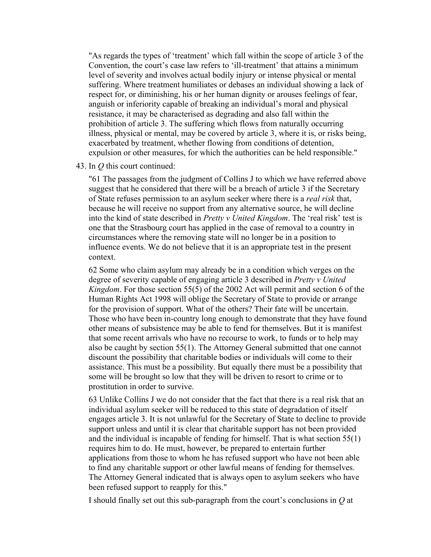"As regards the types of 'treatment' which fall within the scope of article 3 of the Convention, the court's case law refers to 'ill-treatment' that attains a minimum level of severity and involves actual bodily injury or intense physical or mental suffering. Where treatment humiliates or debases an individual showing a lack of respect for, or diminishing, his or her human dignity or arouses feelings of fear, anguish or inferiority capable of breaking an individual's moral and physical resistance, it may be characterised as degrading and also fall within the prohibition of article 3. The suffering which flows from naturally occurring illness, physical or mental, may be covered by article 3, where it is, or risks being, exacerbated by treatment, whether flowing from conditions of detention, expulsion or other measures, for which the authorities can be held responsible."

#### 43. In *Q* this court continued:

"61 The passages from the judgment of Collins J to which we have referred above suggest that he considered that there will be a breach of article 3 if the Secretary of State refuses permission to an asylum seeker where there is a *real risk* that, because he will receive no support from any alternative source, he will decline into the kind of state described in *Pretty v United Kingdom*. The 'real risk' test is one that the Strasbourg court has applied in the case of removal to a country in circumstances where the removing state will no longer be in a position to influence events. We do not believe that it is an appropriate test in the present context.

62 Some who claim asylum may already be in a condition which verges on the degree of severity capable of engaging article 3 described in *Pretty v United Kingdom*. For those section 55(5) of the 2002 Act will permit and section 6 of the Human Rights Act 1998 will oblige the Secretary of State to provide or arrange for the provision of support. What of the others? Their fate will be uncertain. Those who have been in-country long enough to demonstrate that they have found other means of subsistence may be able to fend for themselves. But it is manifest that some recent arrivals who have no recourse to work, to funds or to help may also be caught by section 55(1). The Attorney General submitted that one cannot discount the possibility that charitable bodies or individuals will come to their assistance. This must be a possibility. But equally there must be a possibility that some will be brought so low that they will be driven to resort to crime or to prostitution in order to survive.

63 Unlike Collins J we do not consider that the fact that there is a real risk that an individual asylum seeker will be reduced to this state of degradation of itself engages article 3. It is not unlawful for the Secretary of State to decline to provide support unless and until it is clear that charitable support has not been provided and the individual is incapable of fending for himself. That is what section 55(1) requires him to do. He must, however, be prepared to entertain further applications from those to whom he has refused support who have not been able to find any charitable support or other lawful means of fending for themselves. The Attorney General indicated that is always open to asylum seekers who have been refused support to reapply for this."

I should finally set out this sub-paragraph from the court's conclusions in *Q* at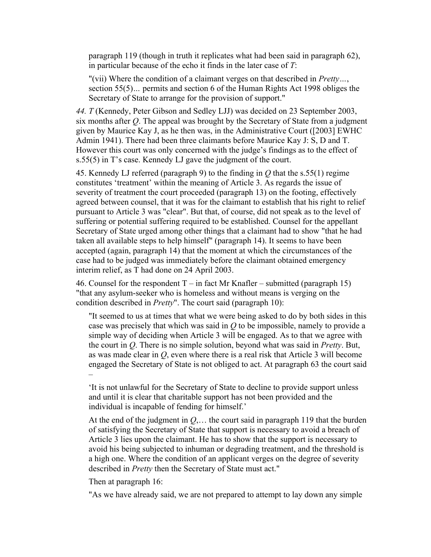paragraph 119 (though in truth it replicates what had been said in paragraph 62), in particular because of the echo it finds in the later case of *T*:

"(vii) Where the condition of a claimant verges on that described in *Pretty…*, section 55(5)*…* permits and section 6 of the Human Rights Act 1998 obliges the Secretary of State to arrange for the provision of support."

*44. T* (Kennedy, Peter Gibson and Sedley LJJ) was decided on 23 September 2003, six months after *Q*. The appeal was brought by the Secretary of State from a judgment given by Maurice Kay J, as he then was, in the Administrative Court ([2003] EWHC Admin 1941). There had been three claimants before Maurice Kay J: S, D and T. However this court was only concerned with the judge's findings as to the effect of s.55(5) in T's case. Kennedy LJ gave the judgment of the court.

45. Kennedy LJ referred (paragraph 9) to the finding in *Q* that the s.55(1) regime constitutes 'treatment' within the meaning of Article 3. As regards the issue of severity of treatment the court proceeded (paragraph 13) on the footing, effectively agreed between counsel, that it was for the claimant to establish that his right to relief pursuant to Article 3 was "clear". But that, of course, did not speak as to the level of suffering or potential suffering required to be established. Counsel for the appellant Secretary of State urged among other things that a claimant had to show "that he had taken all available steps to help himself" (paragraph 14). It seems to have been accepted (again, paragraph 14) that the moment at which the circumstances of the case had to be judged was immediately before the claimant obtained emergency interim relief, as T had done on 24 April 2003.

46. Counsel for the respondent  $T - in$  fact Mr Knafler – submitted (paragraph 15) "that any asylum-seeker who is homeless and without means is verging on the condition described in *Pretty*". The court said (paragraph 10):

"It seemed to us at times that what we were being asked to do by both sides in this case was precisely that which was said in *Q* to be impossible, namely to provide a simple way of deciding when Article 3 will be engaged. As to that we agree with the court in *Q*. There is no simple solution, beyond what was said in *Pretty*. But, as was made clear in *Q*, even where there is a real risk that Article 3 will become engaged the Secretary of State is not obliged to act. At paragraph 63 the court said –

'It is not unlawful for the Secretary of State to decline to provide support unless and until it is clear that charitable support has not been provided and the individual is incapable of fending for himself.'

At the end of the judgment in *Q*,… the court said in paragraph 119 that the burden of satisfying the Secretary of State that support is necessary to avoid a breach of Article 3 lies upon the claimant. He has to show that the support is necessary to avoid his being subjected to inhuman or degrading treatment, and the threshold is a high one. Where the condition of an applicant verges on the degree of severity described in *Pretty* then the Secretary of State must act."

Then at paragraph 16:

"As we have already said, we are not prepared to attempt to lay down any simple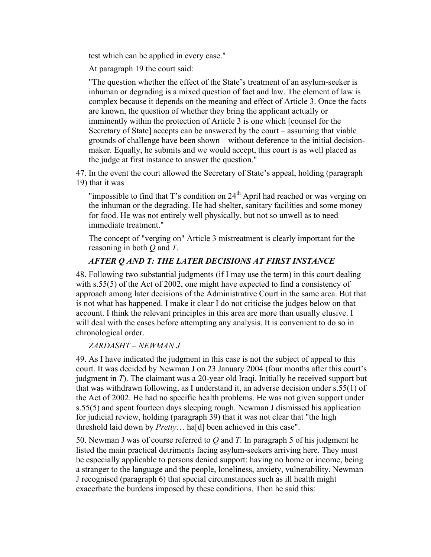test which can be applied in every case."

At paragraph 19 the court said:

"The question whether the effect of the State's treatment of an asylum-seeker is inhuman or degrading is a mixed question of fact and law. The element of law is complex because it depends on the meaning and effect of Article 3. Once the facts are known, the question of whether they bring the applicant actually or imminently within the protection of Article 3 is one which [counsel for the Secretary of State] accepts can be answered by the court – assuming that viable grounds of challenge have been shown – without deference to the initial decisionmaker. Equally, he submits and we would accept, this court is as well placed as the judge at first instance to answer the question."

47. In the event the court allowed the Secretary of State's appeal, holding (paragraph 19) that it was

"impossible to find that T's condition on  $24<sup>th</sup>$  April had reached or was verging on the inhuman or the degrading. He had shelter, sanitary facilities and some money for food. He was not entirely well physically, but not so unwell as to need immediate treatment."

The concept of "verging on" Article 3 mistreatment is clearly important for the reasoning in both *Q* and *T*.

## *AFTER Q AND T: THE LATER DECISIONS AT FIRST INSTANCE*

48. Following two substantial judgments (if I may use the term) in this court dealing with s.55(5) of the Act of 2002, one might have expected to find a consistency of approach among later decisions of the Administrative Court in the same area. But that is not what has happened. I make it clear I do not criticise the judges below on that account. I think the relevant principles in this area are more than usually elusive. I will deal with the cases before attempting any analysis. It is convenient to do so in chronological order.

## *ZARDASHT – NEWMAN J*

49. As I have indicated the judgment in this case is not the subject of appeal to this court. It was decided by Newman J on 23 January 2004 (four months after this court's judgment in *T*). The claimant was a 20-year old Iraqi. Initially he received support but that was withdrawn following, as I understand it, an adverse decision under s.55(1) of the Act of 2002. He had no specific health problems. He was not given support under s.55(5) and spent fourteen days sleeping rough. Newman J dismissed his application for judicial review, holding (paragraph 39) that it was not clear that "the high threshold laid down by *Pretty*… ha[d] been achieved in this case".

50. Newman J was of course referred to *Q* and *T*. In paragraph 5 of his judgment he listed the main practical detriments facing asylum-seekers arriving here. They must be especially applicable to persons denied support: having no home or income, being a stranger to the language and the people, loneliness, anxiety, vulnerability. Newman J recognised (paragraph 6) that special circumstances such as ill health might exacerbate the burdens imposed by these conditions. Then he said this: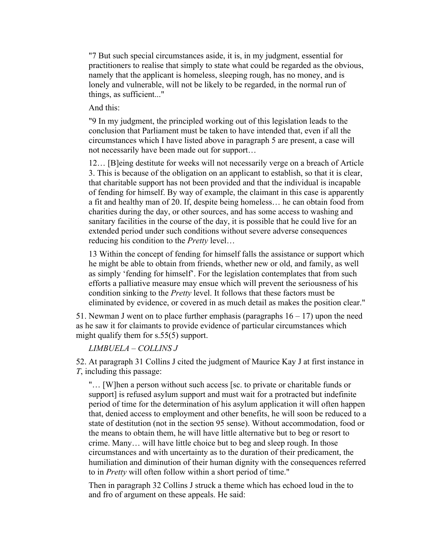"7 But such special circumstances aside, it is, in my judgment, essential for practitioners to realise that simply to state what could be regarded as the obvious, namely that the applicant is homeless, sleeping rough, has no money, and is lonely and vulnerable, will not be likely to be regarded, in the normal run of things, as sufficient..."

And this:

"9 In my judgment, the principled working out of this legislation leads to the conclusion that Parliament must be taken to have intended that, even if all the circumstances which I have listed above in paragraph 5 are present, a case will not necessarily have been made out for support…

12… [B]eing destitute for weeks will not necessarily verge on a breach of Article 3. This is because of the obligation on an applicant to establish, so that it is clear, that charitable support has not been provided and that the individual is incapable of fending for himself. By way of example, the claimant in this case is apparently a fit and healthy man of 20. If, despite being homeless… he can obtain food from charities during the day, or other sources, and has some access to washing and sanitary facilities in the course of the day, it is possible that he could live for an extended period under such conditions without severe adverse consequences reducing his condition to the *Pretty* level…

13 Within the concept of fending for himself falls the assistance or support which he might be able to obtain from friends, whether new or old, and family, as well as simply 'fending for himself'. For the legislation contemplates that from such efforts a palliative measure may ensue which will prevent the seriousness of his condition sinking to the *Pretty* level. It follows that these factors must be eliminated by evidence, or covered in as much detail as makes the position clear."

51. Newman J went on to place further emphasis (paragraphs  $16 - 17$ ) upon the need as he saw it for claimants to provide evidence of particular circumstances which might qualify them for s.55(5) support.

## *LIMBUELA – COLLINS J*

52. At paragraph 31 Collins J cited the judgment of Maurice Kay J at first instance in *T*, including this passage:

"… [W]hen a person without such access [sc. to private or charitable funds or support] is refused asylum support and must wait for a protracted but indefinite period of time for the determination of his asylum application it will often happen that, denied access to employment and other benefits, he will soon be reduced to a state of destitution (not in the section 95 sense). Without accommodation, food or the means to obtain them, he will have little alternative but to beg or resort to crime. Many… will have little choice but to beg and sleep rough. In those circumstances and with uncertainty as to the duration of their predicament, the humiliation and diminution of their human dignity with the consequences referred to in *Pretty* will often follow within a short period of time."

Then in paragraph 32 Collins J struck a theme which has echoed loud in the to and fro of argument on these appeals. He said: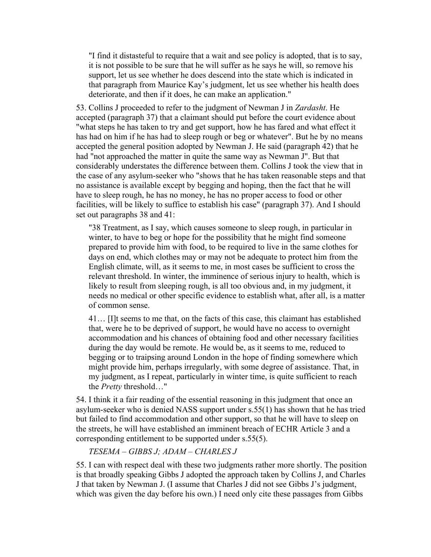"I find it distasteful to require that a wait and see policy is adopted, that is to say, it is not possible to be sure that he will suffer as he says he will, so remove his support, let us see whether he does descend into the state which is indicated in that paragraph from Maurice Kay's judgment, let us see whether his health does deteriorate, and then if it does, he can make an application."

53. Collins J proceeded to refer to the judgment of Newman J in *Zardasht*. He accepted (paragraph 37) that a claimant should put before the court evidence about "what steps he has taken to try and get support, how he has fared and what effect it has had on him if he has had to sleep rough or beg or whatever". But he by no means accepted the general position adopted by Newman J. He said (paragraph 42) that he had "not approached the matter in quite the same way as Newman J". But that considerably understates the difference between them. Collins J took the view that in the case of any asylum-seeker who "shows that he has taken reasonable steps and that no assistance is available except by begging and hoping, then the fact that he will have to sleep rough, he has no money, he has no proper access to food or other facilities, will be likely to suffice to establish his case" (paragraph 37). And I should set out paragraphs 38 and 41:

"38 Treatment, as I say, which causes someone to sleep rough, in particular in winter, to have to beg or hope for the possibility that he might find someone prepared to provide him with food, to be required to live in the same clothes for days on end, which clothes may or may not be adequate to protect him from the English climate, will, as it seems to me, in most cases be sufficient to cross the relevant threshold. In winter, the imminence of serious injury to health, which is likely to result from sleeping rough, is all too obvious and, in my judgment, it needs no medical or other specific evidence to establish what, after all, is a matter of common sense.

41… [I]t seems to me that, on the facts of this case, this claimant has established that, were he to be deprived of support, he would have no access to overnight accommodation and his chances of obtaining food and other necessary facilities during the day would be remote. He would be, as it seems to me, reduced to begging or to traipsing around London in the hope of finding somewhere which might provide him, perhaps irregularly, with some degree of assistance. That, in my judgment, as I repeat, particularly in winter time, is quite sufficient to reach the *Pretty* threshold…"

54. I think it a fair reading of the essential reasoning in this judgment that once an asylum-seeker who is denied NASS support under s.55(1) has shown that he has tried but failed to find accommodation and other support, so that he will have to sleep on the streets, he will have established an imminent breach of ECHR Article 3 and a corresponding entitlement to be supported under s.55(5).

#### *TESEMA – GIBBS J; ADAM – CHARLES J*

55. I can with respect deal with these two judgments rather more shortly. The position is that broadly speaking Gibbs J adopted the approach taken by Collins J, and Charles J that taken by Newman J. (I assume that Charles J did not see Gibbs J's judgment, which was given the day before his own.) I need only cite these passages from Gibbs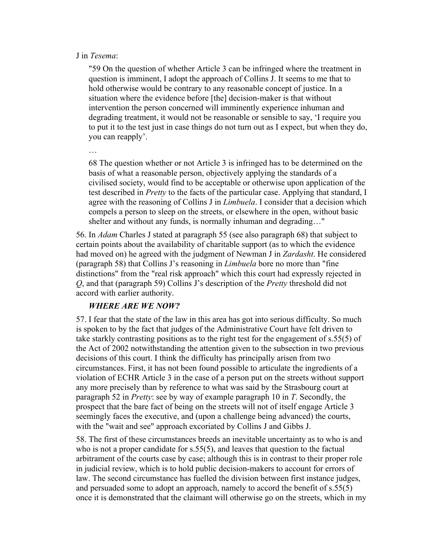#### J in *Tesema*:

"59 On the question of whether Article 3 can be infringed where the treatment in question is imminent, I adopt the approach of Collins J. It seems to me that to hold otherwise would be contrary to any reasonable concept of justice. In a situation where the evidence before [the] decision-maker is that without intervention the person concerned will imminently experience inhuman and degrading treatment, it would not be reasonable or sensible to say, 'I require you to put it to the test just in case things do not turn out as I expect, but when they do, you can reapply'.

68 The question whether or not Article 3 is infringed has to be determined on the basis of what a reasonable person, objectively applying the standards of a civilised society, would find to be acceptable or otherwise upon application of the test described in *Pretty* to the facts of the particular case. Applying that standard, I agree with the reasoning of Collins J in *Limbuela*. I consider that a decision which compels a person to sleep on the streets, or elsewhere in the open, without basic shelter and without any funds, is normally inhuman and degrading…"

56. In *Adam* Charles J stated at paragraph 55 (see also paragraph 68) that subject to certain points about the availability of charitable support (as to which the evidence had moved on) he agreed with the judgment of Newman J in *Zardasht*. He considered (paragraph 58) that Collins J's reasoning in *Limbuela* bore no more than "fine distinctions" from the "real risk approach" which this court had expressly rejected in *Q*, and that (paragraph 59) Collins J's description of the *Pretty* threshold did not accord with earlier authority.

## *WHERE ARE WE NOW?*

57. I fear that the state of the law in this area has got into serious difficulty. So much is spoken to by the fact that judges of the Administrative Court have felt driven to take starkly contrasting positions as to the right test for the engagement of s.55(5) of the Act of 2002 notwithstanding the attention given to the subsection in two previous decisions of this court. I think the difficulty has principally arisen from two circumstances. First, it has not been found possible to articulate the ingredients of a violation of ECHR Article 3 in the case of a person put on the streets without support any more precisely than by reference to what was said by the Strasbourg court at paragraph 52 in *Pretty*: see by way of example paragraph 10 in *T*. Secondly, the prospect that the bare fact of being on the streets will not of itself engage Article 3 seemingly faces the executive, and (upon a challenge being advanced) the courts, with the "wait and see" approach excoriated by Collins J and Gibbs J.

58. The first of these circumstances breeds an inevitable uncertainty as to who is and who is not a proper candidate for s.55(5), and leaves that question to the factual arbitrament of the courts case by case; although this is in contrast to their proper role in judicial review, which is to hold public decision-makers to account for errors of law. The second circumstance has fuelled the division between first instance judges, and persuaded some to adopt an approach, namely to accord the benefit of s.55(5) once it is demonstrated that the claimant will otherwise go on the streets, which in my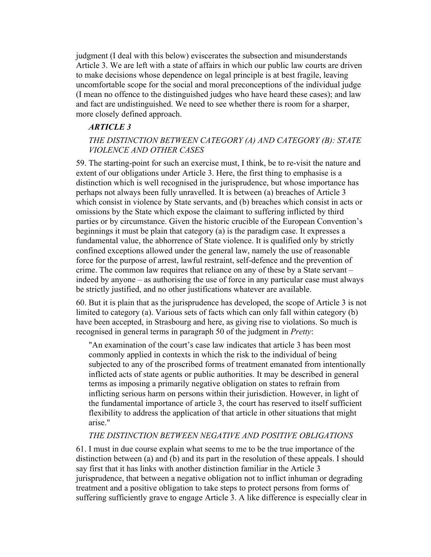judgment (I deal with this below) eviscerates the subsection and misunderstands Article 3. We are left with a state of affairs in which our public law courts are driven to make decisions whose dependence on legal principle is at best fragile, leaving uncomfortable scope for the social and moral preconceptions of the individual judge (I mean no offence to the distinguished judges who have heard these cases); and law and fact are undistinguished. We need to see whether there is room for a sharper, more closely defined approach.

## *ARTICLE 3*

## *THE DISTINCTION BETWEEN CATEGORY (A) AND CATEGORY (B): STATE VIOLENCE AND OTHER CASES*

59. The starting-point for such an exercise must, I think, be to re-visit the nature and extent of our obligations under Article 3. Here, the first thing to emphasise is a distinction which is well recognised in the jurisprudence, but whose importance has perhaps not always been fully unravelled. It is between (a) breaches of Article 3 which consist in violence by State servants, and (b) breaches which consist in acts or omissions by the State which expose the claimant to suffering inflicted by third parties or by circumstance. Given the historic crucible of the European Convention's beginnings it must be plain that category (a) is the paradigm case. It expresses a fundamental value, the abhorrence of State violence. It is qualified only by strictly confined exceptions allowed under the general law, namely the use of reasonable force for the purpose of arrest, lawful restraint, self-defence and the prevention of crime. The common law requires that reliance on any of these by a State servant – indeed by anyone – as authorising the use of force in any particular case must always be strictly justified, and no other justifications whatever are available.

60. But it is plain that as the jurisprudence has developed, the scope of Article 3 is not limited to category (a). Various sets of facts which can only fall within category (b) have been accepted, in Strasbourg and here, as giving rise to violations. So much is recognised in general terms in paragraph 50 of the judgment in *Pretty*:

"An examination of the court's case law indicates that article 3 has been most commonly applied in contexts in which the risk to the individual of being subjected to any of the proscribed forms of treatment emanated from intentionally inflicted acts of state agents or public authorities. It may be described in general terms as imposing a primarily negative obligation on states to refrain from inflicting serious harm on persons within their jurisdiction. However, in light of the fundamental importance of article 3, the court has reserved to itself sufficient flexibility to address the application of that article in other situations that might arise."

## *THE DISTINCTION BETWEEN NEGATIVE AND POSITIVE OBLIGATIONS*

61. I must in due course explain what seems to me to be the true importance of the distinction between (a) and (b) and its part in the resolution of these appeals. I should say first that it has links with another distinction familiar in the Article 3 jurisprudence, that between a negative obligation not to inflict inhuman or degrading treatment and a positive obligation to take steps to protect persons from forms of suffering sufficiently grave to engage Article 3. A like difference is especially clear in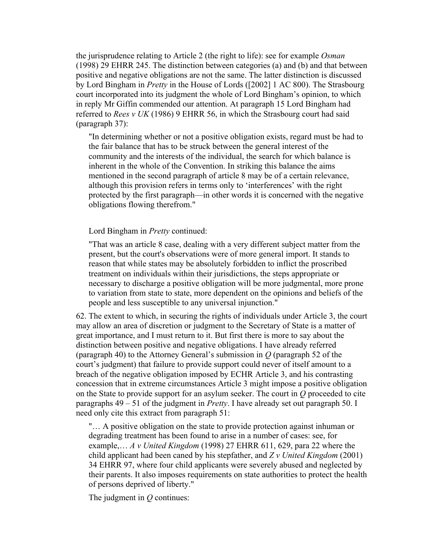the jurisprudence relating to Article 2 (the right to life): see for example *Osman*  (1998) 29 EHRR 245. The distinction between categories (a) and (b) and that between positive and negative obligations are not the same. The latter distinction is discussed by Lord Bingham in *Pretty* in the House of Lords ([2002] 1 AC 800). The Strasbourg court incorporated into its judgment the whole of Lord Bingham's opinion, to which in reply Mr Giffin commended our attention. At paragraph 15 Lord Bingham had referred to *Rees v UK* (1986) 9 EHRR 56, in which the Strasbourg court had said (paragraph 37):

"In determining whether or not a positive obligation exists, regard must be had to the fair balance that has to be struck between the general interest of the community and the interests of the individual, the search for which balance is inherent in the whole of the Convention. In striking this balance the aims mentioned in the second paragraph of article 8 may be of a certain relevance, although this provision refers in terms only to 'interferences' with the right protected by the first paragraph—in other words it is concerned with the negative obligations flowing therefrom."

#### Lord Bingham in *Pretty* continued:

"That was an article 8 case, dealing with a very different subject matter from the present, but the court's observations were of more general import. It stands to reason that while states may be absolutely forbidden to inflict the proscribed treatment on individuals within their jurisdictions, the steps appropriate or necessary to discharge a positive obligation will be more judgmental, more prone to variation from state to state, more dependent on the opinions and beliefs of the people and less susceptible to any universal injunction."

62. The extent to which, in securing the rights of individuals under Article 3, the court may allow an area of discretion or judgment to the Secretary of State is a matter of great importance, and I must return to it. But first there is more to say about the distinction between positive and negative obligations. I have already referred (paragraph 40) to the Attorney General's submission in *Q* (paragraph 52 of the court's judgment) that failure to provide support could never of itself amount to a breach of the negative obligation imposed by ECHR Article 3, and his contrasting concession that in extreme circumstances Article 3 might impose a positive obligation on the State to provide support for an asylum seeker. The court in *Q* proceeded to cite paragraphs 49 – 51 of the judgment in *Pretty*. I have already set out paragraph 50. I need only cite this extract from paragraph 51:

"… A positive obligation on the state to provide protection against inhuman or degrading treatment has been found to arise in a number of cases: see, for example,… *A v United Kingdom* (1998) 27 EHRR 611, 629, para 22 where the child applicant had been caned by his stepfather, and *Z v United Kingdom* (2001) 34 EHRR 97, where four child applicants were severely abused and neglected by their parents. It also imposes requirements on state authorities to protect the health of persons deprived of liberty."

The judgment in *Q* continues: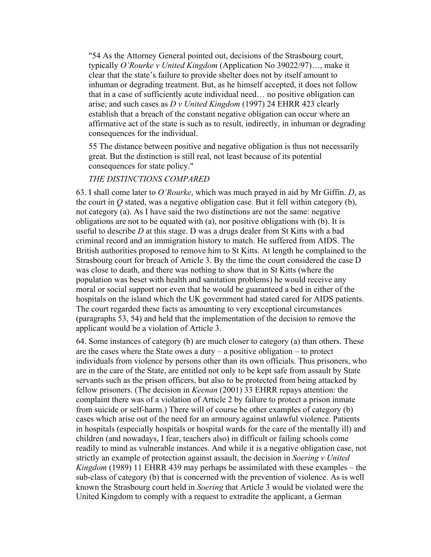"54 As the Attorney General pointed out, decisions of the Strasbourg court, typically *O'Rourke v United Kingdom* (Application No 39022/97)…, make it clear that the state's failure to provide shelter does not by itself amount to inhuman or degrading treatment. But, as he himself accepted, it does not follow that in a case of sufficiently acute individual need… no positive obligation can arise; and such cases as *D v United Kingdom* (1997) 24 EHRR 423 clearly establish that a breach of the constant negative obligation can occur where an affirmative act of the state is such as to result, indirectly, in inhuman or degrading consequences for the individual.

55 The distance between positive and negative obligation is thus not necessarily great. But the distinction is still real, not least because of its potential consequences for state policy."

## *THE DISTINCTIONS COMPARED*

63. I shall come later to *O'Rourke*, which was much prayed in aid by Mr Giffin. *D*, as the court in *Q* stated, was a negative obligation case. But it fell within category (b), not category (a). As I have said the two distinctions are not the same: negative obligations are not to be equated with (a), nor positive obligations with (b). It is useful to describe *D* at this stage. D was a drugs dealer from St Kitts with a bad criminal record and an immigration history to match. He suffered from AIDS. The British authorities proposed to remove him to St Kitts. At length he complained to the Strasbourg court for breach of Article 3. By the time the court considered the case D was close to death, and there was nothing to show that in St Kitts (where the population was beset with health and sanitation problems) he would receive any moral or social support nor even that he would be guaranteed a bed in either of the hospitals on the island which the UK government had stated cared for AIDS patients. The court regarded these facts as amounting to very exceptional circumstances (paragraphs 53, 54) and held that the implementation of the decision to remove the applicant would be a violation of Article 3.

64. Some instances of category (b) are much closer to category (a) than others. These are the cases where the State owes a duty – a positive obligation – to protect individuals from violence by persons other than its own officials. Thus prisoners, who are in the care of the State, are entitled not only to be kept safe from assault by State servants such as the prison officers, but also to be protected from being attacked by fellow prisoners. (The decision in *Keenan* (2001) 33 EHRR repays attention: the complaint there was of a violation of Article 2 by failure to protect a prison inmate from suicide or self-harm.) There will of course be other examples of category (b) cases which arise out of the need for an armoury against unlawful violence. Patients in hospitals (especially hospitals or hospital wards for the care of the mentally ill) and children (and nowadays, I fear, teachers also) in difficult or failing schools come readily to mind as vulnerable instances. And while it is a negative obligation case, not strictly an example of protection against assault, the decision in *Soering v United Kingdom* (1989) 11 EHRR 439 may perhaps be assimilated with these examples – the sub-class of category (b) that is concerned with the prevention of violence. As is well known the Strasbourg court held in *Soering* that Article 3 would be violated were the United Kingdom to comply with a request to extradite the applicant, a German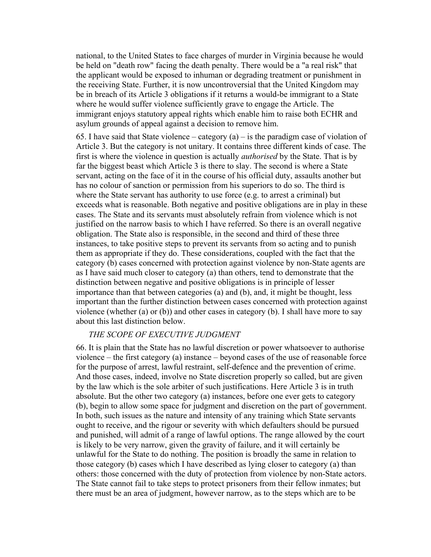national, to the United States to face charges of murder in Virginia because he would be held on "death row" facing the death penalty. There would be a "a real risk" that the applicant would be exposed to inhuman or degrading treatment or punishment in the receiving State. Further, it is now uncontroversial that the United Kingdom may be in breach of its Article 3 obligations if it returns a would-be immigrant to a State where he would suffer violence sufficiently grave to engage the Article. The immigrant enjoys statutory appeal rights which enable him to raise both ECHR and asylum grounds of appeal against a decision to remove him.

65. I have said that State violence – category  $(a)$  – is the paradigm case of violation of Article 3. But the category is not unitary. It contains three different kinds of case. The first is where the violence in question is actually *authorised* by the State. That is by far the biggest beast which Article 3 is there to slay. The second is where a State servant, acting on the face of it in the course of his official duty, assaults another but has no colour of sanction or permission from his superiors to do so. The third is where the State servant has authority to use force (e.g. to arrest a criminal) but exceeds what is reasonable. Both negative and positive obligations are in play in these cases. The State and its servants must absolutely refrain from violence which is not justified on the narrow basis to which I have referred. So there is an overall negative obligation. The State also is responsible, in the second and third of these three instances, to take positive steps to prevent its servants from so acting and to punish them as appropriate if they do. These considerations, coupled with the fact that the category (b) cases concerned with protection against violence by non-State agents are as I have said much closer to category (a) than others, tend to demonstrate that the distinction between negative and positive obligations is in principle of lesser importance than that between categories (a) and (b), and, it might be thought, less important than the further distinction between cases concerned with protection against violence (whether (a) or (b)) and other cases in category (b). I shall have more to say about this last distinction below.

## *THE SCOPE OF EXECUTIVE JUDGMENT*

66. It is plain that the State has no lawful discretion or power whatsoever to authorise violence – the first category (a) instance – beyond cases of the use of reasonable force for the purpose of arrest, lawful restraint, self-defence and the prevention of crime. And those cases, indeed, involve no State discretion properly so called, but are given by the law which is the sole arbiter of such justifications. Here Article 3 is in truth absolute. But the other two category (a) instances, before one ever gets to category (b), begin to allow some space for judgment and discretion on the part of government. In both, such issues as the nature and intensity of any training which State servants ought to receive, and the rigour or severity with which defaulters should be pursued and punished, will admit of a range of lawful options. The range allowed by the court is likely to be very narrow, given the gravity of failure, and it will certainly be unlawful for the State to do nothing. The position is broadly the same in relation to those category (b) cases which I have described as lying closer to category (a) than others: those concerned with the duty of protection from violence by non-State actors. The State cannot fail to take steps to protect prisoners from their fellow inmates; but there must be an area of judgment, however narrow, as to the steps which are to be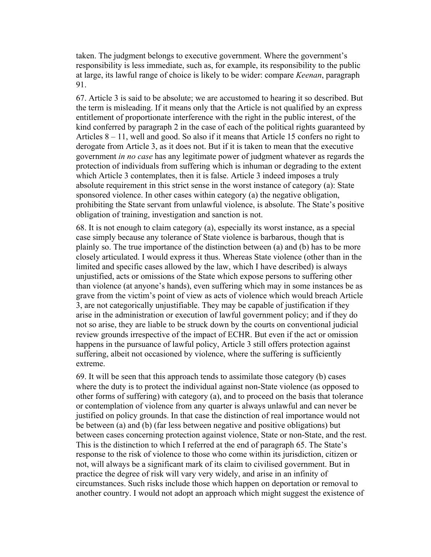taken. The judgment belongs to executive government. Where the government's responsibility is less immediate, such as, for example, its responsibility to the public at large, its lawful range of choice is likely to be wider: compare *Keenan*, paragraph 91.

67. Article 3 is said to be absolute; we are accustomed to hearing it so described. But the term is misleading. If it means only that the Article is not qualified by an express entitlement of proportionate interference with the right in the public interest, of the kind conferred by paragraph 2 in the case of each of the political rights guaranteed by Articles 8 – 11, well and good. So also if it means that Article 15 confers no right to derogate from Article 3, as it does not. But if it is taken to mean that the executive government *in no case* has any legitimate power of judgment whatever as regards the protection of individuals from suffering which is inhuman or degrading to the extent which Article 3 contemplates, then it is false. Article 3 indeed imposes a truly absolute requirement in this strict sense in the worst instance of category (a): State sponsored violence. In other cases within category (a) the negative obligation, prohibiting the State servant from unlawful violence, is absolute. The State's positive obligation of training, investigation and sanction is not.

68. It is not enough to claim category (a), especially its worst instance, as a special case simply because any tolerance of State violence is barbarous, though that is plainly so. The true importance of the distinction between (a) and (b) has to be more closely articulated. I would express it thus. Whereas State violence (other than in the limited and specific cases allowed by the law, which I have described) is always unjustified, acts or omissions of the State which expose persons to suffering other than violence (at anyone's hands), even suffering which may in some instances be as grave from the victim's point of view as acts of violence which would breach Article 3, are not categorically unjustifiable. They may be capable of justification if they arise in the administration or execution of lawful government policy; and if they do not so arise, they are liable to be struck down by the courts on conventional judicial review grounds irrespective of the impact of ECHR. But even if the act or omission happens in the pursuance of lawful policy, Article 3 still offers protection against suffering, albeit not occasioned by violence, where the suffering is sufficiently extreme.

69. It will be seen that this approach tends to assimilate those category (b) cases where the duty is to protect the individual against non-State violence (as opposed to other forms of suffering) with category (a), and to proceed on the basis that tolerance or contemplation of violence from any quarter is always unlawful and can never be justified on policy grounds. In that case the distinction of real importance would not be between (a) and (b) (far less between negative and positive obligations) but between cases concerning protection against violence, State or non-State, and the rest. This is the distinction to which I referred at the end of paragraph 65. The State's response to the risk of violence to those who come within its jurisdiction, citizen or not, will always be a significant mark of its claim to civilised government. But in practice the degree of risk will vary very widely, and arise in an infinity of circumstances. Such risks include those which happen on deportation or removal to another country. I would not adopt an approach which might suggest the existence of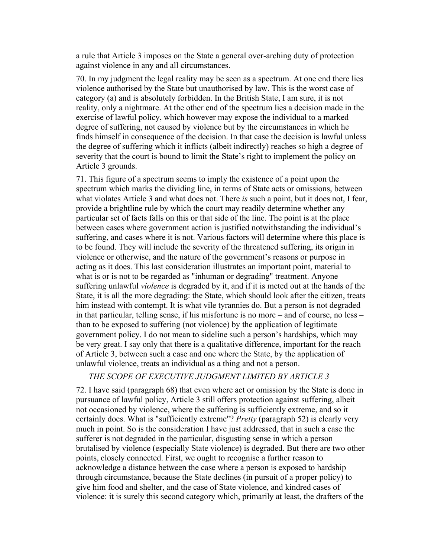a rule that Article 3 imposes on the State a general over-arching duty of protection against violence in any and all circumstances.

70. In my judgment the legal reality may be seen as a spectrum. At one end there lies violence authorised by the State but unauthorised by law. This is the worst case of category (a) and is absolutely forbidden. In the British State, I am sure, it is not reality, only a nightmare. At the other end of the spectrum lies a decision made in the exercise of lawful policy, which however may expose the individual to a marked degree of suffering, not caused by violence but by the circumstances in which he finds himself in consequence of the decision. In that case the decision is lawful unless the degree of suffering which it inflicts (albeit indirectly) reaches so high a degree of severity that the court is bound to limit the State's right to implement the policy on Article 3 grounds.

71. This figure of a spectrum seems to imply the existence of a point upon the spectrum which marks the dividing line, in terms of State acts or omissions, between what violates Article 3 and what does not. There *is* such a point, but it does not, I fear, provide a brightline rule by which the court may readily determine whether any particular set of facts falls on this or that side of the line. The point is at the place between cases where government action is justified notwithstanding the individual's suffering, and cases where it is not. Various factors will determine where this place is to be found. They will include the severity of the threatened suffering, its origin in violence or otherwise, and the nature of the government's reasons or purpose in acting as it does. This last consideration illustrates an important point, material to what is or is not to be regarded as "inhuman or degrading" treatment. Anyone suffering unlawful *violence* is degraded by it, and if it is meted out at the hands of the State, it is all the more degrading: the State, which should look after the citizen, treats him instead with contempt. It is what vile tyrannies do. But a person is not degraded in that particular, telling sense, if his misfortune is no more – and of course, no less – than to be exposed to suffering (not violence) by the application of legitimate government policy. I do not mean to sideline such a person's hardships, which may be very great. I say only that there is a qualitative difference, important for the reach of Article 3, between such a case and one where the State, by the application of unlawful violence, treats an individual as a thing and not a person.

## *THE SCOPE OF EXECUTIVE JUDGMENT LIMITED BY ARTICLE 3*

72. I have said (paragraph 68) that even where act or omission by the State is done in pursuance of lawful policy, Article 3 still offers protection against suffering, albeit not occasioned by violence, where the suffering is sufficiently extreme, and so it certainly does. What is "sufficiently extreme"? *Pretty* (paragraph 52) is clearly very much in point. So is the consideration I have just addressed, that in such a case the sufferer is not degraded in the particular, disgusting sense in which a person brutalised by violence (especially State violence) is degraded. But there are two other points, closely connected. First, we ought to recognise a further reason to acknowledge a distance between the case where a person is exposed to hardship through circumstance, because the State declines (in pursuit of a proper policy) to give him food and shelter, and the case of State violence, and kindred cases of violence: it is surely this second category which, primarily at least, the drafters of the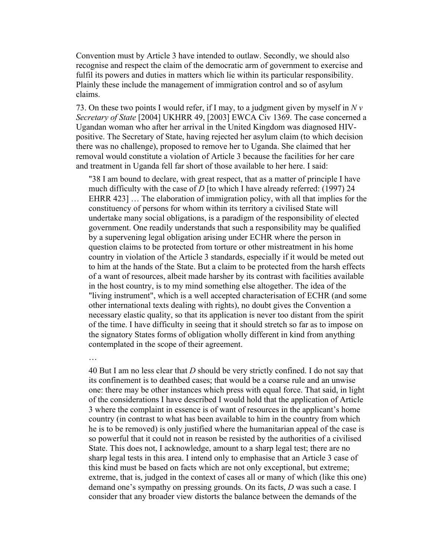Convention must by Article 3 have intended to outlaw. Secondly, we should also recognise and respect the claim of the democratic arm of government to exercise and fulfil its powers and duties in matters which lie within its particular responsibility. Plainly these include the management of immigration control and so of asylum claims.

73. On these two points I would refer, if I may, to a judgment given by myself in *N v Secretary of State* [2004] UKHRR 49, [2003] EWCA Civ 1369. The case concerned a Ugandan woman who after her arrival in the United Kingdom was diagnosed HIVpositive. The Secretary of State, having rejected her asylum claim (to which decision there was no challenge), proposed to remove her to Uganda. She claimed that her removal would constitute a violation of Article 3 because the facilities for her care and treatment in Uganda fell far short of those available to her here. I said:

"38 I am bound to declare, with great respect, that as a matter of principle I have much difficulty with the case of *D* [to which I have already referred: (1997) 24 EHRR 423] … The elaboration of immigration policy, with all that implies for the constituency of persons for whom within its territory a civilised State will undertake many social obligations, is a paradigm of the responsibility of elected government. One readily understands that such a responsibility may be qualified by a supervening legal obligation arising under ECHR where the person in question claims to be protected from torture or other mistreatment in his home country in violation of the Article 3 standards, especially if it would be meted out to him at the hands of the State. But a claim to be protected from the harsh effects of a want of resources, albeit made harsher by its contrast with facilities available in the host country, is to my mind something else altogether. The idea of the "living instrument", which is a well accepted characterisation of ECHR (and some other international texts dealing with rights), no doubt gives the Convention a necessary elastic quality, so that its application is never too distant from the spirit of the time. I have difficulty in seeing that it should stretch so far as to impose on the signatory States forms of obligation wholly different in kind from anything contemplated in the scope of their agreement.

40 But I am no less clear that *D* should be very strictly confined. I do not say that its confinement is to deathbed cases; that would be a coarse rule and an unwise one: there may be other instances which press with equal force. That said, in light of the considerations I have described I would hold that the application of Article 3 where the complaint in essence is of want of resources in the applicant's home country (in contrast to what has been available to him in the country from which he is to be removed) is only justified where the humanitarian appeal of the case is so powerful that it could not in reason be resisted by the authorities of a civilised State. This does not, I acknowledge, amount to a sharp legal test; there are no sharp legal tests in this area. I intend only to emphasise that an Article 3 case of this kind must be based on facts which are not only exceptional, but extreme; extreme, that is, judged in the context of cases all or many of which (like this one) demand one's sympathy on pressing grounds. On its facts, *D* was such a case. I consider that any broader view distorts the balance between the demands of the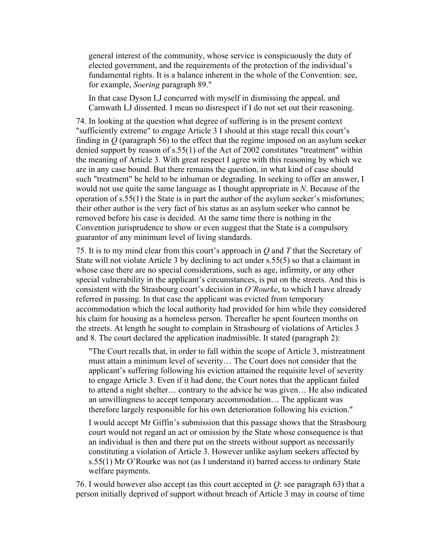general interest of the community, whose service is conspicuously the duty of elected government, and the requirements of the protection of the individual's fundamental rights. It is a balance inherent in the whole of the Convention: see, for example, *Soering* paragraph 89."

In that case Dyson LJ concurred with myself in dismissing the appeal, and Carnwath LJ dissented. I mean no disrespect if I do not set out their reasoning.

74. In looking at the question what degree of suffering is in the present context "sufficiently extreme" to engage Article 3 I should at this stage recall this court's finding in *Q* (paragraph 56) to the effect that the regime imposed on an asylum seeker denied support by reason of s.55(1) of the Act of 2002 constitutes "treatment" within the meaning of Article 3. With great respect I agree with this reasoning by which we are in any case bound. But there remains the question, in what kind of case should such "treatment" be held to be inhuman or degrading. In seeking to offer an answer, I would not use quite the same language as I thought appropriate in *N*. Because of the operation of s.55(1) the State is in part the author of the asylum seeker's misfortunes; their other author is the very fact of his status as an asylum seeker who cannot be removed before his case is decided. At the same time there is nothing in the Convention jurisprudence to show or even suggest that the State is a compulsory guarantor of any minimum level of living standards.

75. It is to my mind clear from this court's approach in *Q* and *T* that the Secretary of State will not violate Article 3 by declining to act under s.55(5) so that a claimant in whose case there are no special considerations, such as age, infirmity, or any other special vulnerability in the applicant's circumstances, is put on the streets. And this is consistent with the Strasbourg court's decision in *O'Rourke*, to which I have already referred in passing. In that case the applicant was evicted from temporary accommodation which the local authority had provided for him while they considered his claim for housing as a homeless person. Thereafter he spent fourteen months on the streets. At length he sought to complain in Strasbourg of violations of Articles 3 and 8. The court declared the application inadmissible. It stated (paragraph 2):

"The Court recalls that, in order to fall within the scope of Article 3, mistreatment must attain a minimum level of severity… The Court does not consider that the applicant's suffering following his eviction attained the requisite level of severity to engage Article 3. Even if it had done, the Court notes that the applicant failed to attend a night shelter… contrary to the advice he was given… He also indicated an unwillingness to accept temporary accommodation… The applicant was therefore largely responsible for his own deterioration following his eviction."

I would accept Mr Giffin's submission that this passage shows that the Strasbourg court would not regard an act or omission by the State whose consequence is that an individual is then and there put on the streets without support as necessarily constituting a violation of Article 3. However unlike asylum seekers affected by s.55(1) Mr O'Rourke was not (as I understand it) barred access to ordinary State welfare payments.

76. I would however also accept (as this court accepted in *Q*: see paragraph 63) that a person initially deprived of support without breach of Article 3 may in course of time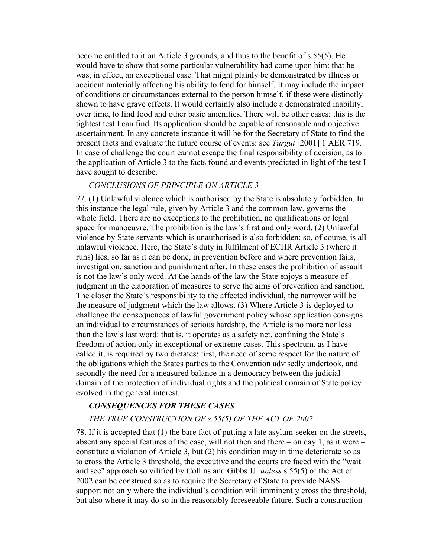become entitled to it on Article 3 grounds, and thus to the benefit of s.55(5). He would have to show that some particular vulnerability had come upon him: that he was, in effect, an exceptional case. That might plainly be demonstrated by illness or accident materially affecting his ability to fend for himself. It may include the impact of conditions or circumstances external to the person himself, if these were distinctly shown to have grave effects. It would certainly also include a demonstrated inability, over time, to find food and other basic amenities. There will be other cases; this is the tightest test I can find. Its application should be capable of reasonable and objective ascertainment. In any concrete instance it will be for the Secretary of State to find the present facts and evaluate the future course of events: see *Turgut* [2001] 1 AER 719. In case of challenge the court cannot escape the final responsibility of decision, as to the application of Article 3 to the facts found and events predicted in light of the test I have sought to describe.

#### *CONCLUSIONS OF PRINCIPLE ON ARTICLE 3*

77. (1) Unlawful violence which is authorised by the State is absolutely forbidden. In this instance the legal rule, given by Article 3 and the common law, governs the whole field. There are no exceptions to the prohibition, no qualifications or legal space for manoeuvre. The prohibition is the law's first and only word. (2) Unlawful violence by State servants which is unauthorised is also forbidden; so, of course, is all unlawful violence. Here, the State's duty in fulfilment of ECHR Article 3 (where it runs) lies, so far as it can be done, in prevention before and where prevention fails, investigation, sanction and punishment after. In these cases the prohibition of assault is not the law's only word. At the hands of the law the State enjoys a measure of judgment in the elaboration of measures to serve the aims of prevention and sanction. The closer the State's responsibility to the affected individual, the narrower will be the measure of judgment which the law allows. (3) Where Article 3 is deployed to challenge the consequences of lawful government policy whose application consigns an individual to circumstances of serious hardship, the Article is no more nor less than the law's last word: that is, it operates as a safety net, confining the State's freedom of action only in exceptional or extreme cases. This spectrum, as I have called it, is required by two dictates: first, the need of some respect for the nature of the obligations which the States parties to the Convention advisedly undertook, and secondly the need for a measured balance in a democracy between the judicial domain of the protection of individual rights and the political domain of State policy evolved in the general interest.

#### *CONSEQUENCES FOR THESE CASES*

## *THE TRUE CONSTRUCTION OF s.55(5) OF THE ACT OF 2002*

78. If it is accepted that (1) the bare fact of putting a late asylum-seeker on the streets, absent any special features of the case, will not then and there – on day 1, as it were – constitute a violation of Article 3, but (2) his condition may in time deteriorate so as to cross the Article 3 threshold, the executive and the courts are faced with the "wait and see" approach so vilified by Collins and Gibbs JJ: *unless* s.55(5) of the Act of 2002 can be construed so as to require the Secretary of State to provide NASS support not only where the individual's condition will imminently cross the threshold, but also where it may do so in the reasonably foreseeable future. Such a construction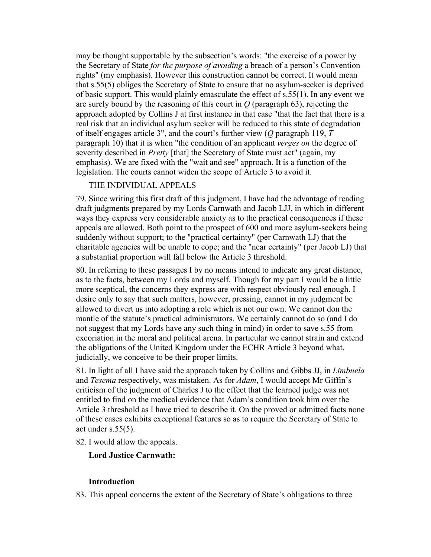may be thought supportable by the subsection's words: "the exercise of a power by the Secretary of State *for the purpose of avoiding* a breach of a person's Convention rights" (my emphasis). However this construction cannot be correct. It would mean that s.55(5) obliges the Secretary of State to ensure that no asylum-seeker is deprived of basic support. This would plainly emasculate the effect of s.55(1). In any event we are surely bound by the reasoning of this court in *Q* (paragraph 63), rejecting the approach adopted by Collins J at first instance in that case "that the fact that there is a real risk that an individual asylum seeker will be reduced to this state of degradation of itself engages article 3", and the court's further view (*Q* paragraph 119, *T*  paragraph 10) that it is when "the condition of an applicant *verges on* the degree of severity described in *Pretty* [that] the Secretary of State must act" (again, my emphasis). We are fixed with the "wait and see" approach. It is a function of the legislation. The courts cannot widen the scope of Article 3 to avoid it.

## THE INDIVIDUAL APPEALS

79. Since writing this first draft of this judgment, I have had the advantage of reading draft judgments prepared by my Lords Carnwath and Jacob LJJ, in which in different ways they express very considerable anxiety as to the practical consequences if these appeals are allowed. Both point to the prospect of 600 and more asylum-seekers being suddenly without support; to the "practical certainty" (per Carnwath LJ) that the charitable agencies will be unable to cope; and the "near certainty" (per Jacob LJ) that a substantial proportion will fall below the Article 3 threshold.

80. In referring to these passages I by no means intend to indicate any great distance, as to the facts, between my Lords and myself. Though for my part I would be a little more sceptical, the concerns they express are with respect obviously real enough. I desire only to say that such matters, however, pressing, cannot in my judgment be allowed to divert us into adopting a role which is not our own. We cannot don the mantle of the statute's practical administrators. We certainly cannot do so (and I do not suggest that my Lords have any such thing in mind) in order to save s.55 from excoriation in the moral and political arena. In particular we cannot strain and extend the obligations of the United Kingdom under the ECHR Article 3 beyond what, judicially, we conceive to be their proper limits.

81. In light of all I have said the approach taken by Collins and Gibbs JJ, in *Limbuela*  and *Tesema* respectively, was mistaken. As for *Adam*, I would accept Mr Giffin's criticism of the judgment of Charles J to the effect that the learned judge was not entitled to find on the medical evidence that Adam's condition took him over the Article 3 threshold as I have tried to describe it. On the proved or admitted facts none of these cases exhibits exceptional features so as to require the Secretary of State to act under  $s.55(5)$ .

82. I would allow the appeals.

## **Lord Justice Carnwath:**

## **Introduction**

83. This appeal concerns the extent of the Secretary of State's obligations to three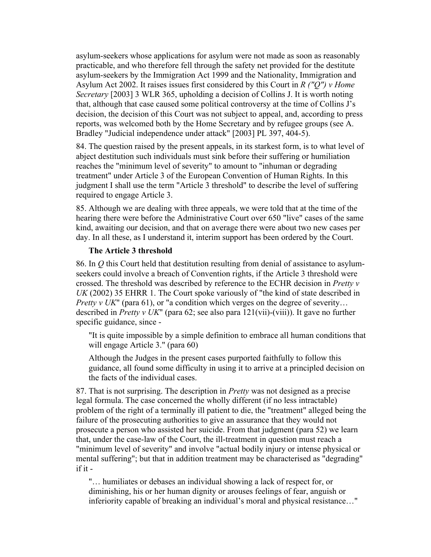asylum-seekers whose applications for asylum were not made as soon as reasonably practicable, and who therefore fell through the safety net provided for the destitute asylum-seekers by the Immigration Act 1999 and the Nationality, Immigration and Asylum Act 2002. It raises issues first considered by this Court in *R ("Q") v Home Secretary* [2003] 3 WLR 365, upholding a decision of Collins J. It is worth noting that, although that case caused some political controversy at the time of Collins J's decision, the decision of this Court was not subject to appeal, and, according to press reports, was welcomed both by the Home Secretary and by refugee groups (see A. Bradley "Judicial independence under attack" [2003] PL 397, 404-5).

84. The question raised by the present appeals, in its starkest form, is to what level of abject destitution such individuals must sink before their suffering or humiliation reaches the "minimum level of severity" to amount to "inhuman or degrading treatment" under Article 3 of the European Convention of Human Rights. In this judgment I shall use the term "Article 3 threshold" to describe the level of suffering required to engage Article 3.

85. Although we are dealing with three appeals, we were told that at the time of the hearing there were before the Administrative Court over 650 "live" cases of the same kind, awaiting our decision, and that on average there were about two new cases per day. In all these, as I understand it, interim support has been ordered by the Court.

## **The Article 3 threshold**

86. In *Q* this Court held that destitution resulting from denial of assistance to asylumseekers could involve a breach of Convention rights, if the Article 3 threshold were crossed. The threshold was described by reference to the ECHR decision in *Pretty v UK* (2002) 35 EHRR 1. The Court spoke variously of "the kind of state described in *Pretty v UK*" (para 61), or "a condition which verges on the degree of severity... described in *Pretty v UK*" (para 62; see also para 121(vii)-(viii)). It gave no further specific guidance, since -

"It is quite impossible by a simple definition to embrace all human conditions that will engage Article 3." (para 60)

Although the Judges in the present cases purported faithfully to follow this guidance, all found some difficulty in using it to arrive at a principled decision on the facts of the individual cases.

87. That is not surprising. The description in *Pretty* was not designed as a precise legal formula. The case concerned the wholly different (if no less intractable) problem of the right of a terminally ill patient to die, the "treatment" alleged being the failure of the prosecuting authorities to give an assurance that they would not prosecute a person who assisted her suicide. From that judgment (para 52) we learn that, under the case-law of the Court, the ill-treatment in question must reach a "minimum level of severity" and involve "actual bodily injury or intense physical or mental suffering"; but that in addition treatment may be characterised as "degrading" if it -

"… humiliates or debases an individual showing a lack of respect for, or diminishing, his or her human dignity or arouses feelings of fear, anguish or inferiority capable of breaking an individual's moral and physical resistance…"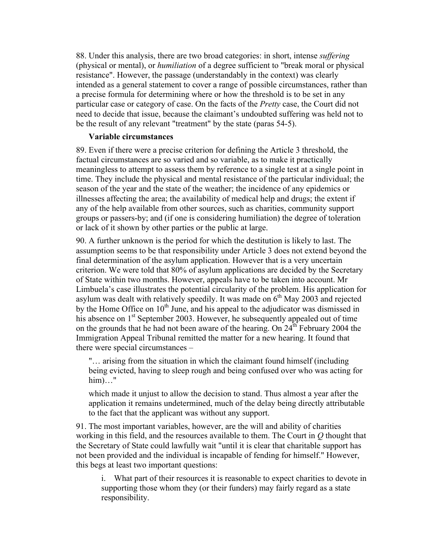88. Under this analysis, there are two broad categories: in short, intense *suffering* (physical or mental), or *humiliation* of a degree sufficient to "break moral or physical resistance". However, the passage (understandably in the context) was clearly intended as a general statement to cover a range of possible circumstances, rather than a precise formula for determining where or how the threshold is to be set in any particular case or category of case. On the facts of the *Pretty* case, the Court did not need to decide that issue, because the claimant's undoubted suffering was held not to be the result of any relevant "treatment" by the state (paras 54-5).

## **Variable circumstances**

89. Even if there were a precise criterion for defining the Article 3 threshold, the factual circumstances are so varied and so variable, as to make it practically meaningless to attempt to assess them by reference to a single test at a single point in time. They include the physical and mental resistance of the particular individual; the season of the year and the state of the weather; the incidence of any epidemics or illnesses affecting the area; the availability of medical help and drugs; the extent if any of the help available from other sources, such as charities, community support groups or passers-by; and (if one is considering humiliation) the degree of toleration or lack of it shown by other parties or the public at large.

90. A further unknown is the period for which the destitution is likely to last. The assumption seems to be that responsibility under Article 3 does not extend beyond the final determination of the asylum application. However that is a very uncertain criterion. We were told that 80% of asylum applications are decided by the Secretary of State within two months. However, appeals have to be taken into account. Mr Limbuela's case illustrates the potential circularity of the problem. His application for asylum was dealt with relatively speedily. It was made on  $6<sup>th</sup>$  May 2003 and rejected by the Home Office on 10<sup>th</sup> June, and his appeal to the adjudicator was dismissed in his absence on  $1<sup>st</sup>$  September 2003. However, he subsequently appealed out of time on the grounds that he had not been aware of the hearing. On  $24<sup>th</sup>$  February 2004 the Immigration Appeal Tribunal remitted the matter for a new hearing. It found that there were special circumstances –

"… arising from the situation in which the claimant found himself (including being evicted, having to sleep rough and being confused over who was acting for him)…"

which made it unjust to allow the decision to stand. Thus almost a year after the application it remains undetermined, much of the delay being directly attributable to the fact that the applicant was without any support.

91. The most important variables, however, are the will and ability of charities working in this field, and the resources available to them. The Court in *Q* thought that the Secretary of State could lawfully wait "until it is clear that charitable support has not been provided and the individual is incapable of fending for himself." However, this begs at least two important questions:

i. What part of their resources it is reasonable to expect charities to devote in supporting those whom they (or their funders) may fairly regard as a state responsibility.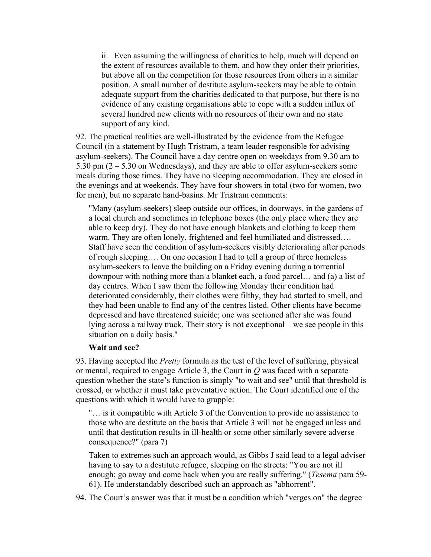ii. Even assuming the willingness of charities to help, much will depend on the extent of resources available to them, and how they order their priorities, but above all on the competition for those resources from others in a similar position. A small number of destitute asylum-seekers may be able to obtain adequate support from the charities dedicated to that purpose, but there is no evidence of any existing organisations able to cope with a sudden influx of several hundred new clients with no resources of their own and no state support of any kind.

92. The practical realities are well-illustrated by the evidence from the Refugee Council (in a statement by Hugh Tristram, a team leader responsible for advising asylum-seekers). The Council have a day centre open on weekdays from 9.30 am to 5.30 pm (2 – 5.30 on Wednesdays), and they are able to offer asylum-seekers some meals during those times. They have no sleeping accommodation. They are closed in the evenings and at weekends. They have four showers in total (two for women, two for men), but no separate hand-basins. Mr Tristram comments:

"Many (asylum-seekers) sleep outside our offices, in doorways, in the gardens of a local church and sometimes in telephone boxes (the only place where they are able to keep dry). They do not have enough blankets and clothing to keep them warm. They are often lonely, frightened and feel humiliated and distressed.... Staff have seen the condition of asylum-seekers visibly deteriorating after periods of rough sleeping…. On one occasion I had to tell a group of three homeless asylum-seekers to leave the building on a Friday evening during a torrential downpour with nothing more than a blanket each, a food parcel… and (a) a list of day centres. When I saw them the following Monday their condition had deteriorated considerably, their clothes were filthy, they had started to smell, and they had been unable to find any of the centres listed. Other clients have become depressed and have threatened suicide; one was sectioned after she was found lying across a railway track. Their story is not exceptional – we see people in this situation on a daily basis."

## **Wait and see?**

93. Having accepted the *Pretty* formula as the test of the level of suffering, physical or mental, required to engage Article 3, the Court in *Q* was faced with a separate question whether the state's function is simply "to wait and see" until that threshold is crossed, or whether it must take preventative action. The Court identified one of the questions with which it would have to grapple:

"… is it compatible with Article 3 of the Convention to provide no assistance to those who are destitute on the basis that Article 3 will not be engaged unless and until that destitution results in ill-health or some other similarly severe adverse consequence?" (para 7)

Taken to extremes such an approach would, as Gibbs J said lead to a legal adviser having to say to a destitute refugee, sleeping on the streets: "You are not ill enough; go away and come back when you are really suffering." (*Tesema* para 59- 61). He understandably described such an approach as "abhorrent".

94. The Court's answer was that it must be a condition which "verges on" the degree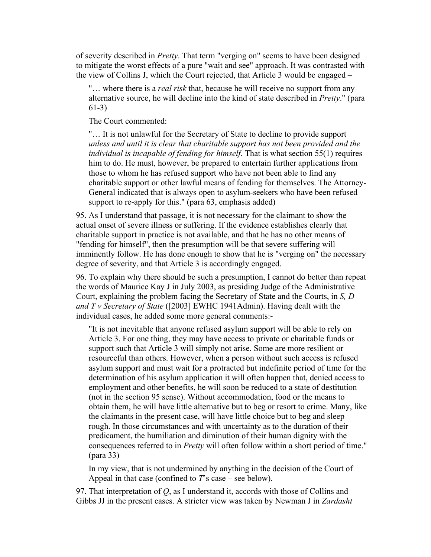of severity described in *Pretty*. That term "verging on" seems to have been designed to mitigate the worst effects of a pure "wait and see" approach. It was contrasted with the view of Collins J, which the Court rejected, that Article 3 would be engaged –

"… where there is a *real risk* that, because he will receive no support from any alternative source, he will decline into the kind of state described in *Pretty*." (para 61-3)

The Court commented:

"… It is not unlawful for the Secretary of State to decline to provide support *unless and until it is clear that charitable support has not been provided and the individual is incapable of fending for himself*. That is what section 55(1) requires him to do. He must, however, be prepared to entertain further applications from those to whom he has refused support who have not been able to find any charitable support or other lawful means of fending for themselves. The Attorney-General indicated that is always open to asylum-seekers who have been refused support to re-apply for this." (para 63, emphasis added)

95. As I understand that passage, it is not necessary for the claimant to show the actual onset of severe illness or suffering. If the evidence establishes clearly that charitable support in practice is not available, and that he has no other means of "fending for himself", then the presumption will be that severe suffering will imminently follow. He has done enough to show that he is "verging on" the necessary degree of severity, and that Article 3 is accordingly engaged.

96. To explain why there should be such a presumption, I cannot do better than repeat the words of Maurice Kay J in July 2003, as presiding Judge of the Administrative Court, explaining the problem facing the Secretary of State and the Courts, in *S, D and T v Secretary of State* ([2003] EWHC 1941Admin). Having dealt with the individual cases, he added some more general comments:-

"It is not inevitable that anyone refused asylum support will be able to rely on Article 3. For one thing, they may have access to private or charitable funds or support such that Article 3 will simply not arise. Some are more resilient or resourceful than others. However, when a person without such access is refused asylum support and must wait for a protracted but indefinite period of time for the determination of his asylum application it will often happen that, denied access to employment and other benefits, he will soon be reduced to a state of destitution (not in the section 95 sense). Without accommodation, food or the means to obtain them, he will have little alternative but to beg or resort to crime. Many, like the claimants in the present case, will have little choice but to beg and sleep rough. In those circumstances and with uncertainty as to the duration of their predicament, the humiliation and diminution of their human dignity with the consequences referred to in *Pretty* will often follow within a short period of time." (para 33)

In my view, that is not undermined by anything in the decision of the Court of Appeal in that case (confined to  $T$ 's case – see below).

97. That interpretation of *Q*, as I understand it, accords with those of Collins and Gibbs JJ in the present cases. A stricter view was taken by Newman J in *Zardasht*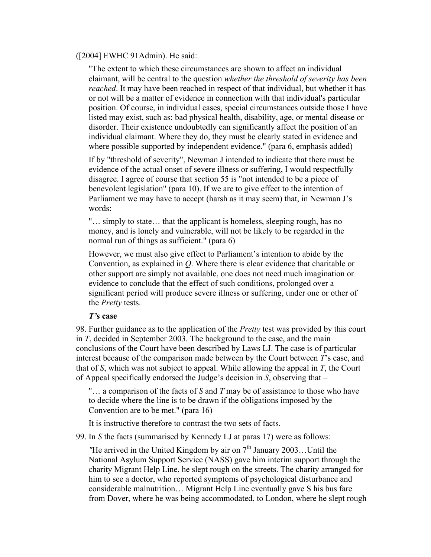## ([2004] EWHC 91Admin). He said:

"The extent to which these circumstances are shown to affect an individual claimant, will be central to the question *whether the threshold of severity has been reached*. It may have been reached in respect of that individual, but whether it has or not will be a matter of evidence in connection with that individual's particular position. Of course, in individual cases, special circumstances outside those I have listed may exist, such as: bad physical health, disability, age, or mental disease or disorder. Their existence undoubtedly can significantly affect the position of an individual claimant. Where they do, they must be clearly stated in evidence and where possible supported by independent evidence." (para 6, emphasis added)

If by "threshold of severity", Newman J intended to indicate that there must be evidence of the actual onset of severe illness or suffering, I would respectfully disagree. I agree of course that section 55 is "not intended to be a piece of benevolent legislation" (para 10). If we are to give effect to the intention of Parliament we may have to accept (harsh as it may seem) that, in Newman J's words:

"… simply to state… that the applicant is homeless, sleeping rough, has no money, and is lonely and vulnerable, will not be likely to be regarded in the normal run of things as sufficient." (para 6)

However, we must also give effect to Parliament's intention to abide by the Convention, as explained in *Q*. Where there is clear evidence that charitable or other support are simply not available, one does not need much imagination or evidence to conclude that the effect of such conditions, prolonged over a significant period will produce severe illness or suffering, under one or other of the *Pretty* tests.

## *T'***s case**

98. Further guidance as to the application of the *Pretty* test was provided by this court in *T*, decided in September 2003. The background to the case, and the main conclusions of the Court have been described by Laws LJ. The case is of particular interest because of the comparison made between by the Court between *T*'s case, and that of *S*, which was not subject to appeal. While allowing the appeal in *T*, the Court of Appeal specifically endorsed the Judge's decision in *S*, observing that –

"… a comparison of the facts of *S* and *T* may be of assistance to those who have to decide where the line is to be drawn if the obligations imposed by the Convention are to be met." (para 16)

It is instructive therefore to contrast the two sets of facts.

99. In *S* the facts (summarised by Kennedy LJ at paras 17) were as follows:

"He arrived in the United Kingdom by air on 7<sup>th</sup> January 2003...Until the National Asylum Support Service (NASS) gave him interim support through the charity Migrant Help Line, he slept rough on the streets. The charity arranged for him to see a doctor, who reported symptoms of psychological disturbance and considerable malnutrition… Migrant Help Line eventually gave S his bus fare from Dover, where he was being accommodated, to London, where he slept rough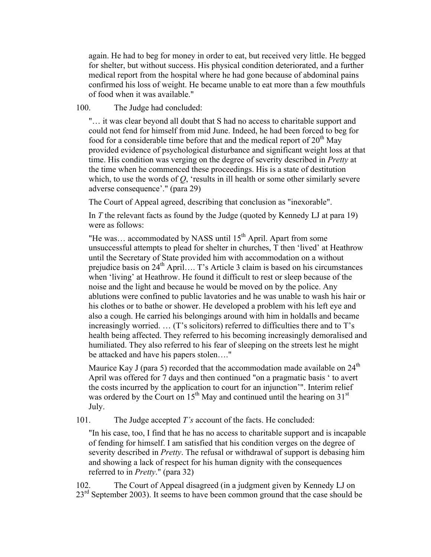again. He had to beg for money in order to eat, but received very little. He begged for shelter, but without success. His physical condition deteriorated, and a further medical report from the hospital where he had gone because of abdominal pains confirmed his loss of weight. He became unable to eat more than a few mouthfuls of food when it was available."

100. The Judge had concluded:

"… it was clear beyond all doubt that S had no access to charitable support and could not fend for himself from mid June. Indeed, he had been forced to beg for food for a considerable time before that and the medical report of  $20<sup>th</sup>$  May provided evidence of psychological disturbance and significant weight loss at that time. His condition was verging on the degree of severity described in *Pretty* at the time when he commenced these proceedings. His is a state of destitution which, to use the words of *Q*, 'results in ill health or some other similarly severe adverse consequence'." (para 29)

The Court of Appeal agreed, describing that conclusion as "inexorable".

In *T* the relevant facts as found by the Judge (quoted by Kennedy LJ at para 19) were as follows:

"He was... accommodated by NASS until  $15<sup>th</sup>$  April. Apart from some unsuccessful attempts to plead for shelter in churches, T then 'lived' at Heathrow until the Secretary of State provided him with accommodation on a without prejudice basis on  $24<sup>th</sup>$  April…. T's Article 3 claim is based on his circumstances when 'living' at Heathrow. He found it difficult to rest or sleep because of the noise and the light and because he would be moved on by the police. Any ablutions were confined to public lavatories and he was unable to wash his hair or his clothes or to bathe or shower. He developed a problem with his left eye and also a cough. He carried his belongings around with him in holdalls and became increasingly worried. … (T's solicitors) referred to difficulties there and to T's health being affected. They referred to his becoming increasingly demoralised and humiliated. They also referred to his fear of sleeping on the streets lest he might be attacked and have his papers stolen…."

Maurice Kay J (para 5) recorded that the accommodation made available on  $24<sup>th</sup>$ April was offered for 7 days and then continued "on a pragmatic basis ' to avert the costs incurred by the application to court for an injunction'". Interim relief was ordered by the Court on  $15<sup>th</sup>$  May and continued until the hearing on  $31<sup>st</sup>$ July.

101. The Judge accepted *T's* account of the facts. He concluded:

"In his case, too, I find that he has no access to charitable support and is incapable of fending for himself. I am satisfied that his condition verges on the degree of severity described in *Pretty*. The refusal or withdrawal of support is debasing him and showing a lack of respect for his human dignity with the consequences referred to in *Pretty*." (para 32)

102. The Court of Appeal disagreed (in a judgment given by Kennedy LJ on  $23<sup>rd</sup>$  September 2003). It seems to have been common ground that the case should be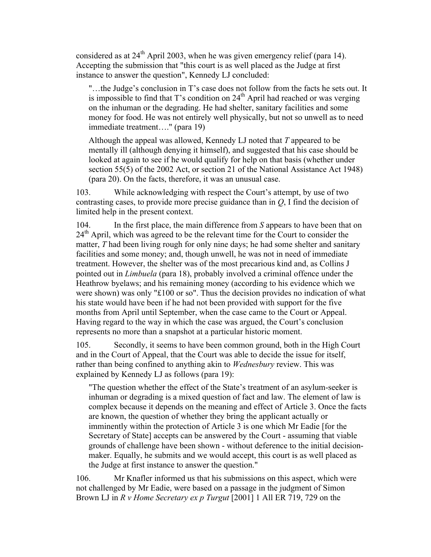considered as at  $24<sup>th</sup>$  April 2003, when he was given emergency relief (para 14). Accepting the submission that "this court is as well placed as the Judge at first instance to answer the question", Kennedy LJ concluded:

"…the Judge's conclusion in T's case does not follow from the facts he sets out. It is impossible to find that T's condition on  $24<sup>th</sup>$  April had reached or was verging on the inhuman or the degrading. He had shelter, sanitary facilities and some money for food. He was not entirely well physically, but not so unwell as to need immediate treatment…." (para 19)

Although the appeal was allowed, Kennedy LJ noted that *T* appeared to be mentally ill (although denying it himself), and suggested that his case should be looked at again to see if he would qualify for help on that basis (whether under section 55(5) of the 2002 Act, or section 21 of the National Assistance Act 1948) (para 20). On the facts, therefore, it was an unusual case.

103. While acknowledging with respect the Court's attempt, by use of two contrasting cases, to provide more precise guidance than in *Q*, I find the decision of limited help in the present context.

104. In the first place, the main difference from *S* appears to have been that on 24<sup>th</sup> April, which was agreed to be the relevant time for the Court to consider the matter, *T* had been living rough for only nine days; he had some shelter and sanitary facilities and some money; and, though unwell, he was not in need of immediate treatment. However, the shelter was of the most precarious kind and, as Collins J pointed out in *Limbuela* (para 18), probably involved a criminal offence under the Heathrow byelaws; and his remaining money (according to his evidence which we were shown) was only "£100 or so". Thus the decision provides no indication of what his state would have been if he had not been provided with support for the five months from April until September, when the case came to the Court or Appeal. Having regard to the way in which the case was argued, the Court's conclusion represents no more than a snapshot at a particular historic moment.

105. Secondly, it seems to have been common ground, both in the High Court and in the Court of Appeal, that the Court was able to decide the issue for itself, rather than being confined to anything akin to *Wednesbury* review. This was explained by Kennedy LJ as follows (para 19):

"The question whether the effect of the State's treatment of an asylum-seeker is inhuman or degrading is a mixed question of fact and law. The element of law is complex because it depends on the meaning and effect of Article 3. Once the facts are known, the question of whether they bring the applicant actually or imminently within the protection of Article 3 is one which Mr Eadie [for the Secretary of State] accepts can be answered by the Court - assuming that viable grounds of challenge have been shown - without deference to the initial decisionmaker. Equally, he submits and we would accept, this court is as well placed as the Judge at first instance to answer the question."

106. Mr Knafler informed us that his submissions on this aspect, which were not challenged by Mr Eadie, were based on a passage in the judgment of Simon Brown LJ in *R v Home Secretary ex p Turgut* [2001] 1 All ER 719, 729 on the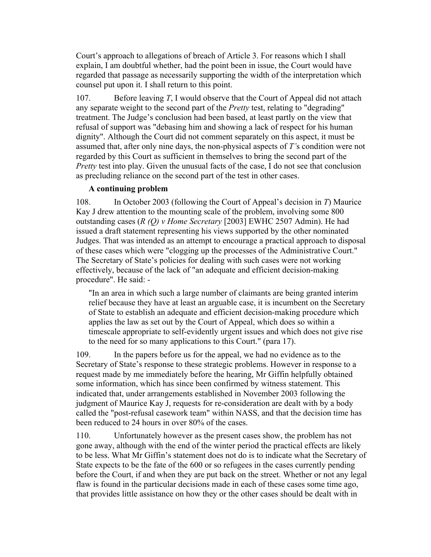Court's approach to allegations of breach of Article 3. For reasons which I shall explain, I am doubtful whether, had the point been in issue, the Court would have regarded that passage as necessarily supporting the width of the interpretation which counsel put upon it. I shall return to this point.

107. Before leaving *T*, I would observe that the Court of Appeal did not attach any separate weight to the second part of the *Pretty* test, relating to "degrading" treatment. The Judge's conclusion had been based, at least partly on the view that refusal of support was "debasing him and showing a lack of respect for his human dignity". Although the Court did not comment separately on this aspect, it must be assumed that, after only nine days, the non-physical aspects of *T'*s condition were not regarded by this Court as sufficient in themselves to bring the second part of the *Pretty* test into play. Given the unusual facts of the case, I do not see that conclusion as precluding reliance on the second part of the test in other cases.

# **A continuing problem**

108. In October 2003 (following the Court of Appeal's decision in *T*) Maurice Kay J drew attention to the mounting scale of the problem, involving some 800 outstanding cases (*R (Q) v Home Secretary* [2003] EWHC 2507 Admin). He had issued a draft statement representing his views supported by the other nominated Judges. That was intended as an attempt to encourage a practical approach to disposal of these cases which were "clogging up the processes of the Administrative Court." The Secretary of State's policies for dealing with such cases were not working effectively, because of the lack of "an adequate and efficient decision-making procedure". He said: -

"In an area in which such a large number of claimants are being granted interim relief because they have at least an arguable case, it is incumbent on the Secretary of State to establish an adequate and efficient decision-making procedure which applies the law as set out by the Court of Appeal, which does so within a timescale appropriate to self-evidently urgent issues and which does not give rise to the need for so many applications to this Court." (para 17).

109. In the papers before us for the appeal, we had no evidence as to the Secretary of State's response to these strategic problems. However in response to a request made by me immediately before the hearing, Mr Giffin helpfully obtained some information, which has since been confirmed by witness statement. This indicated that, under arrangements established in November 2003 following the judgment of Maurice Kay J, requests for re-consideration are dealt with by a body called the "post-refusal casework team" within NASS, and that the decision time has been reduced to 24 hours in over 80% of the cases.

110. Unfortunately however as the present cases show, the problem has not gone away, although with the end of the winter period the practical effects are likely to be less. What Mr Giffin's statement does not do is to indicate what the Secretary of State expects to be the fate of the 600 or so refugees in the cases currently pending before the Court, if and when they are put back on the street. Whether or not any legal flaw is found in the particular decisions made in each of these cases some time ago, that provides little assistance on how they or the other cases should be dealt with in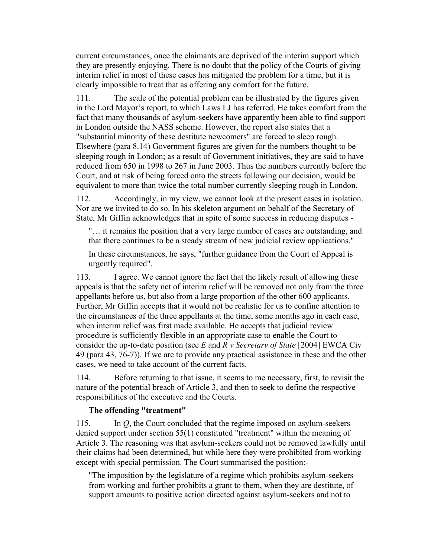current circumstances, once the claimants are deprived of the interim support which they are presently enjoying. There is no doubt that the policy of the Courts of giving interim relief in most of these cases has mitigated the problem for a time, but it is clearly impossible to treat that as offering any comfort for the future.

111. The scale of the potential problem can be illustrated by the figures given in the Lord Mayor's report, to which Laws LJ has referred. He takes comfort from the fact that many thousands of asylum-seekers have apparently been able to find support in London outside the NASS scheme. However, the report also states that a "substantial minority of these destitute newcomers" are forced to sleep rough. Elsewhere (para 8.14) Government figures are given for the numbers thought to be sleeping rough in London; as a result of Government initiatives, they are said to have reduced from 650 in 1998 to 267 in June 2003. Thus the numbers currently before the Court, and at risk of being forced onto the streets following our decision, would be equivalent to more than twice the total number currently sleeping rough in London.

112. Accordingly, in my view, we cannot look at the present cases in isolation. Nor are we invited to do so. In his skeleton argument on behalf of the Secretary of State, Mr Giffin acknowledges that in spite of some success in reducing disputes -

"… it remains the position that a very large number of cases are outstanding, and that there continues to be a steady stream of new judicial review applications."

In these circumstances, he says, "further guidance from the Court of Appeal is urgently required".

113. I agree. We cannot ignore the fact that the likely result of allowing these appeals is that the safety net of interim relief will be removed not only from the three appellants before us, but also from a large proportion of the other 600 applicants. Further, Mr Giffin accepts that it would not be realistic for us to confine attention to the circumstances of the three appellants at the time, some months ago in each case, when interim relief was first made available. He accepts that judicial review procedure is sufficiently flexible in an appropriate case to enable the Court to consider the up-to-date position (see *E* and *R v Secretary of State* [2004] EWCA Civ 49 (para 43, 76-7)). If we are to provide any practical assistance in these and the other cases, we need to take account of the current facts.

114. Before returning to that issue, it seems to me necessary, first, to revisit the nature of the potential breach of Article 3, and then to seek to define the respective responsibilities of the executive and the Courts.

# **The offending "treatment"**

115. In *Q*, the Court concluded that the regime imposed on asylum-seekers denied support under section 55(1) constituted "treatment" within the meaning of Article 3. The reasoning was that asylum-seekers could not be removed lawfully until their claims had been determined, but while here they were prohibited from working except with special permission. The Court summarised the position:-

"The imposition by the legislature of a regime which prohibits asylum-seekers from working and further prohibits a grant to them, when they are destitute, of support amounts to positive action directed against asylum-seekers and not to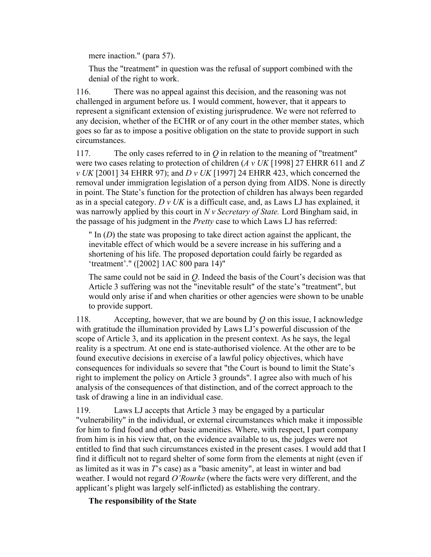mere inaction." (para 57).

Thus the "treatment" in question was the refusal of support combined with the denial of the right to work.

116. There was no appeal against this decision, and the reasoning was not challenged in argument before us. I would comment, however, that it appears to represent a significant extension of existing jurisprudence. We were not referred to any decision, whether of the ECHR or of any court in the other member states, which goes so far as to impose a positive obligation on the state to provide support in such circumstances.

117. The only cases referred to in *Q* in relation to the meaning of "treatment" were two cases relating to protection of children (*A v UK* [1998] 27 EHRR 611 and *Z v UK* [2001] 34 EHRR 97); and *D v UK* [1997] 24 EHRR 423, which concerned the removal under immigration legislation of a person dying from AIDS. None is directly in point. The State's function for the protection of children has always been regarded as in a special category. *D v UK* is a difficult case, and, as Laws LJ has explained, it was narrowly applied by this court in *N v Secretary of State.* Lord Bingham said, in the passage of his judgment in the *Pretty* case to which Laws LJ has referred:

" In (*D*) the state was proposing to take direct action against the applicant, the inevitable effect of which would be a severe increase in his suffering and a shortening of his life. The proposed deportation could fairly be regarded as 'treatment'." ([2002] 1AC 800 para 14)"

The same could not be said in *Q*. Indeed the basis of the Court's decision was that Article 3 suffering was not the "inevitable result" of the state's "treatment", but would only arise if and when charities or other agencies were shown to be unable to provide support.

118. Accepting, however, that we are bound by *Q* on this issue, I acknowledge with gratitude the illumination provided by Laws LJ's powerful discussion of the scope of Article 3, and its application in the present context. As he says, the legal reality is a spectrum. At one end is state-authorised violence. At the other are to be found executive decisions in exercise of a lawful policy objectives, which have consequences for individuals so severe that "the Court is bound to limit the State's right to implement the policy on Article 3 grounds". I agree also with much of his analysis of the consequences of that distinction, and of the correct approach to the task of drawing a line in an individual case.

119. Laws LJ accepts that Article 3 may be engaged by a particular "vulnerability" in the individual, or external circumstances which make it impossible for him to find food and other basic amenities. Where, with respect, I part company from him is in his view that, on the evidence available to us, the judges were not entitled to find that such circumstances existed in the present cases. I would add that I find it difficult not to regard shelter of some form from the elements at night (even if as limited as it was in *T*'s case) as a "basic amenity", at least in winter and bad weather. I would not regard *O'Rourke* (where the facts were very different, and the applicant's plight was largely self-inflicted) as establishing the contrary.

**The responsibility of the State**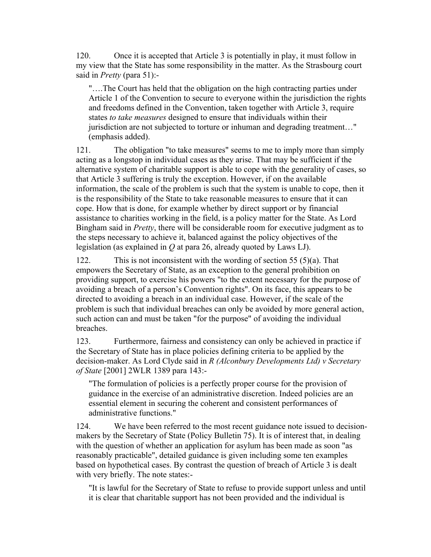120. Once it is accepted that Article 3 is potentially in play, it must follow in my view that the State has some responsibility in the matter. As the Strasbourg court said in *Pretty* (para 51):-

"….The Court has held that the obligation on the high contracting parties under Article 1 of the Convention to secure to everyone within the jurisdiction the rights and freedoms defined in the Convention, taken together with Article 3, require states *to take measures* designed to ensure that individuals within their jurisdiction are not subjected to torture or inhuman and degrading treatment…" (emphasis added).

121. The obligation "to take measures" seems to me to imply more than simply acting as a longstop in individual cases as they arise. That may be sufficient if the alternative system of charitable support is able to cope with the generality of cases, so that Article 3 suffering is truly the exception. However, if on the available information, the scale of the problem is such that the system is unable to cope, then it is the responsibility of the State to take reasonable measures to ensure that it can cope. How that is done, for example whether by direct support or by financial assistance to charities working in the field, is a policy matter for the State. As Lord Bingham said in *Pretty*, there will be considerable room for executive judgment as to the steps necessary to achieve it, balanced against the policy objectives of the legislation (as explained in *Q* at para 26, already quoted by Laws LJ).

122. This is not inconsistent with the wording of section 55 (5)(a). That empowers the Secretary of State, as an exception to the general prohibition on providing support, to exercise his powers "to the extent necessary for the purpose of avoiding a breach of a person's Convention rights". On its face, this appears to be directed to avoiding a breach in an individual case. However, if the scale of the problem is such that individual breaches can only be avoided by more general action, such action can and must be taken "for the purpose" of avoiding the individual breaches.

123. Furthermore, fairness and consistency can only be achieved in practice if the Secretary of State has in place policies defining criteria to be applied by the decision-maker. As Lord Clyde said in *R (Alconbury Developments Ltd) v Secretary of State* [2001] 2WLR 1389 para 143:-

"The formulation of policies is a perfectly proper course for the provision of guidance in the exercise of an administrative discretion. Indeed policies are an essential element in securing the coherent and consistent performances of administrative functions."

124. We have been referred to the most recent guidance note issued to decisionmakers by the Secretary of State (Policy Bulletin 75). It is of interest that, in dealing with the question of whether an application for asylum has been made as soon "as reasonably practicable", detailed guidance is given including some ten examples based on hypothetical cases. By contrast the question of breach of Article 3 is dealt with very briefly. The note states:-

"It is lawful for the Secretary of State to refuse to provide support unless and until it is clear that charitable support has not been provided and the individual is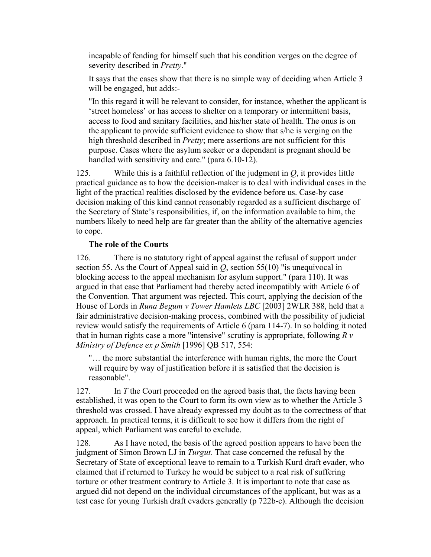incapable of fending for himself such that his condition verges on the degree of severity described in *Pretty*."

It says that the cases show that there is no simple way of deciding when Article 3 will be engaged, but adds:-

"In this regard it will be relevant to consider, for instance, whether the applicant is 'street homeless' or has access to shelter on a temporary or intermittent basis, access to food and sanitary facilities, and his/her state of health. The onus is on the applicant to provide sufficient evidence to show that s/he is verging on the high threshold described in *Pretty*; mere assertions are not sufficient for this purpose. Cases where the asylum seeker or a dependant is pregnant should be handled with sensitivity and care." (para 6.10-12).

125. While this is a faithful reflection of the judgment in *Q*, it provides little practical guidance as to how the decision-maker is to deal with individual cases in the light of the practical realities disclosed by the evidence before us. Case-by case decision making of this kind cannot reasonably regarded as a sufficient discharge of the Secretary of State's responsibilities, if, on the information available to him, the numbers likely to need help are far greater than the ability of the alternative agencies to cope.

# **The role of the Courts**

126. There is no statutory right of appeal against the refusal of support under section 55. As the Court of Appeal said in *Q*, section 55(10) "is unequivocal in blocking access to the appeal mechanism for asylum support." (para 110). It was argued in that case that Parliament had thereby acted incompatibly with Article 6 of the Convention. That argument was rejected. This court, applying the decision of the House of Lords in *Runa Begum v Tower Hamlets LBC* [2003] 2WLR 388, held that a fair administrative decision-making process, combined with the possibility of judicial review would satisfy the requirements of Article 6 (para 114-7). In so holding it noted that in human rights case a more "intensive" scrutiny is appropriate, following *R v Ministry of Defence ex p Smith* [1996] QB 517, 554:

"… the more substantial the interference with human rights, the more the Court will require by way of justification before it is satisfied that the decision is reasonable".

127. In *T* the Court proceeded on the agreed basis that, the facts having been established, it was open to the Court to form its own view as to whether the Article 3 threshold was crossed. I have already expressed my doubt as to the correctness of that approach. In practical terms, it is difficult to see how it differs from the right of appeal, which Parliament was careful to exclude.

128. As I have noted, the basis of the agreed position appears to have been the judgment of Simon Brown LJ in *Turgut.* That case concerned the refusal by the Secretary of State of exceptional leave to remain to a Turkish Kurd draft evader, who claimed that if returned to Turkey he would be subject to a real risk of suffering torture or other treatment contrary to Article 3. It is important to note that case as argued did not depend on the individual circumstances of the applicant, but was as a test case for young Turkish draft evaders generally (p 722b-c). Although the decision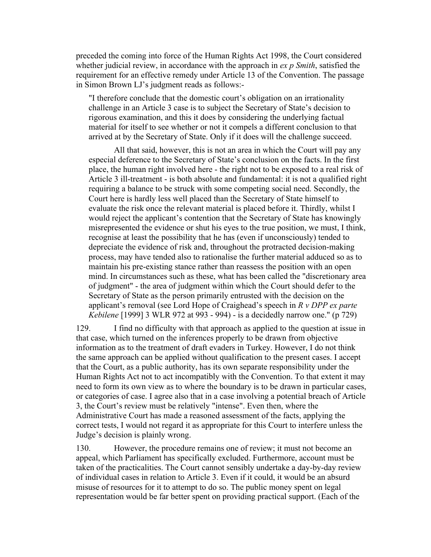preceded the coming into force of the Human Rights Act 1998, the Court considered whether judicial review, in accordance with the approach in *ex p Smith*, satisfied the requirement for an effective remedy under Article 13 of the Convention. The passage in Simon Brown LJ's judgment reads as follows:-

"I therefore conclude that the domestic court's obligation on an irrationality challenge in an Article 3 case is to subject the Secretary of State's decision to rigorous examination, and this it does by considering the underlying factual material for itself to see whether or not it compels a different conclusion to that arrived at by the Secretary of State. Only if it does will the challenge succeed.

All that said, however, this is not an area in which the Court will pay any especial deference to the Secretary of State's conclusion on the facts. In the first place, the human right involved here - the right not to be exposed to a real risk of Article 3 ill-treatment - is both absolute and fundamental: it is not a qualified right requiring a balance to be struck with some competing social need. Secondly, the Court here is hardly less well placed than the Secretary of State himself to evaluate the risk once the relevant material is placed before it. Thirdly, whilst I would reject the applicant's contention that the Secretary of State has knowingly misrepresented the evidence or shut his eyes to the true position, we must, I think, recognise at least the possibility that he has (even if unconsciously) tended to depreciate the evidence of risk and, throughout the protracted decision-making process, may have tended also to rationalise the further material adduced so as to maintain his pre-existing stance rather than reassess the position with an open mind. In circumstances such as these, what has been called the "discretionary area of judgment" - the area of judgment within which the Court should defer to the Secretary of State as the person primarily entrusted with the decision on the applicant's removal (see Lord Hope of Craighead's speech in *R v DPP ex parte Kebilene* [1999] 3 WLR 972 at 993 - 994) - is a decidedly narrow one." (p 729)

129. I find no difficulty with that approach as applied to the question at issue in that case, which turned on the inferences properly to be drawn from objective information as to the treatment of draft evaders in Turkey. However, I do not think the same approach can be applied without qualification to the present cases. I accept that the Court, as a public authority, has its own separate responsibility under the Human Rights Act not to act incompatibly with the Convention. To that extent it may need to form its own view as to where the boundary is to be drawn in particular cases, or categories of case. I agree also that in a case involving a potential breach of Article 3, the Court's review must be relatively "intense". Even then, where the Administrative Court has made a reasoned assessment of the facts, applying the correct tests, I would not regard it as appropriate for this Court to interfere unless the Judge's decision is plainly wrong.

130. However, the procedure remains one of review; it must not become an appeal, which Parliament has specifically excluded. Furthermore, account must be taken of the practicalities. The Court cannot sensibly undertake a day-by-day review of individual cases in relation to Article 3. Even if it could, it would be an absurd misuse of resources for it to attempt to do so. The public money spent on legal representation would be far better spent on providing practical support. (Each of the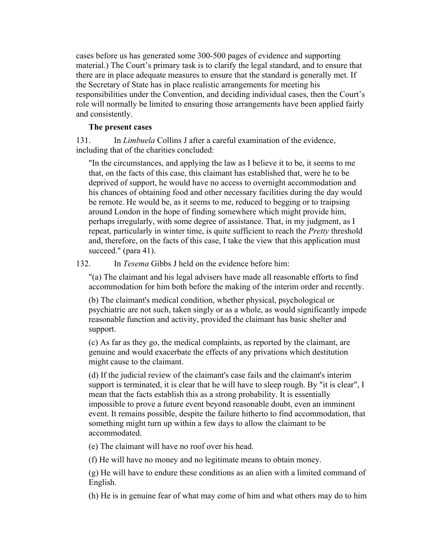cases before us has generated some 300-500 pages of evidence and supporting material.) The Court's primary task is to clarify the legal standard, and to ensure that there are in place adequate measures to ensure that the standard is generally met. If the Secretary of State has in place realistic arrangements for meeting his responsibilities under the Convention, and deciding individual cases, then the Court's role will normally be limited to ensuring those arrangements have been applied fairly and consistently.

# **The present cases**

131. In *Limbuela* Collins J after a careful examination of the evidence, including that of the charities concluded:

"In the circumstances, and applying the law as I believe it to be, it seems to me that, on the facts of this case, this claimant has established that, were he to be deprived of support, he would have no access to overnight accommodation and his chances of obtaining food and other necessary facilities during the day would be remote. He would be, as it seems to me, reduced to begging or to traipsing around London in the hope of finding somewhere which might provide him, perhaps irregularly, with some degree of assistance. That, in my judgment, as I repeat, particularly in winter time, is quite sufficient to reach the *Pretty* threshold and, therefore, on the facts of this case, I take the view that this application must succeed." (para 41).

132. In *Tesema* Gibbs J held on the evidence before him:

"(a) The claimant and his legal advisers have made all reasonable efforts to find accommodation for him both before the making of the interim order and recently.

(b) The claimant's medical condition, whether physical, psychological or psychiatric are not such, taken singly or as a whole, as would significantly impede reasonable function and activity, provided the claimant has basic shelter and support.

(c) As far as they go, the medical complaints, as reported by the claimant, are genuine and would exacerbate the effects of any privations which destitution might cause to the claimant.

(d) If the judicial review of the claimant's case fails and the claimant's interim support is terminated, it is clear that he will have to sleep rough. By "it is clear", I mean that the facts establish this as a strong probability. It is essentially impossible to prove a future event beyond reasonable doubt, even an imminent event. It remains possible, despite the failure hitherto to find accommodation, that something might turn up within a few days to allow the claimant to be accommodated.

(e) The claimant will have no roof over his head.

(f) He will have no money and no legitimate means to obtain money.

(g) He will have to endure these conditions as an alien with a limited command of English.

(h) He is in genuine fear of what may come of him and what others may do to him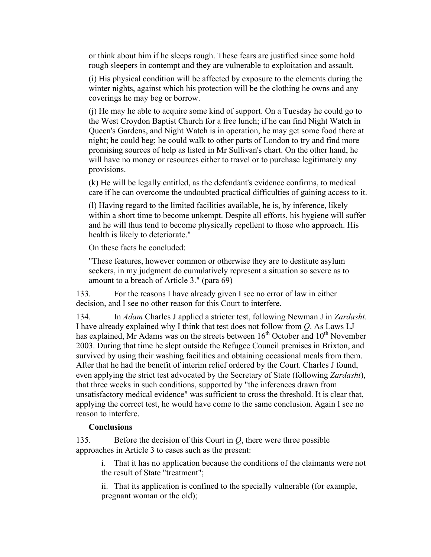or think about him if he sleeps rough. These fears are justified since some hold rough sleepers in contempt and they are vulnerable to exploitation and assault.

(i) His physical condition will be affected by exposure to the elements during the winter nights, against which his protection will be the clothing he owns and any coverings he may beg or borrow.

(j) He may he able to acquire some kind of support. On a Tuesday he could go to the West Croydon Baptist Church for a free lunch; if he can find Night Watch in Queen's Gardens, and Night Watch is in operation, he may get some food there at night; he could beg; he could walk to other parts of London to try and find more promising sources of help as listed in Mr Sullivan's chart. On the other hand, he will have no money or resources either to travel or to purchase legitimately any provisions.

(k) He will be legally entitled, as the defendant's evidence confirms, to medical care if he can overcome the undoubted practical difficulties of gaining access to it.

(l) Having regard to the limited facilities available, he is, by inference, likely within a short time to become unkempt. Despite all efforts, his hygiene will suffer and he will thus tend to become physically repellent to those who approach. His health is likely to deteriorate."

On these facts he concluded:

"These features, however common or otherwise they are to destitute asylum seekers, in my judgment do cumulatively represent a situation so severe as to amount to a breach of Article 3." (para 69)

133. For the reasons I have already given I see no error of law in either decision, and I see no other reason for this Court to interfere.

134. In *Adam* Charles J applied a stricter test, following Newman J in *Zardasht*. I have already explained why I think that test does not follow from *Q*. As Laws LJ has explained, Mr Adams was on the streets between  $16<sup>th</sup>$  October and  $10<sup>th</sup>$  November 2003. During that time he slept outside the Refugee Council premises in Brixton, and survived by using their washing facilities and obtaining occasional meals from them. After that he had the benefit of interim relief ordered by the Court. Charles J found, even applying the strict test advocated by the Secretary of State (following *Zardasht*), that three weeks in such conditions, supported by "the inferences drawn from unsatisfactory medical evidence" was sufficient to cross the threshold. It is clear that, applying the correct test, he would have come to the same conclusion. Again I see no reason to interfere.

# **Conclusions**

135. Before the decision of this Court in *Q*, there were three possible approaches in Article 3 to cases such as the present:

i. That it has no application because the conditions of the claimants were not the result of State "treatment";

ii. That its application is confined to the specially vulnerable (for example, pregnant woman or the old);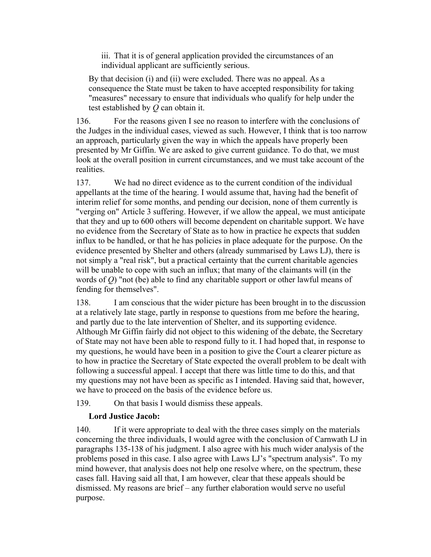iii. That it is of general application provided the circumstances of an individual applicant are sufficiently serious.

By that decision (i) and (ii) were excluded. There was no appeal. As a consequence the State must be taken to have accepted responsibility for taking "measures" necessary to ensure that individuals who qualify for help under the test established by *Q* can obtain it.

136. For the reasons given I see no reason to interfere with the conclusions of the Judges in the individual cases, viewed as such. However, I think that is too narrow an approach, particularly given the way in which the appeals have properly been presented by Mr Giffin. We are asked to give current guidance. To do that, we must look at the overall position in current circumstances, and we must take account of the realities.

137. We had no direct evidence as to the current condition of the individual appellants at the time of the hearing. I would assume that, having had the benefit of interim relief for some months, and pending our decision, none of them currently is "verging on" Article 3 suffering. However, if we allow the appeal, we must anticipate that they and up to 600 others will become dependent on charitable support. We have no evidence from the Secretary of State as to how in practice he expects that sudden influx to be handled, or that he has policies in place adequate for the purpose. On the evidence presented by Shelter and others (already summarised by Laws LJ), there is not simply a "real risk", but a practical certainty that the current charitable agencies will be unable to cope with such an influx; that many of the claimants will (in the words of *Q*) "not (be) able to find any charitable support or other lawful means of fending for themselves".

138. I am conscious that the wider picture has been brought in to the discussion at a relatively late stage, partly in response to questions from me before the hearing, and partly due to the late intervention of Shelter, and its supporting evidence. Although Mr Giffin fairly did not object to this widening of the debate, the Secretary of State may not have been able to respond fully to it. I had hoped that, in response to my questions, he would have been in a position to give the Court a clearer picture as to how in practice the Secretary of State expected the overall problem to be dealt with following a successful appeal. I accept that there was little time to do this, and that my questions may not have been as specific as I intended. Having said that, however, we have to proceed on the basis of the evidence before us.

139. On that basis I would dismiss these appeals.

# **Lord Justice Jacob:**

140. If it were appropriate to deal with the three cases simply on the materials concerning the three individuals, I would agree with the conclusion of Carnwath LJ in paragraphs 135-138 of his judgment. I also agree with his much wider analysis of the problems posed in this case. I also agree with Laws LJ's "spectrum analysis". To my mind however, that analysis does not help one resolve where, on the spectrum, these cases fall. Having said all that, I am however, clear that these appeals should be dismissed. My reasons are brief – any further elaboration would serve no useful purpose.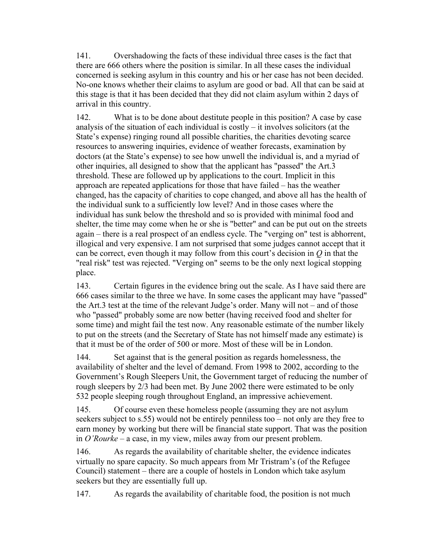141. Overshadowing the facts of these individual three cases is the fact that there are 666 others where the position is similar. In all these cases the individual concerned is seeking asylum in this country and his or her case has not been decided. No-one knows whether their claims to asylum are good or bad. All that can be said at this stage is that it has been decided that they did not claim asylum within 2 days of arrival in this country.

142. What is to be done about destitute people in this position? A case by case analysis of the situation of each individual is costly – it involves solicitors (at the State's expense) ringing round all possible charities, the charities devoting scarce resources to answering inquiries, evidence of weather forecasts, examination by doctors (at the State's expense) to see how unwell the individual is, and a myriad of other inquiries, all designed to show that the applicant has "passed" the Art.3 threshold. These are followed up by applications to the court. Implicit in this approach are repeated applications for those that have failed – has the weather changed, has the capacity of charities to cope changed, and above all has the health of the individual sunk to a sufficiently low level? And in those cases where the individual has sunk below the threshold and so is provided with minimal food and shelter, the time may come when he or she is "better" and can be put out on the streets again – there is a real prospect of an endless cycle. The "verging on" test is abhorrent, illogical and very expensive. I am not surprised that some judges cannot accept that it can be correct, even though it may follow from this court's decision in *Q* in that the "real risk" test was rejected. "Verging on" seems to be the only next logical stopping place.

143. Certain figures in the evidence bring out the scale. As I have said there are 666 cases similar to the three we have. In some cases the applicant may have "passed" the Art.3 test at the time of the relevant Judge's order. Many will not – and of those who "passed" probably some are now better (having received food and shelter for some time) and might fail the test now. Any reasonable estimate of the number likely to put on the streets (and the Secretary of State has not himself made any estimate) is that it must be of the order of 500 or more. Most of these will be in London.

144. Set against that is the general position as regards homelessness, the availability of shelter and the level of demand. From 1998 to 2002, according to the Government's Rough Sleepers Unit, the Government target of reducing the number of rough sleepers by 2/3 had been met. By June 2002 there were estimated to be only 532 people sleeping rough throughout England, an impressive achievement.

145. Of course even these homeless people (assuming they are not asylum seekers subject to s.55) would not be entirely penniless too – not only are they free to earn money by working but there will be financial state support. That was the position in *O'Rourke* – a case, in my view, miles away from our present problem.

146. As regards the availability of charitable shelter, the evidence indicates virtually no spare capacity. So much appears from Mr Tristram's (of the Refugee Council) statement – there are a couple of hostels in London which take asylum seekers but they are essentially full up.

147. As regards the availability of charitable food, the position is not much